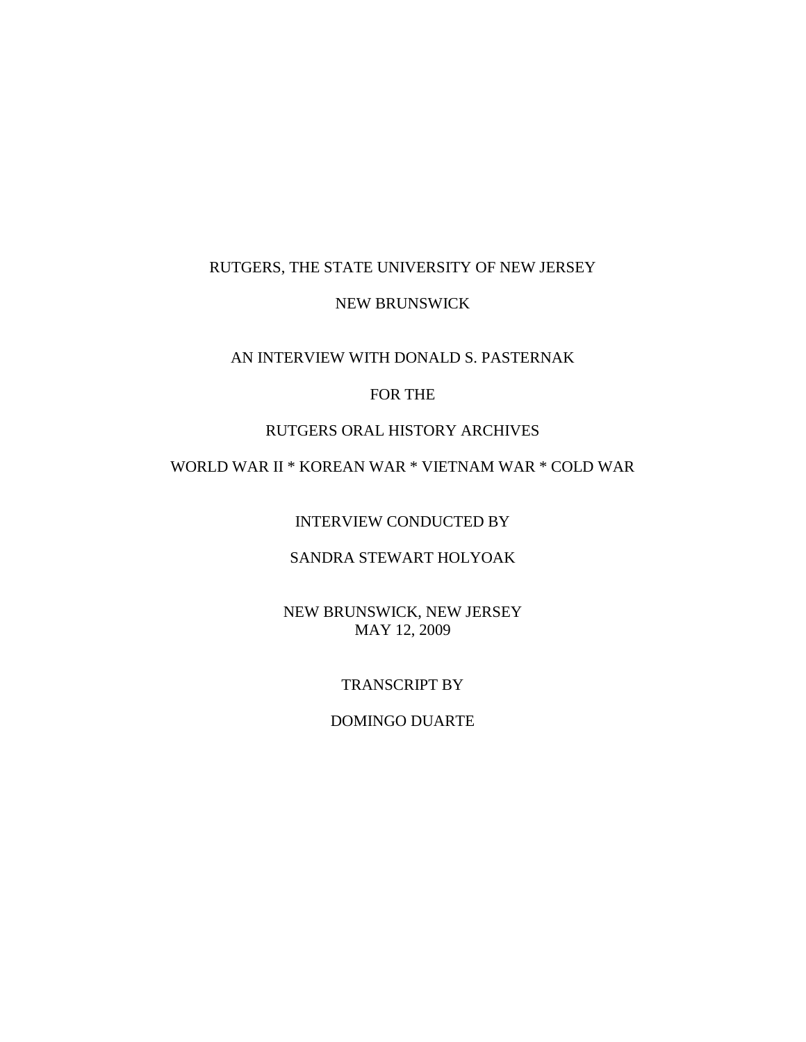# RUTGERS, THE STATE UNIVERSITY OF NEW JERSEY

#### NEW BRUNSWICK

### AN INTERVIEW WITH DONALD S. PASTERNAK

### FOR THE

#### RUTGERS ORAL HISTORY ARCHIVES

# WORLD WAR II \* KOREAN WAR \* VIETNAM WAR \* COLD WAR

INTERVIEW CONDUCTED BY

## SANDRA STEWART HOLYOAK

NEW BRUNSWICK, NEW JERSEY MAY 12, 2009

#### TRANSCRIPT BY

#### DOMINGO DUARTE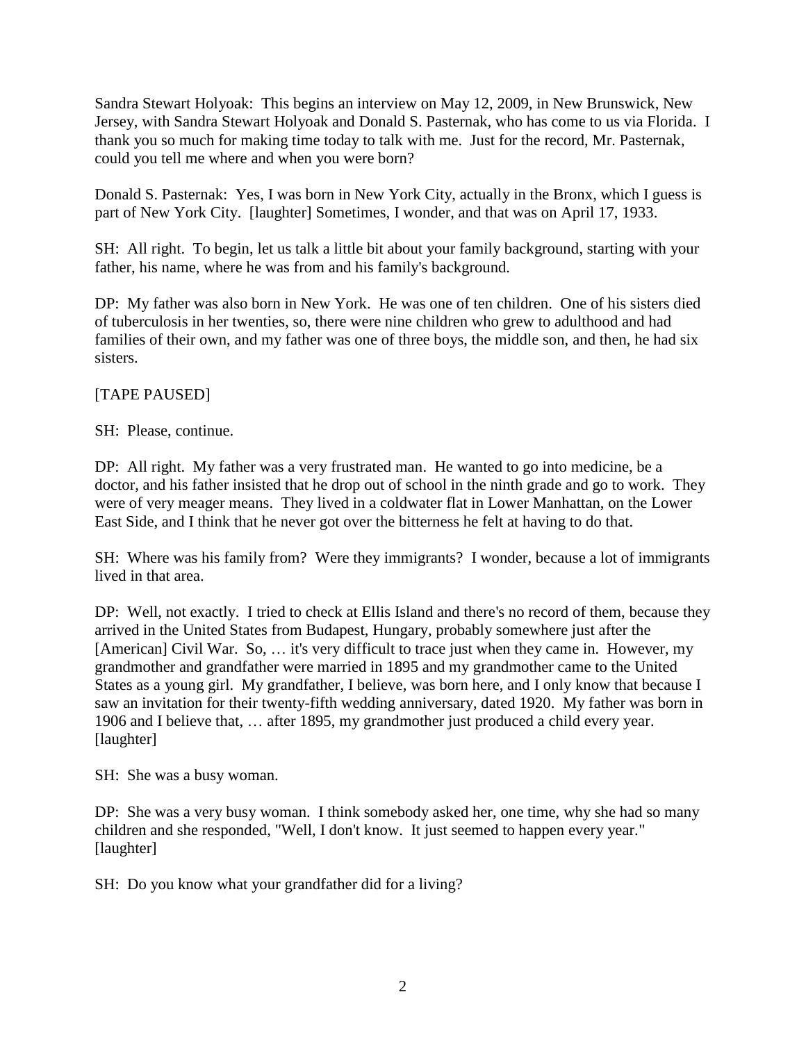Sandra Stewart Holyoak: This begins an interview on May 12, 2009, in New Brunswick, New Jersey, with Sandra Stewart Holyoak and Donald S. Pasternak, who has come to us via Florida. I thank you so much for making time today to talk with me. Just for the record, Mr. Pasternak, could you tell me where and when you were born?

Donald S. Pasternak: Yes, I was born in New York City, actually in the Bronx, which I guess is part of New York City. [laughter] Sometimes, I wonder, and that was on April 17, 1933.

SH: All right. To begin, let us talk a little bit about your family background, starting with your father, his name, where he was from and his family's background.

DP: My father was also born in New York. He was one of ten children. One of his sisters died of tuberculosis in her twenties, so, there were nine children who grew to adulthood and had families of their own, and my father was one of three boys, the middle son, and then, he had six sisters.

# [TAPE PAUSED]

SH: Please, continue.

DP: All right. My father was a very frustrated man. He wanted to go into medicine, be a doctor, and his father insisted that he drop out of school in the ninth grade and go to work. They were of very meager means. They lived in a coldwater flat in Lower Manhattan, on the Lower East Side, and I think that he never got over the bitterness he felt at having to do that.

SH: Where was his family from? Were they immigrants? I wonder, because a lot of immigrants lived in that area.

DP: Well, not exactly. I tried to check at Ellis Island and there's no record of them, because they arrived in the United States from Budapest, Hungary, probably somewhere just after the [American] Civil War. So, ... it's very difficult to trace just when they came in. However, my grandmother and grandfather were married in 1895 and my grandmother came to the United States as a young girl. My grandfather, I believe, was born here, and I only know that because I saw an invitation for their twenty-fifth wedding anniversary, dated 1920. My father was born in 1906 and I believe that, … after 1895, my grandmother just produced a child every year. [laughter]

SH: She was a busy woman.

DP: She was a very busy woman. I think somebody asked her, one time, why she had so many children and she responded, "Well, I don't know. It just seemed to happen every year." [laughter]

SH: Do you know what your grandfather did for a living?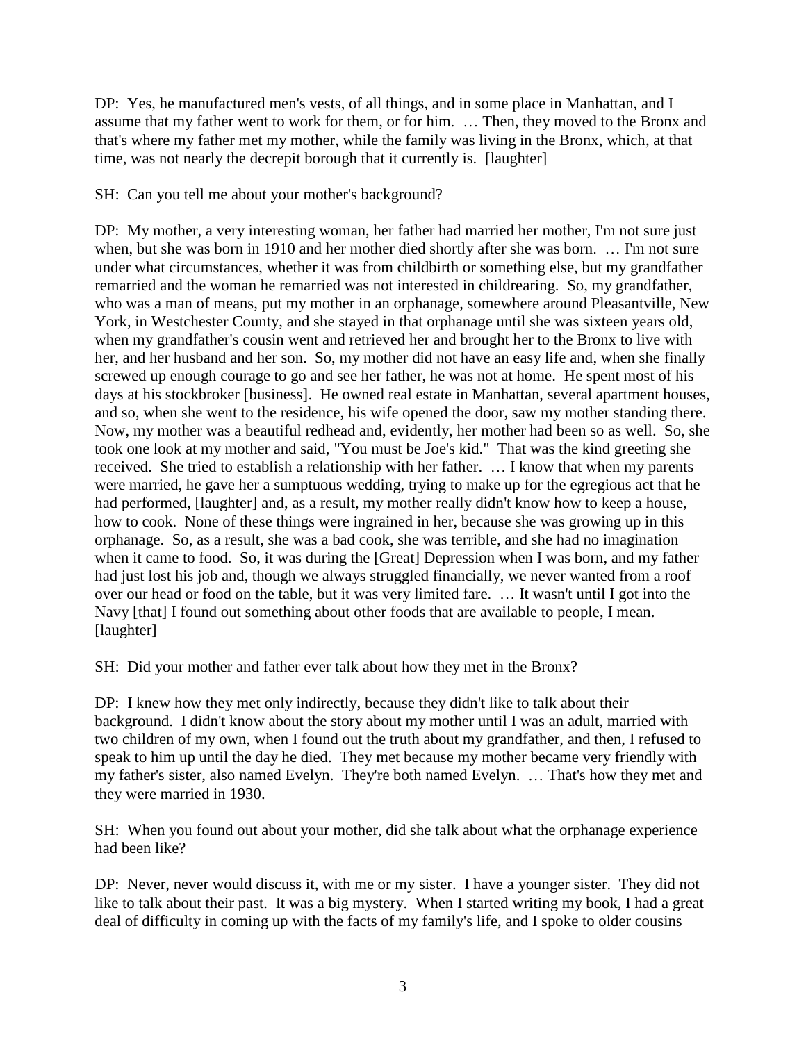DP: Yes, he manufactured men's vests, of all things, and in some place in Manhattan, and I assume that my father went to work for them, or for him. … Then, they moved to the Bronx and that's where my father met my mother, while the family was living in the Bronx, which, at that time, was not nearly the decrepit borough that it currently is. [laughter]

SH: Can you tell me about your mother's background?

DP: My mother, a very interesting woman, her father had married her mother, I'm not sure just when, but she was born in 1910 and her mother died shortly after she was born. … I'm not sure under what circumstances, whether it was from childbirth or something else, but my grandfather remarried and the woman he remarried was not interested in childrearing. So, my grandfather, who was a man of means, put my mother in an orphanage, somewhere around Pleasantville, New York, in Westchester County, and she stayed in that orphanage until she was sixteen years old, when my grandfather's cousin went and retrieved her and brought her to the Bronx to live with her, and her husband and her son. So, my mother did not have an easy life and, when she finally screwed up enough courage to go and see her father, he was not at home. He spent most of his days at his stockbroker [business]. He owned real estate in Manhattan, several apartment houses, and so, when she went to the residence, his wife opened the door, saw my mother standing there. Now, my mother was a beautiful redhead and, evidently, her mother had been so as well. So, she took one look at my mother and said, "You must be Joe's kid." That was the kind greeting she received. She tried to establish a relationship with her father. … I know that when my parents were married, he gave her a sumptuous wedding, trying to make up for the egregious act that he had performed, [laughter] and, as a result, my mother really didn't know how to keep a house, how to cook. None of these things were ingrained in her, because she was growing up in this orphanage. So, as a result, she was a bad cook, she was terrible, and she had no imagination when it came to food. So, it was during the [Great] Depression when I was born, and my father had just lost his job and, though we always struggled financially, we never wanted from a roof over our head or food on the table, but it was very limited fare. … It wasn't until I got into the Navy [that] I found out something about other foods that are available to people, I mean. [laughter]

SH: Did your mother and father ever talk about how they met in the Bronx?

DP: I knew how they met only indirectly, because they didn't like to talk about their background. I didn't know about the story about my mother until I was an adult, married with two children of my own, when I found out the truth about my grandfather, and then, I refused to speak to him up until the day he died. They met because my mother became very friendly with my father's sister, also named Evelyn. They're both named Evelyn. … That's how they met and they were married in 1930.

SH: When you found out about your mother, did she talk about what the orphanage experience had been like?

DP: Never, never would discuss it, with me or my sister. I have a younger sister. They did not like to talk about their past. It was a big mystery. When I started writing my book, I had a great deal of difficulty in coming up with the facts of my family's life, and I spoke to older cousins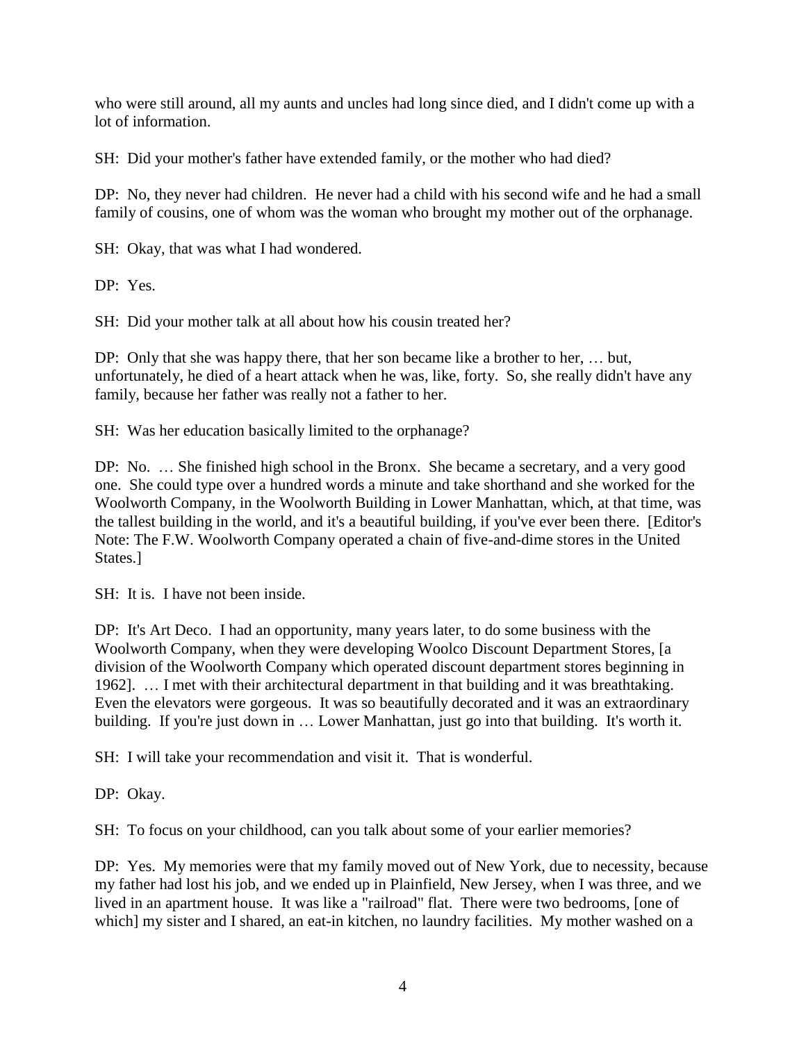who were still around, all my aunts and uncles had long since died, and I didn't come up with a lot of information.

SH: Did your mother's father have extended family, or the mother who had died?

DP: No, they never had children. He never had a child with his second wife and he had a small family of cousins, one of whom was the woman who brought my mother out of the orphanage.

SH: Okay, that was what I had wondered.

DP: Yes.

SH: Did your mother talk at all about how his cousin treated her?

DP: Only that she was happy there, that her son became like a brother to her, … but, unfortunately, he died of a heart attack when he was, like, forty. So, she really didn't have any family, because her father was really not a father to her.

SH: Was her education basically limited to the orphanage?

DP: No. … She finished high school in the Bronx. She became a secretary, and a very good one. She could type over a hundred words a minute and take shorthand and she worked for the Woolworth Company, in the Woolworth Building in Lower Manhattan, which, at that time, was the tallest building in the world, and it's a beautiful building, if you've ever been there. [Editor's Note: The F.W. Woolworth Company operated a chain of five-and-dime stores in the United States.]

SH: It is. I have not been inside.

DP: It's Art Deco. I had an opportunity, many years later, to do some business with the Woolworth Company, when they were developing Woolco Discount Department Stores, [a division of the Woolworth Company which operated discount department stores beginning in 1962]. … I met with their architectural department in that building and it was breathtaking. Even the elevators were gorgeous. It was so beautifully decorated and it was an extraordinary building. If you're just down in ... Lower Manhattan, just go into that building. It's worth it.

SH: I will take your recommendation and visit it. That is wonderful.

DP: Okay.

SH: To focus on your childhood, can you talk about some of your earlier memories?

DP: Yes. My memories were that my family moved out of New York, due to necessity, because my father had lost his job, and we ended up in Plainfield, New Jersey, when I was three, and we lived in an apartment house. It was like a "railroad" flat. There were two bedrooms, [one of which] my sister and I shared, an eat-in kitchen, no laundry facilities. My mother washed on a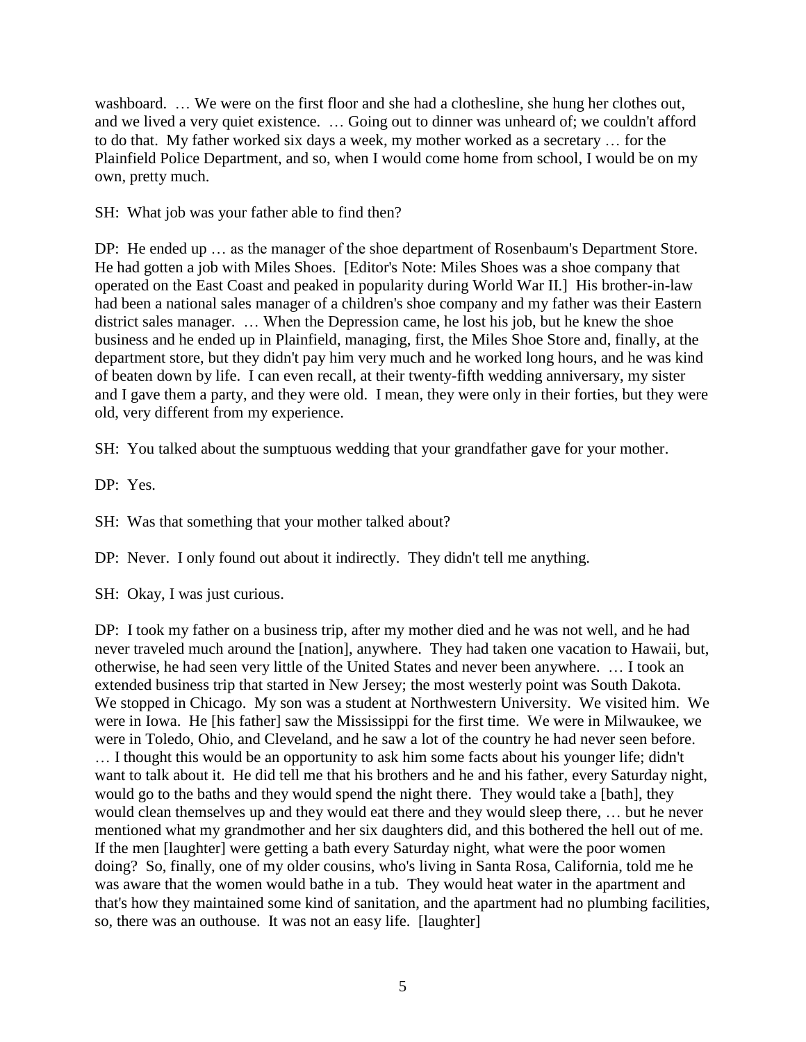washboard. … We were on the first floor and she had a clothesline, she hung her clothes out, and we lived a very quiet existence. … Going out to dinner was unheard of; we couldn't afford to do that. My father worked six days a week, my mother worked as a secretary … for the Plainfield Police Department, and so, when I would come home from school, I would be on my own, pretty much.

SH: What job was your father able to find then?

DP: He ended up … as the manager of the shoe department of Rosenbaum's Department Store. He had gotten a job with Miles Shoes. [Editor's Note: Miles Shoes was a shoe company that operated on the East Coast and peaked in popularity during World War II.] His brother-in-law had been a national sales manager of a children's shoe company and my father was their Eastern district sales manager. … When the Depression came, he lost his job, but he knew the shoe business and he ended up in Plainfield, managing, first, the Miles Shoe Store and, finally, at the department store, but they didn't pay him very much and he worked long hours, and he was kind of beaten down by life. I can even recall, at their twenty-fifth wedding anniversary, my sister and I gave them a party, and they were old. I mean, they were only in their forties, but they were old, very different from my experience.

SH: You talked about the sumptuous wedding that your grandfather gave for your mother.

DP: Yes.

SH: Was that something that your mother talked about?

DP: Never. I only found out about it indirectly. They didn't tell me anything.

SH: Okay, I was just curious.

DP: I took my father on a business trip, after my mother died and he was not well, and he had never traveled much around the [nation], anywhere. They had taken one vacation to Hawaii, but, otherwise, he had seen very little of the United States and never been anywhere. … I took an extended business trip that started in New Jersey; the most westerly point was South Dakota. We stopped in Chicago. My son was a student at Northwestern University. We visited him. We were in Iowa. He [his father] saw the Mississippi for the first time. We were in Milwaukee, we were in Toledo, Ohio, and Cleveland, and he saw a lot of the country he had never seen before. … I thought this would be an opportunity to ask him some facts about his younger life; didn't want to talk about it. He did tell me that his brothers and he and his father, every Saturday night, would go to the baths and they would spend the night there. They would take a [bath], they would clean themselves up and they would eat there and they would sleep there, … but he never mentioned what my grandmother and her six daughters did, and this bothered the hell out of me. If the men [laughter] were getting a bath every Saturday night, what were the poor women doing? So, finally, one of my older cousins, who's living in Santa Rosa, California, told me he was aware that the women would bathe in a tub. They would heat water in the apartment and that's how they maintained some kind of sanitation, and the apartment had no plumbing facilities, so, there was an outhouse. It was not an easy life. [laughter]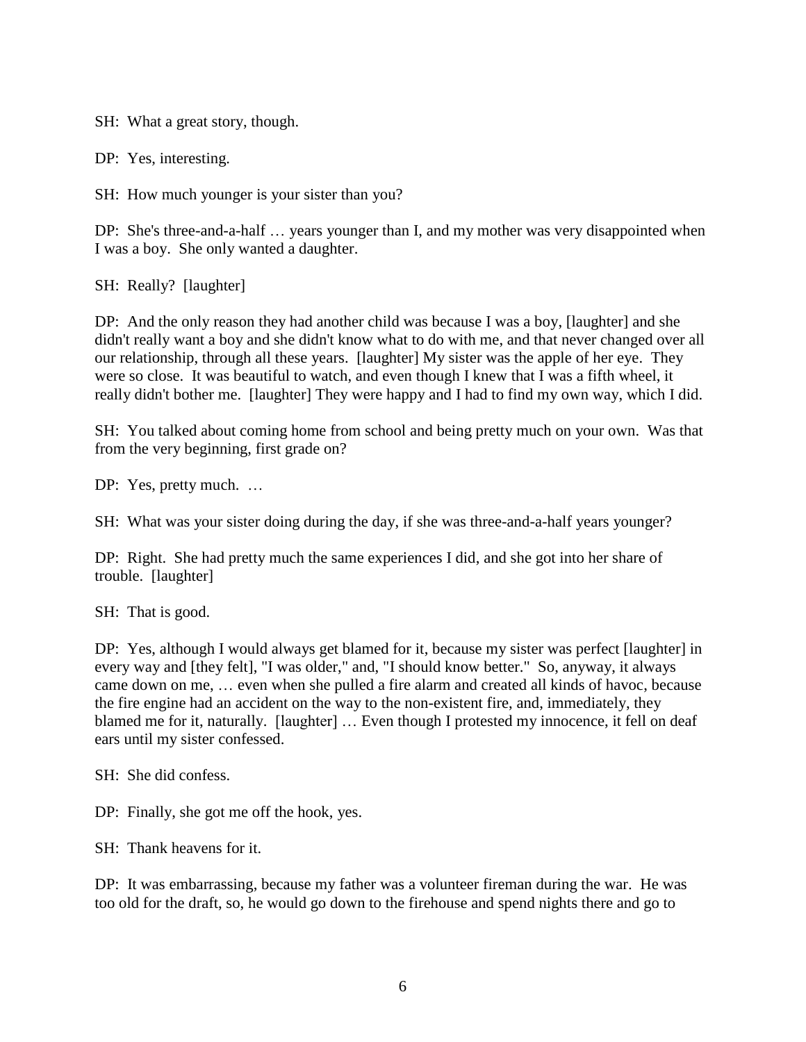SH: What a great story, though.

DP: Yes, interesting.

SH: How much younger is your sister than you?

DP: She's three-and-a-half … years younger than I, and my mother was very disappointed when I was a boy. She only wanted a daughter.

SH: Really? [laughter]

DP: And the only reason they had another child was because I was a boy, [laughter] and she didn't really want a boy and she didn't know what to do with me, and that never changed over all our relationship, through all these years. [laughter] My sister was the apple of her eye. They were so close. It was beautiful to watch, and even though I knew that I was a fifth wheel, it really didn't bother me. [laughter] They were happy and I had to find my own way, which I did.

SH: You talked about coming home from school and being pretty much on your own. Was that from the very beginning, first grade on?

DP: Yes, pretty much. ...

SH: What was your sister doing during the day, if she was three-and-a-half years younger?

DP: Right. She had pretty much the same experiences I did, and she got into her share of trouble. [laughter]

SH: That is good.

DP: Yes, although I would always get blamed for it, because my sister was perfect [laughter] in every way and [they felt], "I was older," and, "I should know better." So, anyway, it always came down on me, … even when she pulled a fire alarm and created all kinds of havoc, because the fire engine had an accident on the way to the non-existent fire, and, immediately, they blamed me for it, naturally. [laughter] … Even though I protested my innocence, it fell on deaf ears until my sister confessed.

SH: She did confess.

DP: Finally, she got me off the hook, yes.

SH: Thank heavens for it.

DP: It was embarrassing, because my father was a volunteer fireman during the war. He was too old for the draft, so, he would go down to the firehouse and spend nights there and go to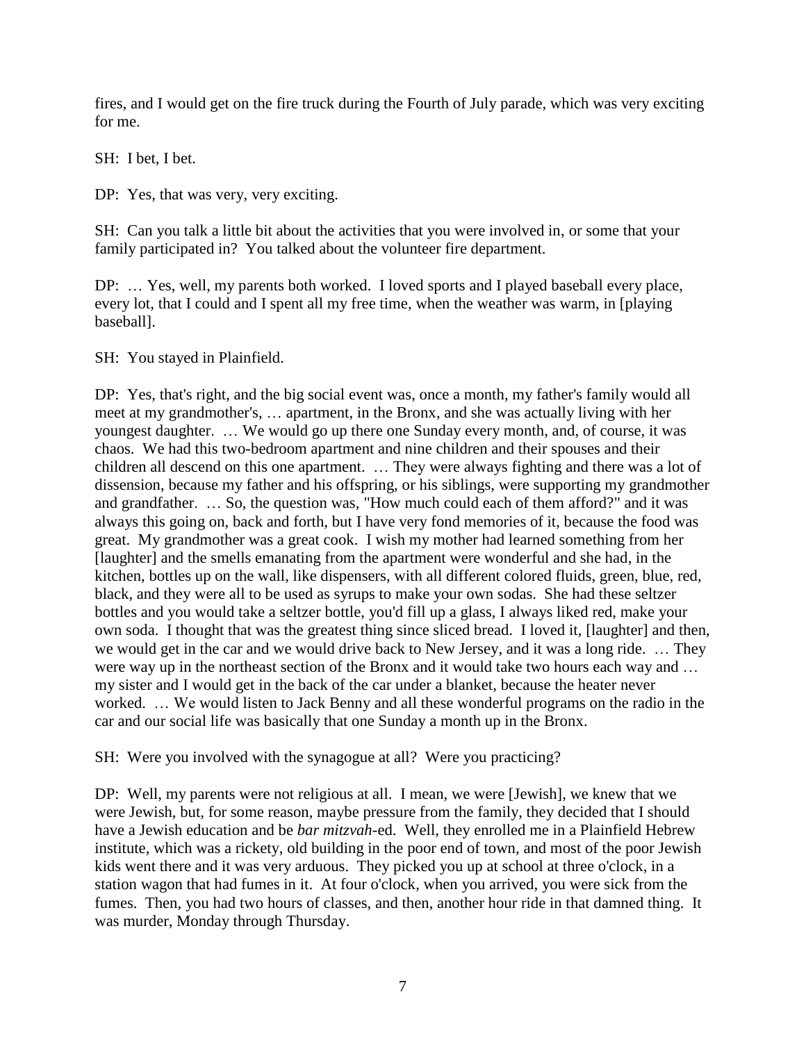fires, and I would get on the fire truck during the Fourth of July parade, which was very exciting for me.

SH: I bet, I bet.

DP: Yes, that was very, very exciting.

SH: Can you talk a little bit about the activities that you were involved in, or some that your family participated in? You talked about the volunteer fire department.

DP: … Yes, well, my parents both worked. I loved sports and I played baseball every place, every lot, that I could and I spent all my free time, when the weather was warm, in [playing baseball].

SH: You stayed in Plainfield.

DP: Yes, that's right, and the big social event was, once a month, my father's family would all meet at my grandmother's, … apartment, in the Bronx, and she was actually living with her youngest daughter. … We would go up there one Sunday every month, and, of course, it was chaos. We had this two-bedroom apartment and nine children and their spouses and their children all descend on this one apartment. … They were always fighting and there was a lot of dissension, because my father and his offspring, or his siblings, were supporting my grandmother and grandfather. … So, the question was, "How much could each of them afford?" and it was always this going on, back and forth, but I have very fond memories of it, because the food was great. My grandmother was a great cook. I wish my mother had learned something from her [laughter] and the smells emanating from the apartment were wonderful and she had, in the kitchen, bottles up on the wall, like dispensers, with all different colored fluids, green, blue, red, black, and they were all to be used as syrups to make your own sodas. She had these seltzer bottles and you would take a seltzer bottle, you'd fill up a glass, I always liked red, make your own soda. I thought that was the greatest thing since sliced bread. I loved it, [laughter] and then, we would get in the car and we would drive back to New Jersey, and it was a long ride. … They were way up in the northeast section of the Bronx and it would take two hours each way and … my sister and I would get in the back of the car under a blanket, because the heater never worked. … We would listen to Jack Benny and all these wonderful programs on the radio in the car and our social life was basically that one Sunday a month up in the Bronx.

SH: Were you involved with the synagogue at all? Were you practicing?

DP: Well, my parents were not religious at all. I mean, we were [Jewish], we knew that we were Jewish, but, for some reason, maybe pressure from the family, they decided that I should have a Jewish education and be *bar mitzvah*-ed. Well, they enrolled me in a Plainfield Hebrew institute, which was a rickety, old building in the poor end of town, and most of the poor Jewish kids went there and it was very arduous. They picked you up at school at three o'clock, in a station wagon that had fumes in it. At four o'clock, when you arrived, you were sick from the fumes. Then, you had two hours of classes, and then, another hour ride in that damned thing. It was murder, Monday through Thursday.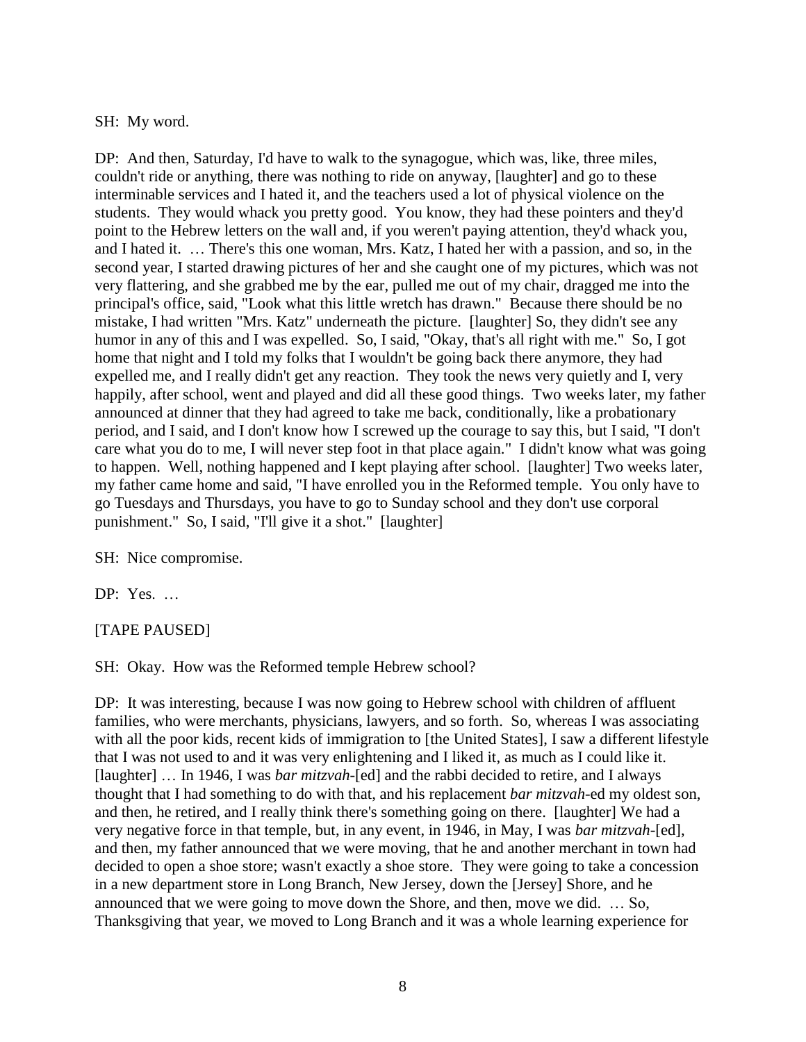#### SH: My word.

DP: And then, Saturday, I'd have to walk to the synagogue, which was, like, three miles, couldn't ride or anything, there was nothing to ride on anyway, [laughter] and go to these interminable services and I hated it, and the teachers used a lot of physical violence on the students. They would whack you pretty good. You know, they had these pointers and they'd point to the Hebrew letters on the wall and, if you weren't paying attention, they'd whack you, and I hated it. … There's this one woman, Mrs. Katz, I hated her with a passion, and so, in the second year, I started drawing pictures of her and she caught one of my pictures, which was not very flattering, and she grabbed me by the ear, pulled me out of my chair, dragged me into the principal's office, said, "Look what this little wretch has drawn." Because there should be no mistake, I had written "Mrs. Katz" underneath the picture. [laughter] So, they didn't see any humor in any of this and I was expelled. So, I said, "Okay, that's all right with me." So, I got home that night and I told my folks that I wouldn't be going back there anymore, they had expelled me, and I really didn't get any reaction. They took the news very quietly and I, very happily, after school, went and played and did all these good things. Two weeks later, my father announced at dinner that they had agreed to take me back, conditionally, like a probationary period, and I said, and I don't know how I screwed up the courage to say this, but I said, "I don't care what you do to me, I will never step foot in that place again." I didn't know what was going to happen. Well, nothing happened and I kept playing after school. [laughter] Two weeks later, my father came home and said, "I have enrolled you in the Reformed temple. You only have to go Tuesdays and Thursdays, you have to go to Sunday school and they don't use corporal punishment." So, I said, "I'll give it a shot." [laughter]

SH: Nice compromise.

DP: Yes. …

#### [TAPE PAUSED]

SH: Okay. How was the Reformed temple Hebrew school?

DP: It was interesting, because I was now going to Hebrew school with children of affluent families, who were merchants, physicians, lawyers, and so forth. So, whereas I was associating with all the poor kids, recent kids of immigration to [the United States], I saw a different lifestyle that I was not used to and it was very enlightening and I liked it, as much as I could like it. [laughter] ... In 1946, I was *bar mitzvah*-[ed] and the rabbi decided to retire, and I always thought that I had something to do with that, and his replacement *bar mitzvah*-ed my oldest son, and then, he retired, and I really think there's something going on there. [laughter] We had a very negative force in that temple, but, in any event, in 1946, in May, I was *bar mitzvah*-[ed], and then, my father announced that we were moving, that he and another merchant in town had decided to open a shoe store; wasn't exactly a shoe store. They were going to take a concession in a new department store in Long Branch, New Jersey, down the [Jersey] Shore, and he announced that we were going to move down the Shore, and then, move we did. … So, Thanksgiving that year, we moved to Long Branch and it was a whole learning experience for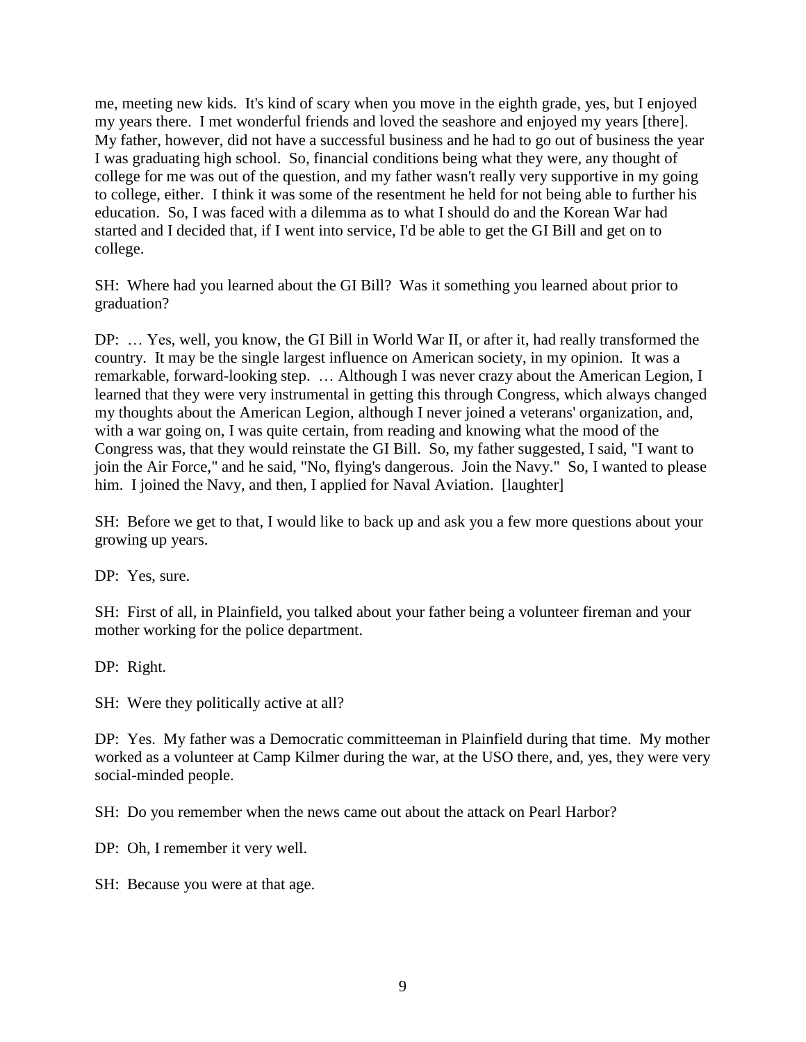me, meeting new kids. It's kind of scary when you move in the eighth grade, yes, but I enjoyed my years there. I met wonderful friends and loved the seashore and enjoyed my years [there]. My father, however, did not have a successful business and he had to go out of business the year I was graduating high school. So, financial conditions being what they were, any thought of college for me was out of the question, and my father wasn't really very supportive in my going to college, either. I think it was some of the resentment he held for not being able to further his education. So, I was faced with a dilemma as to what I should do and the Korean War had started and I decided that, if I went into service, I'd be able to get the GI Bill and get on to college.

SH: Where had you learned about the GI Bill? Was it something you learned about prior to graduation?

DP: … Yes, well, you know, the GI Bill in World War II, or after it, had really transformed the country. It may be the single largest influence on American society, in my opinion. It was a remarkable, forward-looking step. … Although I was never crazy about the American Legion, I learned that they were very instrumental in getting this through Congress, which always changed my thoughts about the American Legion, although I never joined a veterans' organization, and, with a war going on, I was quite certain, from reading and knowing what the mood of the Congress was, that they would reinstate the GI Bill. So, my father suggested, I said, "I want to join the Air Force," and he said, "No, flying's dangerous. Join the Navy." So, I wanted to please him. I joined the Navy, and then, I applied for Naval Aviation. [laughter]

SH: Before we get to that, I would like to back up and ask you a few more questions about your growing up years.

DP: Yes, sure.

SH: First of all, in Plainfield, you talked about your father being a volunteer fireman and your mother working for the police department.

DP: Right.

SH: Were they politically active at all?

DP: Yes. My father was a Democratic committeeman in Plainfield during that time. My mother worked as a volunteer at Camp Kilmer during the war, at the USO there, and, yes, they were very social-minded people.

SH: Do you remember when the news came out about the attack on Pearl Harbor?

DP: Oh, I remember it very well.

SH: Because you were at that age.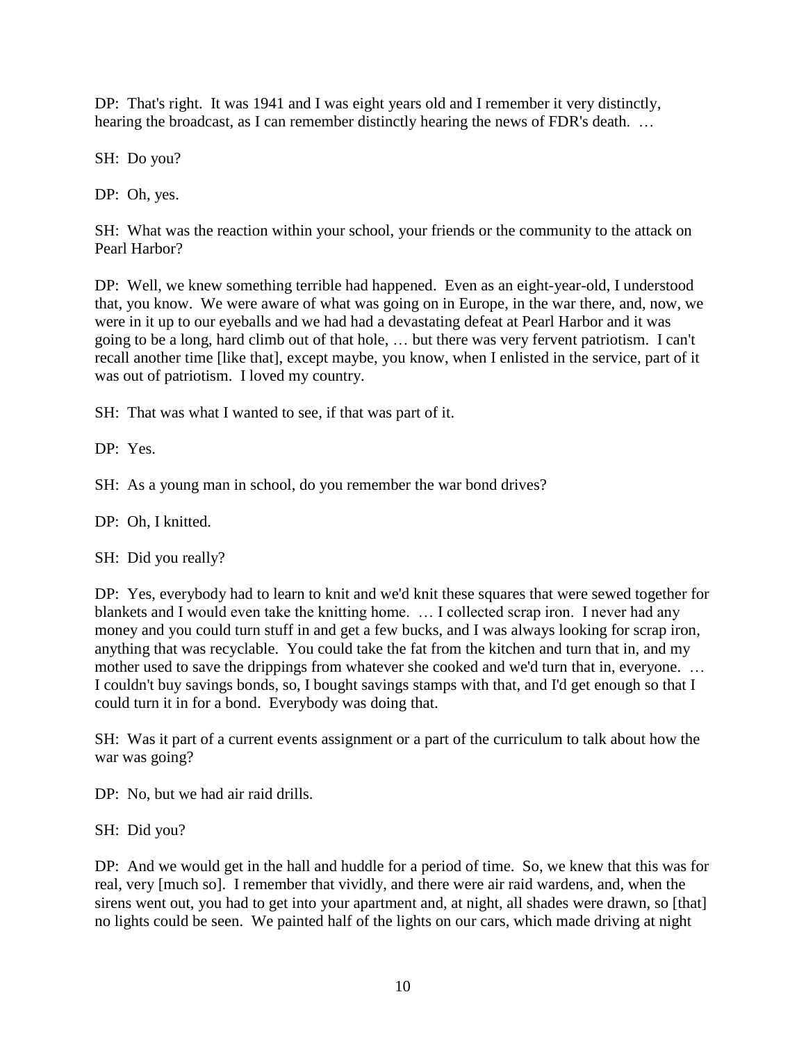DP: That's right. It was 1941 and I was eight years old and I remember it very distinctly, hearing the broadcast, as I can remember distinctly hearing the news of FDR's death. ...

SH: Do you?

DP: Oh, yes.

SH: What was the reaction within your school, your friends or the community to the attack on Pearl Harbor?

DP: Well, we knew something terrible had happened. Even as an eight-year-old, I understood that, you know. We were aware of what was going on in Europe, in the war there, and, now, we were in it up to our eyeballs and we had had a devastating defeat at Pearl Harbor and it was going to be a long, hard climb out of that hole, … but there was very fervent patriotism. I can't recall another time [like that], except maybe, you know, when I enlisted in the service, part of it was out of patriotism. I loved my country.

SH: That was what I wanted to see, if that was part of it.

DP: Yes.

SH: As a young man in school, do you remember the war bond drives?

DP: Oh, I knitted.

SH: Did you really?

DP: Yes, everybody had to learn to knit and we'd knit these squares that were sewed together for blankets and I would even take the knitting home. … I collected scrap iron. I never had any money and you could turn stuff in and get a few bucks, and I was always looking for scrap iron, anything that was recyclable. You could take the fat from the kitchen and turn that in, and my mother used to save the drippings from whatever she cooked and we'd turn that in, everyone. … I couldn't buy savings bonds, so, I bought savings stamps with that, and I'd get enough so that I could turn it in for a bond. Everybody was doing that.

SH: Was it part of a current events assignment or a part of the curriculum to talk about how the war was going?

DP: No, but we had air raid drills.

SH: Did you?

DP: And we would get in the hall and huddle for a period of time. So, we knew that this was for real, very [much so]. I remember that vividly, and there were air raid wardens, and, when the sirens went out, you had to get into your apartment and, at night, all shades were drawn, so [that] no lights could be seen. We painted half of the lights on our cars, which made driving at night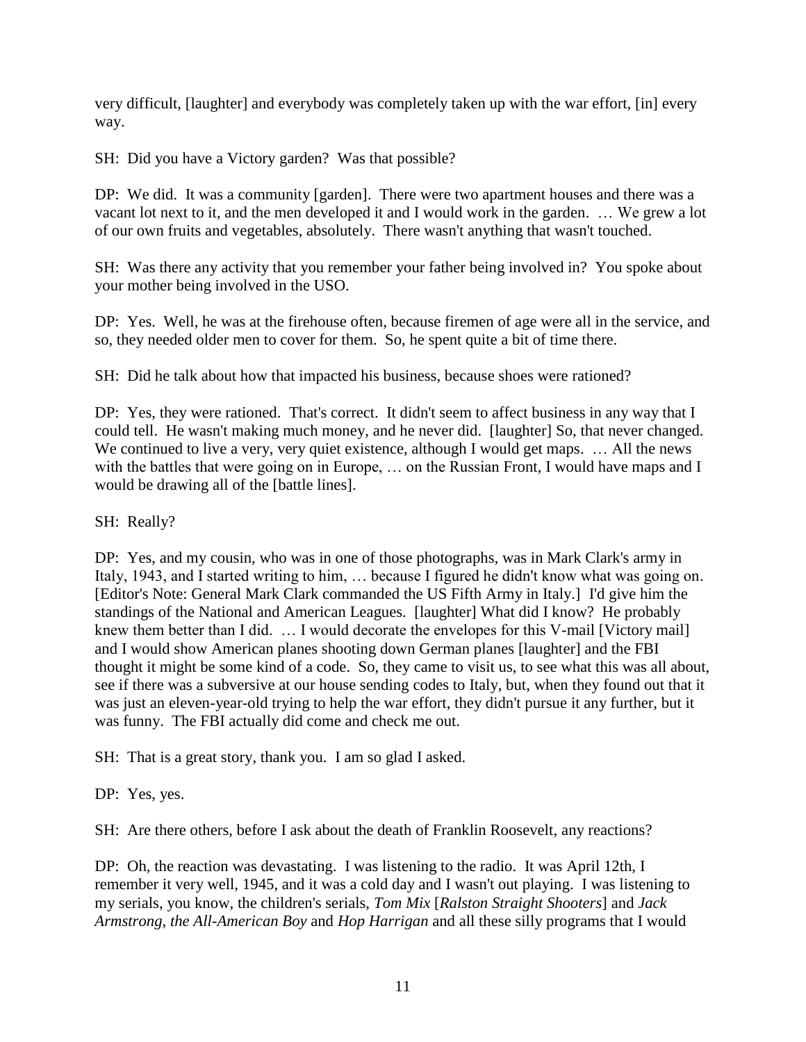very difficult, [laughter] and everybody was completely taken up with the war effort, [in] every way.

SH: Did you have a Victory garden? Was that possible?

DP: We did. It was a community [garden]. There were two apartment houses and there was a vacant lot next to it, and the men developed it and I would work in the garden. … We grew a lot of our own fruits and vegetables, absolutely. There wasn't anything that wasn't touched.

SH: Was there any activity that you remember your father being involved in? You spoke about your mother being involved in the USO.

DP: Yes. Well, he was at the firehouse often, because firemen of age were all in the service, and so, they needed older men to cover for them. So, he spent quite a bit of time there.

SH: Did he talk about how that impacted his business, because shoes were rationed?

DP: Yes, they were rationed. That's correct. It didn't seem to affect business in any way that I could tell. He wasn't making much money, and he never did. [laughter] So, that never changed. We continued to live a very, very quiet existence, although I would get maps. ... All the news with the battles that were going on in Europe, ... on the Russian Front, I would have maps and I would be drawing all of the [battle lines].

# SH: Really?

DP: Yes, and my cousin, who was in one of those photographs, was in Mark Clark's army in Italy, 1943, and I started writing to him, … because I figured he didn't know what was going on. [Editor's Note: General Mark Clark commanded the US Fifth Army in Italy.] I'd give him the standings of the National and American Leagues. [laughter] What did I know? He probably knew them better than I did. … I would decorate the envelopes for this V-mail [Victory mail] and I would show American planes shooting down German planes [laughter] and the FBI thought it might be some kind of a code. So, they came to visit us, to see what this was all about, see if there was a subversive at our house sending codes to Italy, but, when they found out that it was just an eleven-year-old trying to help the war effort, they didn't pursue it any further, but it was funny. The FBI actually did come and check me out.

SH: That is a great story, thank you. I am so glad I asked.

DP: Yes, yes.

SH: Are there others, before I ask about the death of Franklin Roosevelt, any reactions?

DP: Oh, the reaction was devastating. I was listening to the radio. It was April 12th, I remember it very well, 1945, and it was a cold day and I wasn't out playing. I was listening to my serials, you know, the children's serials, *Tom Mix* [*Ralston Straight Shooters*] and *Jack Armstrong, the All-American Boy* and *Hop Harrigan* and all these silly programs that I would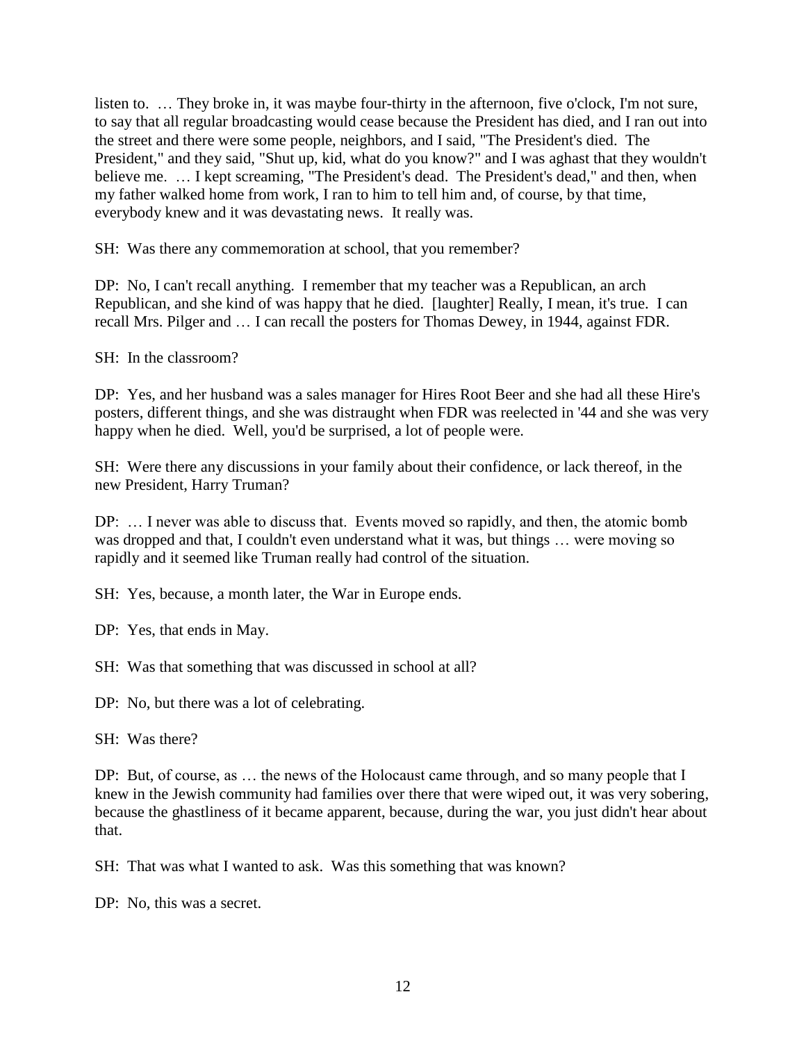listen to. … They broke in, it was maybe four-thirty in the afternoon, five o'clock, I'm not sure, to say that all regular broadcasting would cease because the President has died, and I ran out into the street and there were some people, neighbors, and I said, "The President's died. The President," and they said, "Shut up, kid, what do you know?" and I was aghast that they wouldn't believe me. … I kept screaming, "The President's dead. The President's dead," and then, when my father walked home from work, I ran to him to tell him and, of course, by that time, everybody knew and it was devastating news. It really was.

SH: Was there any commemoration at school, that you remember?

DP: No, I can't recall anything. I remember that my teacher was a Republican, an arch Republican, and she kind of was happy that he died. [laughter] Really, I mean, it's true. I can recall Mrs. Pilger and … I can recall the posters for Thomas Dewey, in 1944, against FDR.

SH: In the classroom?

DP: Yes, and her husband was a sales manager for Hires Root Beer and she had all these Hire's posters, different things, and she was distraught when FDR was reelected in '44 and she was very happy when he died. Well, you'd be surprised, a lot of people were.

SH: Were there any discussions in your family about their confidence, or lack thereof, in the new President, Harry Truman?

DP: … I never was able to discuss that. Events moved so rapidly, and then, the atomic bomb was dropped and that, I couldn't even understand what it was, but things … were moving so rapidly and it seemed like Truman really had control of the situation.

SH: Yes, because, a month later, the War in Europe ends.

DP: Yes, that ends in May.

SH: Was that something that was discussed in school at all?

DP: No, but there was a lot of celebrating.

SH: Was there?

DP: But, of course, as ... the news of the Holocaust came through, and so many people that I knew in the Jewish community had families over there that were wiped out, it was very sobering, because the ghastliness of it became apparent, because, during the war, you just didn't hear about that.

SH: That was what I wanted to ask. Was this something that was known?

DP: No, this was a secret.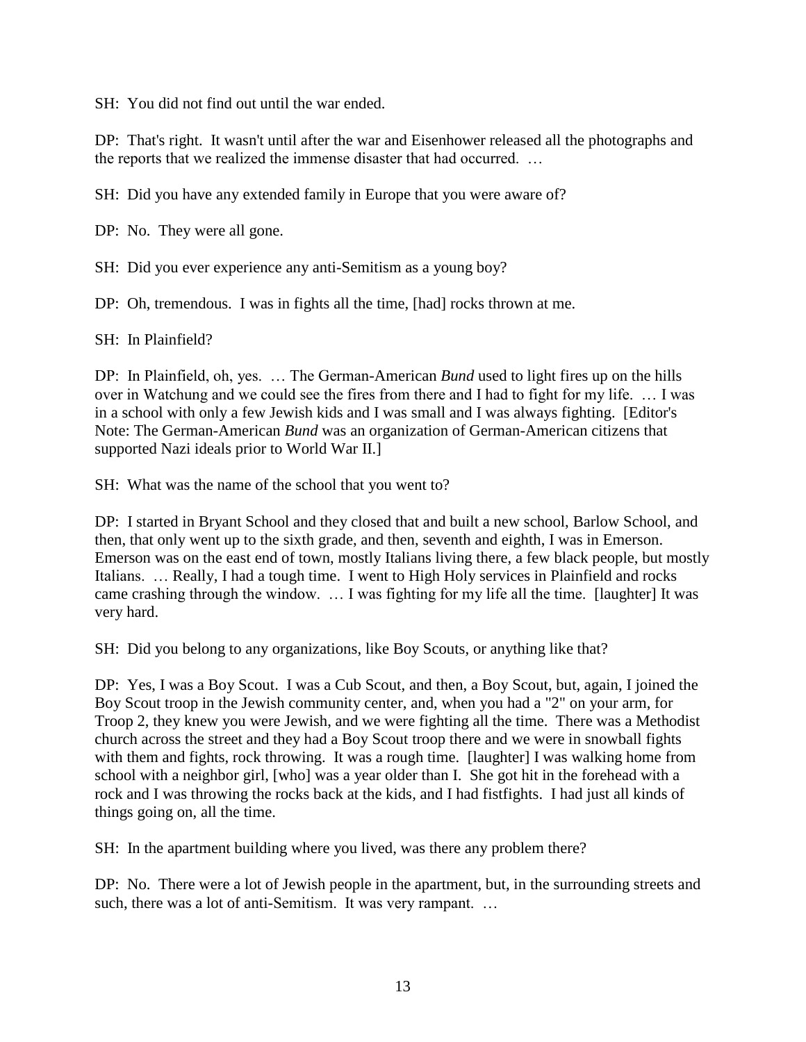SH: You did not find out until the war ended.

DP: That's right. It wasn't until after the war and Eisenhower released all the photographs and the reports that we realized the immense disaster that had occurred. …

SH: Did you have any extended family in Europe that you were aware of?

DP: No. They were all gone.

SH: Did you ever experience any anti-Semitism as a young boy?

DP: Oh, tremendous. I was in fights all the time, [had] rocks thrown at me.

SH: In Plainfield?

DP: In Plainfield, oh, yes. … The German-American *Bund* used to light fires up on the hills over in Watchung and we could see the fires from there and I had to fight for my life. … I was in a school with only a few Jewish kids and I was small and I was always fighting. [Editor's Note: The German-American *Bund* was an organization of German-American citizens that supported Nazi ideals prior to World War II.]

SH: What was the name of the school that you went to?

DP: I started in Bryant School and they closed that and built a new school, Barlow School, and then, that only went up to the sixth grade, and then, seventh and eighth, I was in Emerson. Emerson was on the east end of town, mostly Italians living there, a few black people, but mostly Italians. … Really, I had a tough time. I went to High Holy services in Plainfield and rocks came crashing through the window. … I was fighting for my life all the time. [laughter] It was very hard.

SH: Did you belong to any organizations, like Boy Scouts, or anything like that?

DP: Yes, I was a Boy Scout. I was a Cub Scout, and then, a Boy Scout, but, again, I joined the Boy Scout troop in the Jewish community center, and, when you had a "2" on your arm, for Troop 2, they knew you were Jewish, and we were fighting all the time. There was a Methodist church across the street and they had a Boy Scout troop there and we were in snowball fights with them and fights, rock throwing. It was a rough time. [laughter] I was walking home from school with a neighbor girl, [who] was a year older than I. She got hit in the forehead with a rock and I was throwing the rocks back at the kids, and I had fistfights. I had just all kinds of things going on, all the time.

SH: In the apartment building where you lived, was there any problem there?

DP: No. There were a lot of Jewish people in the apartment, but, in the surrounding streets and such, there was a lot of anti-Semitism. It was very rampant. ...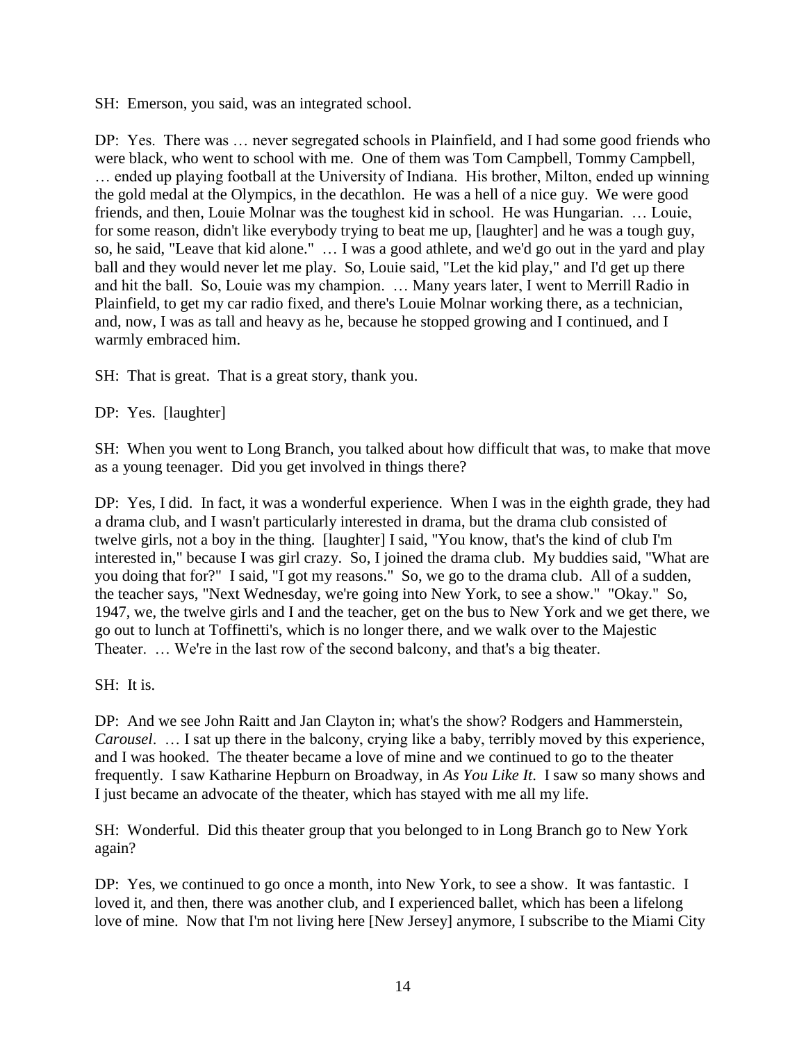SH: Emerson, you said, was an integrated school.

DP: Yes. There was … never segregated schools in Plainfield, and I had some good friends who were black, who went to school with me. One of them was Tom Campbell, Tommy Campbell, … ended up playing football at the University of Indiana. His brother, Milton, ended up winning the gold medal at the Olympics, in the decathlon. He was a hell of a nice guy. We were good friends, and then, Louie Molnar was the toughest kid in school. He was Hungarian. … Louie, for some reason, didn't like everybody trying to beat me up, [laughter] and he was a tough guy, so, he said, "Leave that kid alone." … I was a good athlete, and we'd go out in the yard and play ball and they would never let me play. So, Louie said, "Let the kid play," and I'd get up there and hit the ball. So, Louie was my champion. … Many years later, I went to Merrill Radio in Plainfield, to get my car radio fixed, and there's Louie Molnar working there, as a technician, and, now, I was as tall and heavy as he, because he stopped growing and I continued, and I warmly embraced him.

SH: That is great. That is a great story, thank you.

DP: Yes. [laughter]

SH: When you went to Long Branch, you talked about how difficult that was, to make that move as a young teenager. Did you get involved in things there?

DP: Yes, I did. In fact, it was a wonderful experience. When I was in the eighth grade, they had a drama club, and I wasn't particularly interested in drama, but the drama club consisted of twelve girls, not a boy in the thing. [laughter] I said, "You know, that's the kind of club I'm interested in," because I was girl crazy. So, I joined the drama club. My buddies said, "What are you doing that for?" I said, "I got my reasons." So, we go to the drama club. All of a sudden, the teacher says, "Next Wednesday, we're going into New York, to see a show." "Okay." So, 1947, we, the twelve girls and I and the teacher, get on the bus to New York and we get there, we go out to lunch at Toffinetti's, which is no longer there, and we walk over to the Majestic Theater. … We're in the last row of the second balcony, and that's a big theater.

SH: It is.

DP: And we see John Raitt and Jan Clayton in; what's the show? Rodgers and Hammerstein, *Carousel.* ... I sat up there in the balcony, crying like a baby, terribly moved by this experience, and I was hooked. The theater became a love of mine and we continued to go to the theater frequently. I saw Katharine Hepburn on Broadway, in *As You Like It*. I saw so many shows and I just became an advocate of the theater, which has stayed with me all my life.

SH: Wonderful. Did this theater group that you belonged to in Long Branch go to New York again?

DP: Yes, we continued to go once a month, into New York, to see a show. It was fantastic. I loved it, and then, there was another club, and I experienced ballet, which has been a lifelong love of mine. Now that I'm not living here [New Jersey] anymore, I subscribe to the Miami City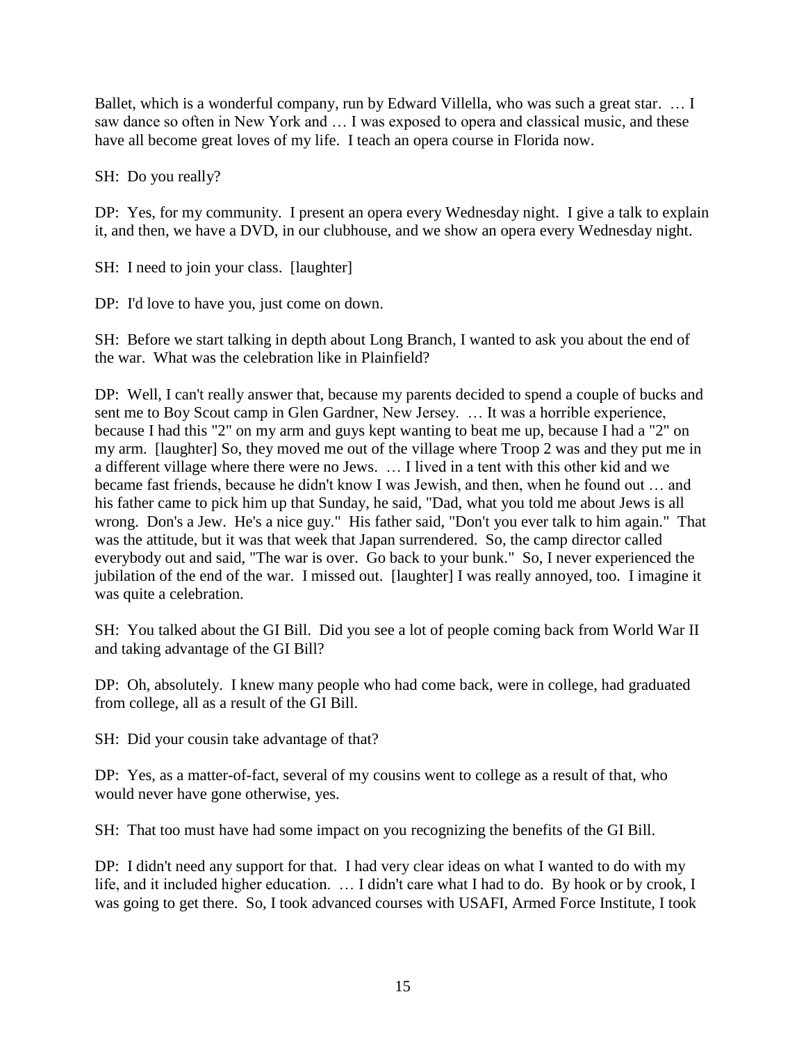Ballet, which is a wonderful company, run by Edward Villella, who was such a great star. ... I saw dance so often in New York and … I was exposed to opera and classical music, and these have all become great loves of my life. I teach an opera course in Florida now.

SH: Do you really?

DP: Yes, for my community. I present an opera every Wednesday night. I give a talk to explain it, and then, we have a DVD, in our clubhouse, and we show an opera every Wednesday night.

SH: I need to join your class. [laughter]

DP: I'd love to have you, just come on down.

SH: Before we start talking in depth about Long Branch, I wanted to ask you about the end of the war. What was the celebration like in Plainfield?

DP: Well, I can't really answer that, because my parents decided to spend a couple of bucks and sent me to Boy Scout camp in Glen Gardner, New Jersey. … It was a horrible experience, because I had this "2" on my arm and guys kept wanting to beat me up, because I had a "2" on my arm. [laughter] So, they moved me out of the village where Troop 2 was and they put me in a different village where there were no Jews. … I lived in a tent with this other kid and we became fast friends, because he didn't know I was Jewish, and then, when he found out … and his father came to pick him up that Sunday, he said, "Dad, what you told me about Jews is all wrong. Don's a Jew. He's a nice guy." His father said, "Don't you ever talk to him again." That was the attitude, but it was that week that Japan surrendered. So, the camp director called everybody out and said, "The war is over. Go back to your bunk." So, I never experienced the jubilation of the end of the war. I missed out. [laughter] I was really annoyed, too. I imagine it was quite a celebration.

SH: You talked about the GI Bill. Did you see a lot of people coming back from World War II and taking advantage of the GI Bill?

DP: Oh, absolutely. I knew many people who had come back, were in college, had graduated from college, all as a result of the GI Bill.

SH: Did your cousin take advantage of that?

DP: Yes, as a matter-of-fact, several of my cousins went to college as a result of that, who would never have gone otherwise, yes.

SH: That too must have had some impact on you recognizing the benefits of the GI Bill.

DP: I didn't need any support for that. I had very clear ideas on what I wanted to do with my life, and it included higher education. … I didn't care what I had to do. By hook or by crook, I was going to get there. So, I took advanced courses with USAFI, Armed Force Institute, I took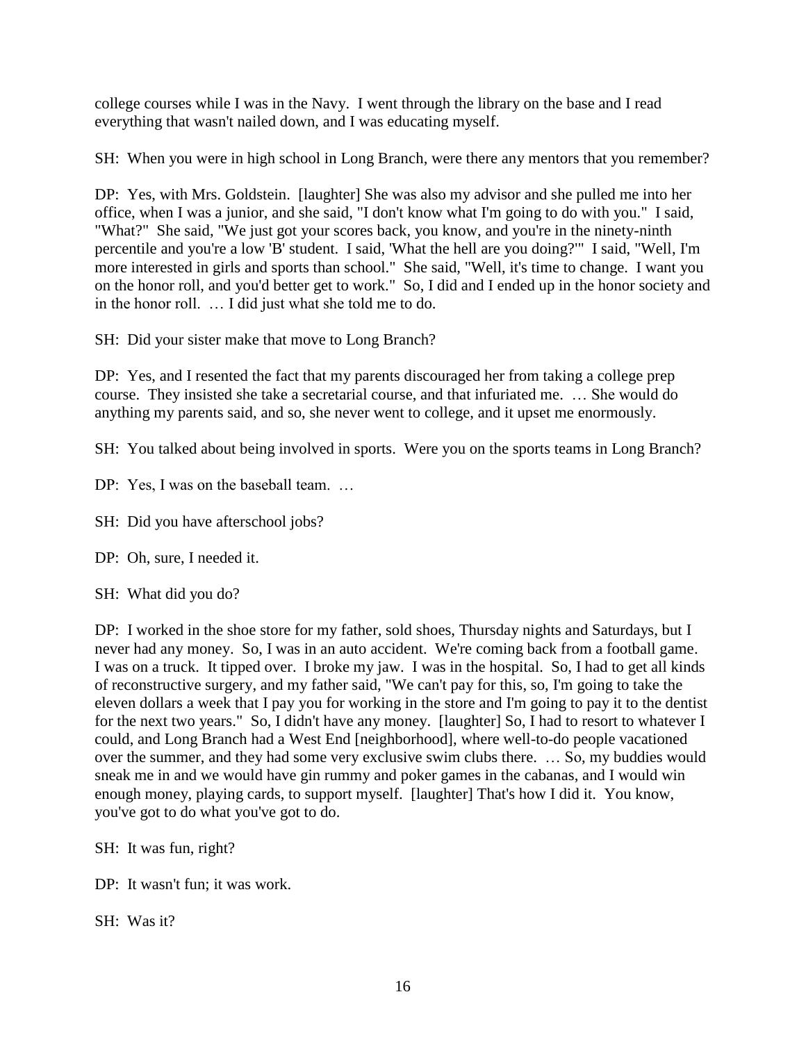college courses while I was in the Navy. I went through the library on the base and I read everything that wasn't nailed down, and I was educating myself.

SH: When you were in high school in Long Branch, were there any mentors that you remember?

DP: Yes, with Mrs. Goldstein. [laughter] She was also my advisor and she pulled me into her office, when I was a junior, and she said, "I don't know what I'm going to do with you." I said, "What?" She said, "We just got your scores back, you know, and you're in the ninety-ninth percentile and you're a low 'B' student. I said, 'What the hell are you doing?'" I said, "Well, I'm more interested in girls and sports than school." She said, "Well, it's time to change. I want you on the honor roll, and you'd better get to work." So, I did and I ended up in the honor society and in the honor roll. … I did just what she told me to do.

SH: Did your sister make that move to Long Branch?

DP: Yes, and I resented the fact that my parents discouraged her from taking a college prep course. They insisted she take a secretarial course, and that infuriated me. … She would do anything my parents said, and so, she never went to college, and it upset me enormously.

SH: You talked about being involved in sports. Were you on the sports teams in Long Branch?

- DP: Yes, I was on the baseball team. ...
- SH: Did you have afterschool jobs?
- DP: Oh, sure, I needed it.
- SH: What did you do?

DP: I worked in the shoe store for my father, sold shoes, Thursday nights and Saturdays, but I never had any money. So, I was in an auto accident. We're coming back from a football game. I was on a truck. It tipped over. I broke my jaw. I was in the hospital. So, I had to get all kinds of reconstructive surgery, and my father said, "We can't pay for this, so, I'm going to take the eleven dollars a week that I pay you for working in the store and I'm going to pay it to the dentist for the next two years." So, I didn't have any money. [laughter] So, I had to resort to whatever I could, and Long Branch had a West End [neighborhood], where well-to-do people vacationed over the summer, and they had some very exclusive swim clubs there. … So, my buddies would sneak me in and we would have gin rummy and poker games in the cabanas, and I would win enough money, playing cards, to support myself. [laughter] That's how I did it. You know, you've got to do what you've got to do.

- SH: It was fun, right?
- DP: It wasn't fun; it was work.

SH: Was it?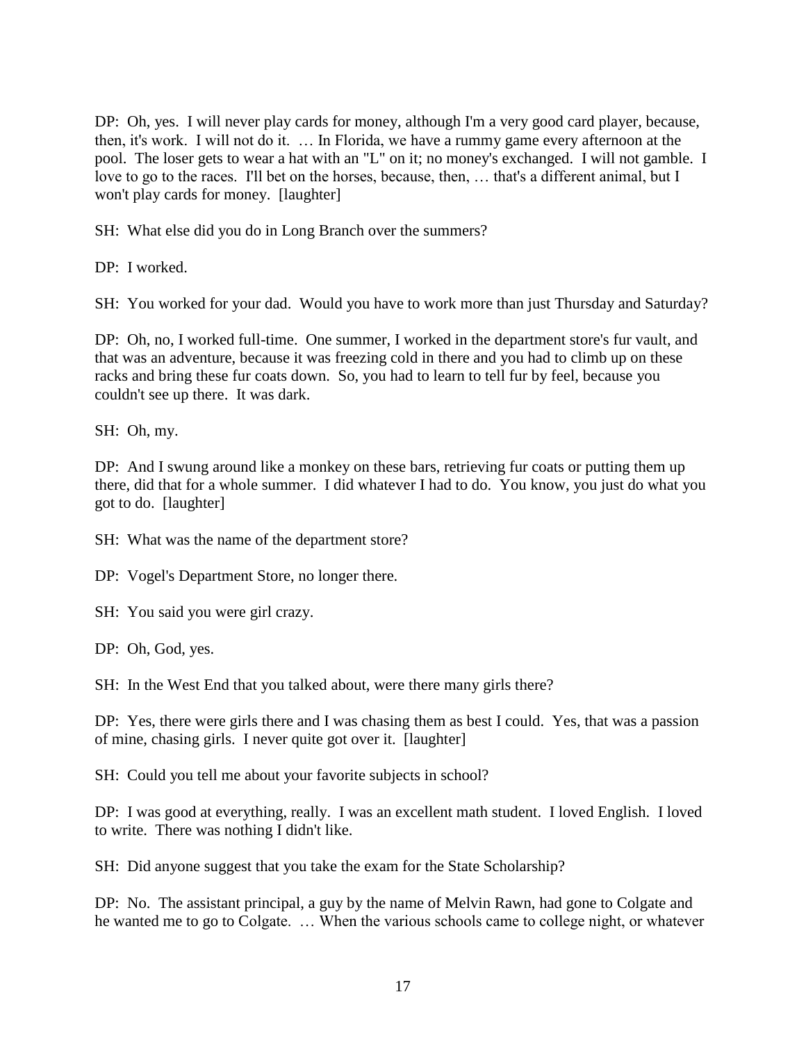DP: Oh, yes. I will never play cards for money, although I'm a very good card player, because, then, it's work. I will not do it. … In Florida, we have a rummy game every afternoon at the pool. The loser gets to wear a hat with an "L" on it; no money's exchanged. I will not gamble. I love to go to the races. I'll bet on the horses, because, then, … that's a different animal, but I won't play cards for money. [laughter]

SH: What else did you do in Long Branch over the summers?

DP: I worked.

SH: You worked for your dad. Would you have to work more than just Thursday and Saturday?

DP: Oh, no, I worked full-time. One summer, I worked in the department store's fur vault, and that was an adventure, because it was freezing cold in there and you had to climb up on these racks and bring these fur coats down. So, you had to learn to tell fur by feel, because you couldn't see up there. It was dark.

SH: Oh, my.

DP: And I swung around like a monkey on these bars, retrieving fur coats or putting them up there, did that for a whole summer. I did whatever I had to do. You know, you just do what you got to do. [laughter]

SH: What was the name of the department store?

DP: Vogel's Department Store, no longer there.

SH: You said you were girl crazy.

DP: Oh, God, yes.

SH: In the West End that you talked about, were there many girls there?

DP: Yes, there were girls there and I was chasing them as best I could. Yes, that was a passion of mine, chasing girls. I never quite got over it. [laughter]

SH: Could you tell me about your favorite subjects in school?

DP: I was good at everything, really. I was an excellent math student. I loved English. I loved to write. There was nothing I didn't like.

SH: Did anyone suggest that you take the exam for the State Scholarship?

DP: No. The assistant principal, a guy by the name of Melvin Rawn, had gone to Colgate and he wanted me to go to Colgate. … When the various schools came to college night, or whatever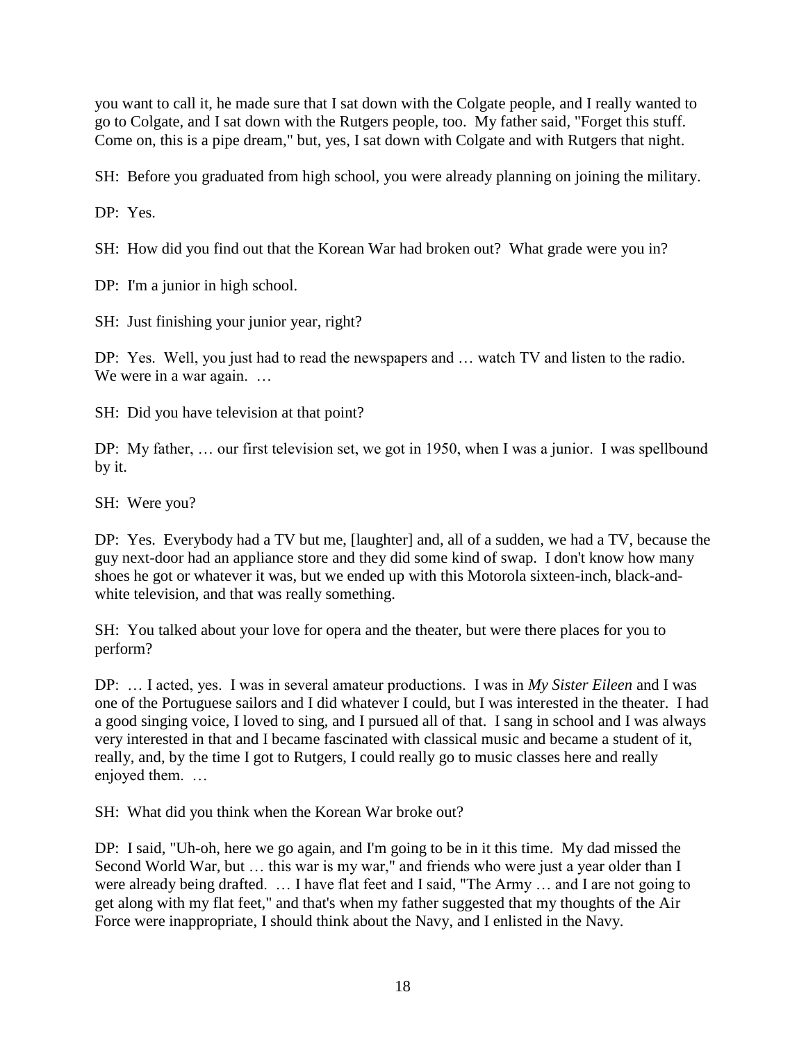you want to call it, he made sure that I sat down with the Colgate people, and I really wanted to go to Colgate, and I sat down with the Rutgers people, too. My father said, "Forget this stuff. Come on, this is a pipe dream," but, yes, I sat down with Colgate and with Rutgers that night.

SH: Before you graduated from high school, you were already planning on joining the military.

DP: Yes.

SH: How did you find out that the Korean War had broken out? What grade were you in?

DP: I'm a junior in high school.

SH: Just finishing your junior year, right?

DP: Yes. Well, you just had to read the newspapers and … watch TV and listen to the radio. We were in a war again. ...

SH: Did you have television at that point?

DP: My father, … our first television set, we got in 1950, when I was a junior. I was spellbound by it.

SH: Were you?

DP: Yes. Everybody had a TV but me, [laughter] and, all of a sudden, we had a TV, because the guy next-door had an appliance store and they did some kind of swap. I don't know how many shoes he got or whatever it was, but we ended up with this Motorola sixteen-inch, black-andwhite television, and that was really something.

SH: You talked about your love for opera and the theater, but were there places for you to perform?

DP: … I acted, yes. I was in several amateur productions. I was in *My Sister Eileen* and I was one of the Portuguese sailors and I did whatever I could, but I was interested in the theater. I had a good singing voice, I loved to sing, and I pursued all of that. I sang in school and I was always very interested in that and I became fascinated with classical music and became a student of it, really, and, by the time I got to Rutgers, I could really go to music classes here and really enjoyed them. …

SH: What did you think when the Korean War broke out?

DP: I said, "Uh-oh, here we go again, and I'm going to be in it this time. My dad missed the Second World War, but … this war is my war," and friends who were just a year older than I were already being drafted. … I have flat feet and I said, "The Army … and I are not going to get along with my flat feet," and that's when my father suggested that my thoughts of the Air Force were inappropriate, I should think about the Navy, and I enlisted in the Navy.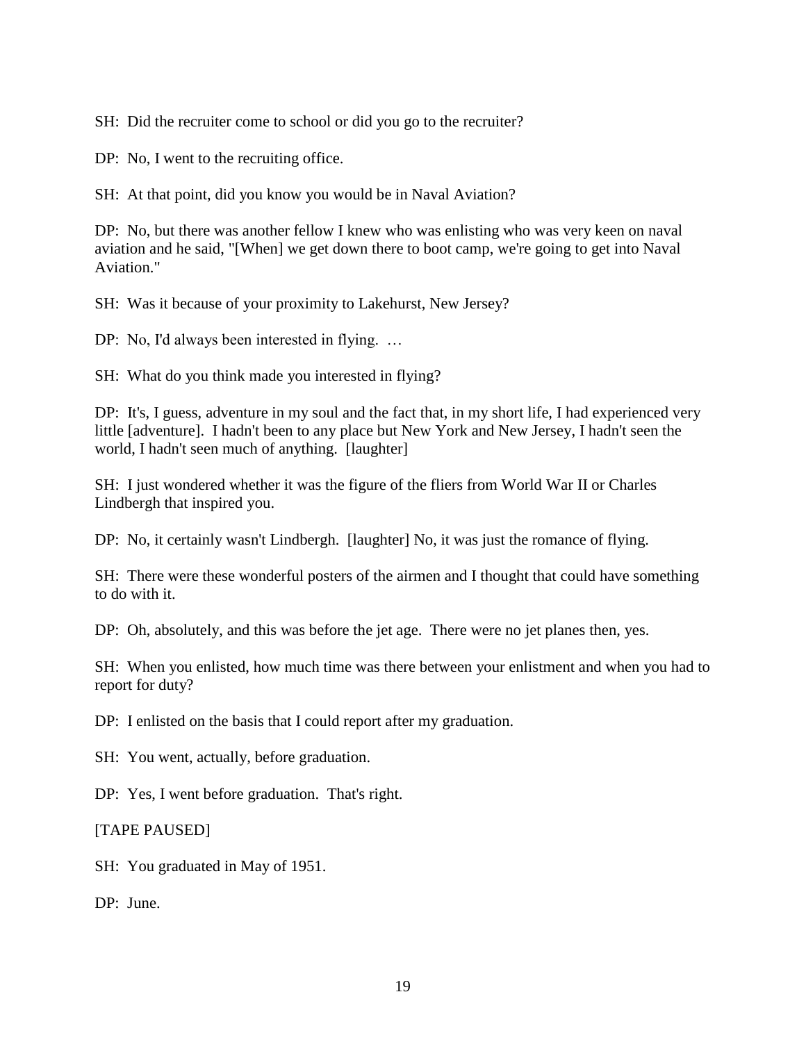SH: Did the recruiter come to school or did you go to the recruiter?

DP: No, I went to the recruiting office.

SH: At that point, did you know you would be in Naval Aviation?

DP: No, but there was another fellow I knew who was enlisting who was very keen on naval aviation and he said, "[When] we get down there to boot camp, we're going to get into Naval Aviation."

SH: Was it because of your proximity to Lakehurst, New Jersey?

DP: No, I'd always been interested in flying. …

SH: What do you think made you interested in flying?

DP: It's, I guess, adventure in my soul and the fact that, in my short life, I had experienced very little [adventure]. I hadn't been to any place but New York and New Jersey, I hadn't seen the world, I hadn't seen much of anything. [laughter]

SH: I just wondered whether it was the figure of the fliers from World War II or Charles Lindbergh that inspired you.

DP: No, it certainly wasn't Lindbergh. [laughter] No, it was just the romance of flying.

SH: There were these wonderful posters of the airmen and I thought that could have something to do with it.

DP: Oh, absolutely, and this was before the jet age. There were no jet planes then, yes.

SH: When you enlisted, how much time was there between your enlistment and when you had to report for duty?

DP: I enlisted on the basis that I could report after my graduation.

SH: You went, actually, before graduation.

DP: Yes, I went before graduation. That's right.

[TAPE PAUSED]

SH: You graduated in May of 1951.

DP: June.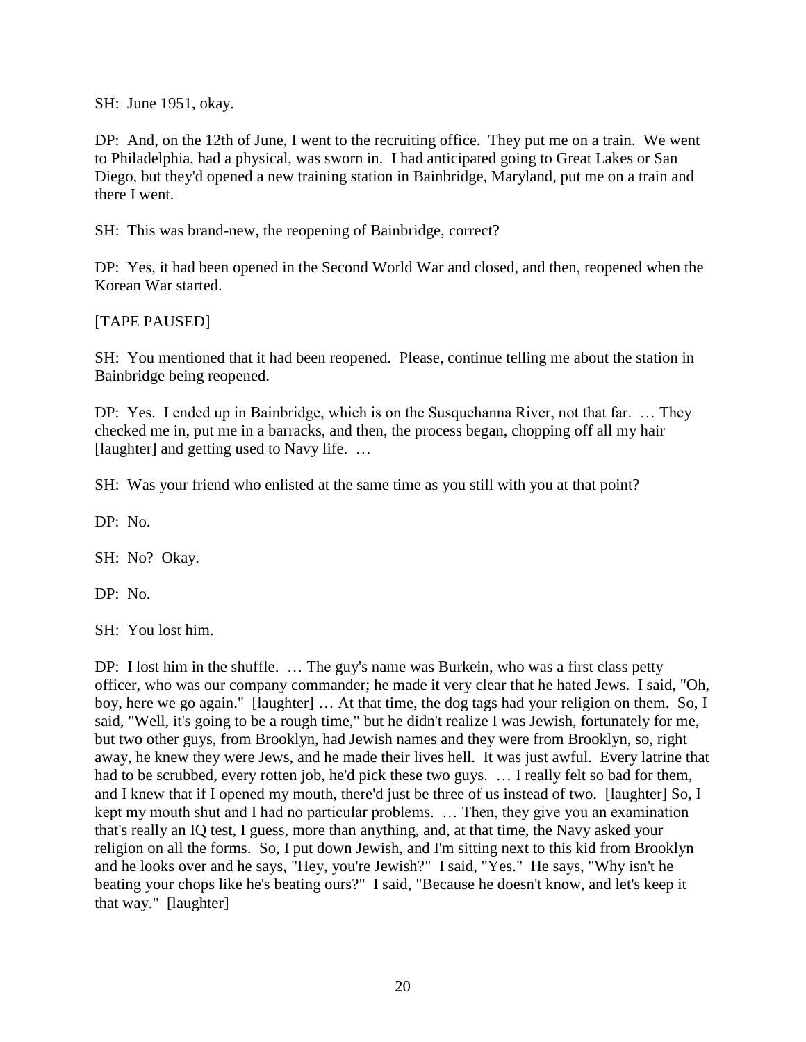SH: June 1951, okay.

DP: And, on the 12th of June, I went to the recruiting office. They put me on a train. We went to Philadelphia, had a physical, was sworn in. I had anticipated going to Great Lakes or San Diego, but they'd opened a new training station in Bainbridge, Maryland, put me on a train and there I went.

SH: This was brand-new, the reopening of Bainbridge, correct?

DP: Yes, it had been opened in the Second World War and closed, and then, reopened when the Korean War started.

### [TAPE PAUSED]

SH: You mentioned that it had been reopened. Please, continue telling me about the station in Bainbridge being reopened.

DP: Yes. I ended up in Bainbridge, which is on the Susquehanna River, not that far. … They checked me in, put me in a barracks, and then, the process began, chopping off all my hair [laughter] and getting used to Navy life. ...

SH: Was your friend who enlisted at the same time as you still with you at that point?

DP: No.

SH: No? Okay.

DP: No.

SH: You lost him.

DP: I lost him in the shuffle. ... The guy's name was Burkein, who was a first class petty officer, who was our company commander; he made it very clear that he hated Jews. I said, "Oh, boy, here we go again." [laughter] … At that time, the dog tags had your religion on them. So, I said, "Well, it's going to be a rough time," but he didn't realize I was Jewish, fortunately for me, but two other guys, from Brooklyn, had Jewish names and they were from Brooklyn, so, right away, he knew they were Jews, and he made their lives hell. It was just awful. Every latrine that had to be scrubbed, every rotten job, he'd pick these two guys. … I really felt so bad for them, and I knew that if I opened my mouth, there'd just be three of us instead of two. [laughter] So, I kept my mouth shut and I had no particular problems. … Then, they give you an examination that's really an IQ test, I guess, more than anything, and, at that time, the Navy asked your religion on all the forms. So, I put down Jewish, and I'm sitting next to this kid from Brooklyn and he looks over and he says, "Hey, you're Jewish?" I said, "Yes." He says, "Why isn't he beating your chops like he's beating ours?" I said, "Because he doesn't know, and let's keep it that way." [laughter]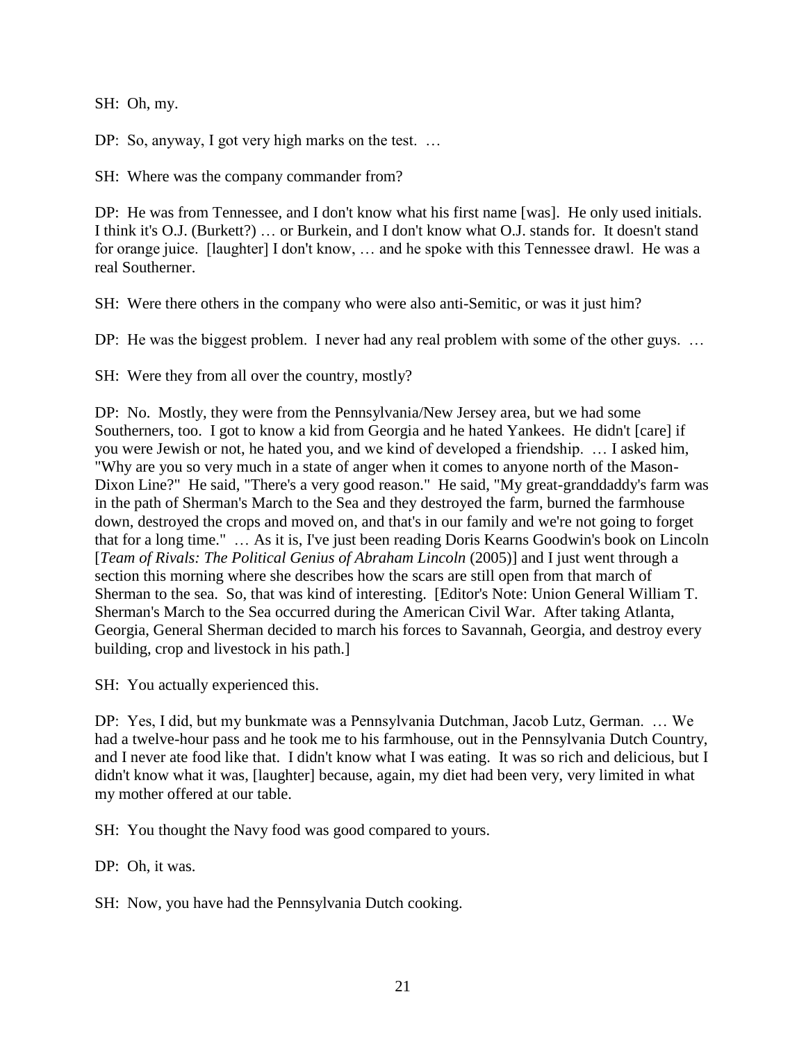SH: Oh, my.

DP: So, anyway, I got very high marks on the test. ...

SH: Where was the company commander from?

DP: He was from Tennessee, and I don't know what his first name [was]. He only used initials. I think it's O.J. (Burkett?) … or Burkein, and I don't know what O.J. stands for. It doesn't stand for orange juice. [laughter] I don't know, … and he spoke with this Tennessee drawl. He was a real Southerner.

SH: Were there others in the company who were also anti-Semitic, or was it just him?

DP: He was the biggest problem. I never had any real problem with some of the other guys. ...

SH: Were they from all over the country, mostly?

DP: No. Mostly, they were from the Pennsylvania/New Jersey area, but we had some Southerners, too. I got to know a kid from Georgia and he hated Yankees. He didn't [care] if you were Jewish or not, he hated you, and we kind of developed a friendship. … I asked him, "Why are you so very much in a state of anger when it comes to anyone north of the Mason-Dixon Line?" He said, "There's a very good reason." He said, "My great-granddaddy's farm was in the path of Sherman's March to the Sea and they destroyed the farm, burned the farmhouse down, destroyed the crops and moved on, and that's in our family and we're not going to forget that for a long time." … As it is, I've just been reading Doris Kearns Goodwin's book on Lincoln [*Team of Rivals: The Political Genius of Abraham Lincoln* (2005)] and I just went through a section this morning where she describes how the scars are still open from that march of Sherman to the sea. So, that was kind of interesting. [Editor's Note: Union General William T. Sherman's March to the Sea occurred during the American Civil War. After taking Atlanta, Georgia, General Sherman decided to march his forces to Savannah, Georgia, and destroy every building, crop and livestock in his path.]

SH: You actually experienced this.

DP: Yes, I did, but my bunkmate was a Pennsylvania Dutchman, Jacob Lutz, German. … We had a twelve-hour pass and he took me to his farmhouse, out in the Pennsylvania Dutch Country, and I never ate food like that. I didn't know what I was eating. It was so rich and delicious, but I didn't know what it was, [laughter] because, again, my diet had been very, very limited in what my mother offered at our table.

SH: You thought the Navy food was good compared to yours.

DP: Oh, it was.

SH: Now, you have had the Pennsylvania Dutch cooking.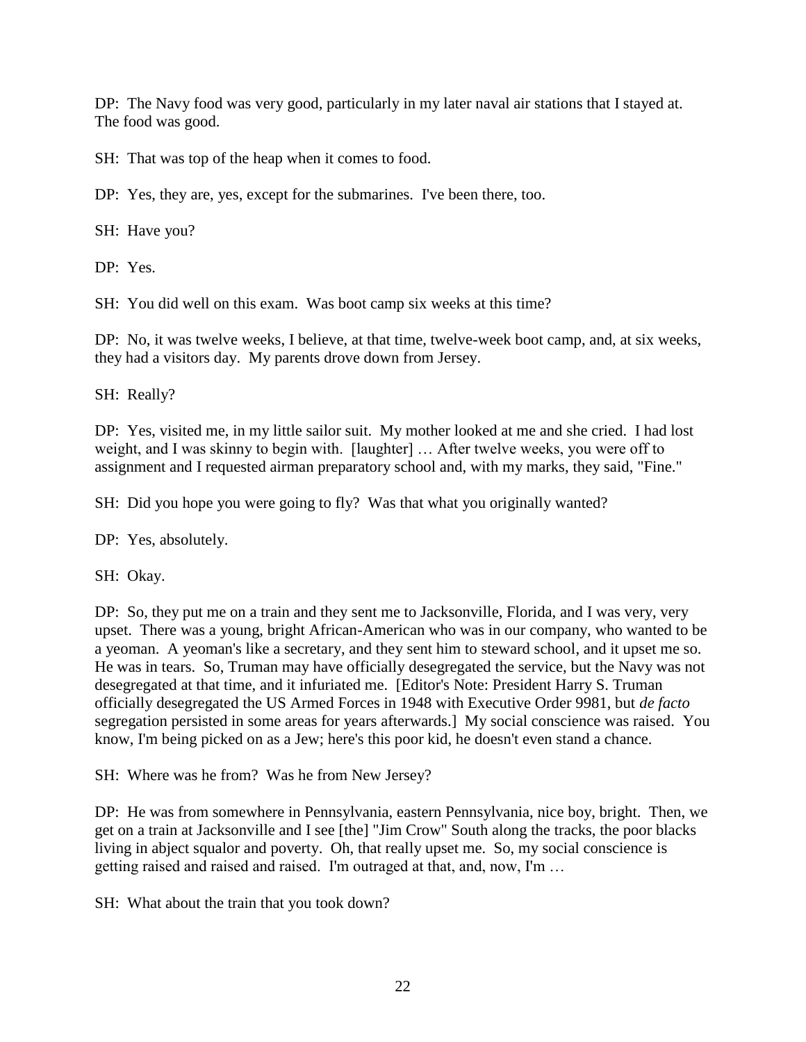DP: The Navy food was very good, particularly in my later naval air stations that I stayed at. The food was good.

SH: That was top of the heap when it comes to food.

DP: Yes, they are, yes, except for the submarines. I've been there, too.

SH: Have you?

DP: Yes.

SH: You did well on this exam. Was boot camp six weeks at this time?

DP: No, it was twelve weeks, I believe, at that time, twelve-week boot camp, and, at six weeks, they had a visitors day. My parents drove down from Jersey.

SH: Really?

DP: Yes, visited me, in my little sailor suit. My mother looked at me and she cried. I had lost weight, and I was skinny to begin with. [laughter] … After twelve weeks, you were off to assignment and I requested airman preparatory school and, with my marks, they said, "Fine."

SH: Did you hope you were going to fly? Was that what you originally wanted?

DP: Yes, absolutely.

SH: Okay.

DP: So, they put me on a train and they sent me to Jacksonville, Florida, and I was very, very upset. There was a young, bright African-American who was in our company, who wanted to be a yeoman. A yeoman's like a secretary, and they sent him to steward school, and it upset me so. He was in tears. So, Truman may have officially desegregated the service, but the Navy was not desegregated at that time, and it infuriated me. [Editor's Note: President Harry S. Truman officially desegregated the US Armed Forces in 1948 with Executive Order 9981, but *de facto* segregation persisted in some areas for years afterwards.] My social conscience was raised. You know, I'm being picked on as a Jew; here's this poor kid, he doesn't even stand a chance.

SH: Where was he from? Was he from New Jersey?

DP: He was from somewhere in Pennsylvania, eastern Pennsylvania, nice boy, bright. Then, we get on a train at Jacksonville and I see [the] "Jim Crow" South along the tracks, the poor blacks living in abject squalor and poverty. Oh, that really upset me. So, my social conscience is getting raised and raised and raised. I'm outraged at that, and, now, I'm …

SH: What about the train that you took down?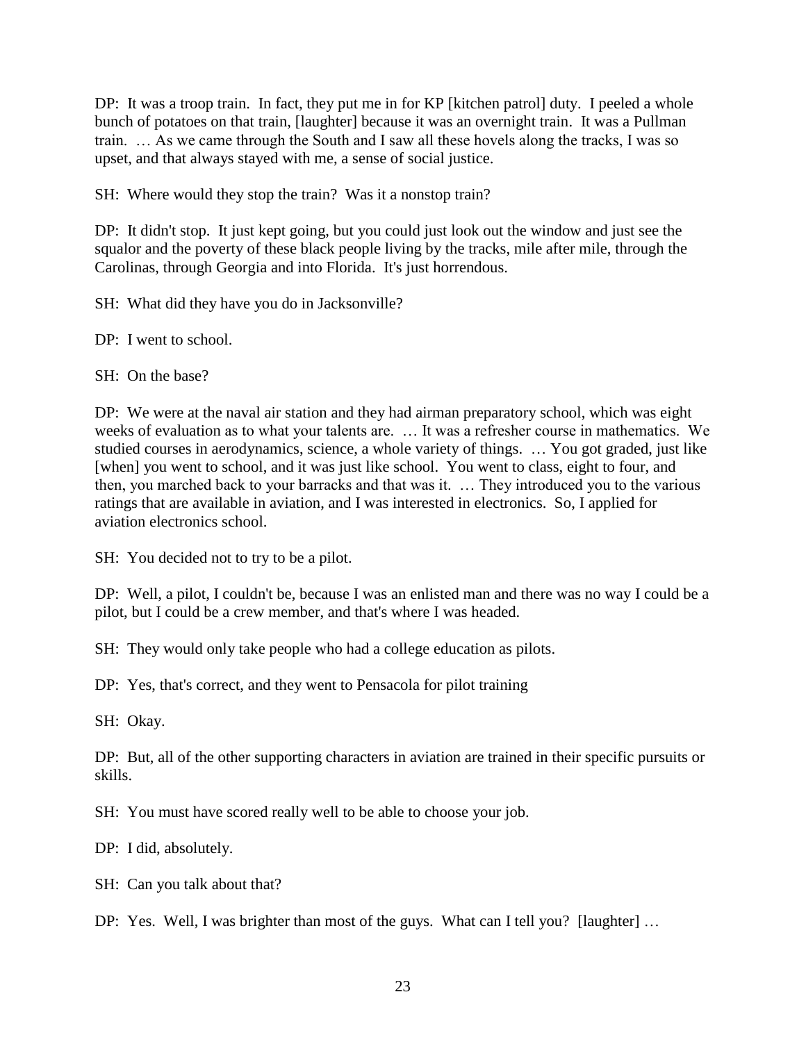DP: It was a troop train. In fact, they put me in for KP [kitchen patrol] duty. I peeled a whole bunch of potatoes on that train, [laughter] because it was an overnight train. It was a Pullman train. … As we came through the South and I saw all these hovels along the tracks, I was so upset, and that always stayed with me, a sense of social justice.

SH: Where would they stop the train? Was it a nonstop train?

DP: It didn't stop. It just kept going, but you could just look out the window and just see the squalor and the poverty of these black people living by the tracks, mile after mile, through the Carolinas, through Georgia and into Florida. It's just horrendous.

SH: What did they have you do in Jacksonville?

DP: I went to school.

SH: On the base?

DP: We were at the naval air station and they had airman preparatory school, which was eight weeks of evaluation as to what your talents are. … It was a refresher course in mathematics. We studied courses in aerodynamics, science, a whole variety of things. … You got graded, just like [when] you went to school, and it was just like school. You went to class, eight to four, and then, you marched back to your barracks and that was it. … They introduced you to the various ratings that are available in aviation, and I was interested in electronics. So, I applied for aviation electronics school.

SH: You decided not to try to be a pilot.

DP: Well, a pilot, I couldn't be, because I was an enlisted man and there was no way I could be a pilot, but I could be a crew member, and that's where I was headed.

SH: They would only take people who had a college education as pilots.

DP: Yes, that's correct, and they went to Pensacola for pilot training

SH: Okay.

DP: But, all of the other supporting characters in aviation are trained in their specific pursuits or skills.

SH: You must have scored really well to be able to choose your job.

DP: I did, absolutely.

SH: Can you talk about that?

DP: Yes. Well, I was brighter than most of the guys. What can I tell you? [laughter] ...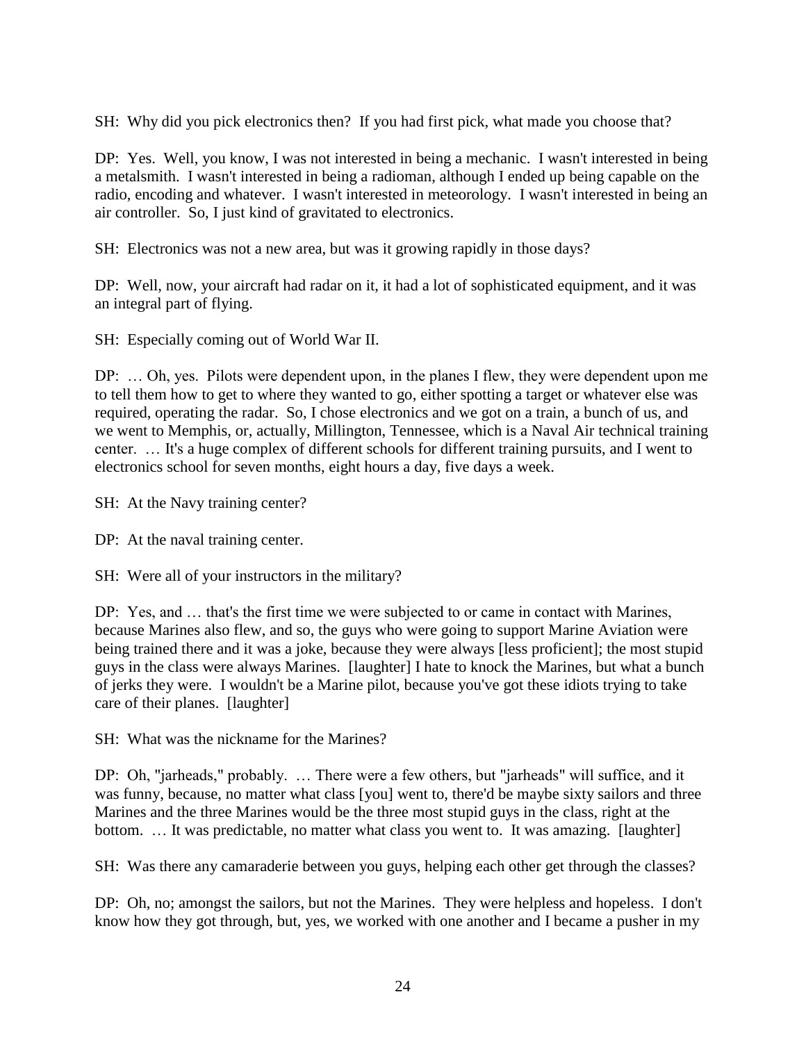SH: Why did you pick electronics then? If you had first pick, what made you choose that?

DP: Yes. Well, you know, I was not interested in being a mechanic. I wasn't interested in being a metalsmith. I wasn't interested in being a radioman, although I ended up being capable on the radio, encoding and whatever. I wasn't interested in meteorology. I wasn't interested in being an air controller. So, I just kind of gravitated to electronics.

SH: Electronics was not a new area, but was it growing rapidly in those days?

DP: Well, now, your aircraft had radar on it, it had a lot of sophisticated equipment, and it was an integral part of flying.

SH: Especially coming out of World War II.

DP: … Oh, yes. Pilots were dependent upon, in the planes I flew, they were dependent upon me to tell them how to get to where they wanted to go, either spotting a target or whatever else was required, operating the radar. So, I chose electronics and we got on a train, a bunch of us, and we went to Memphis, or, actually, Millington, Tennessee, which is a Naval Air technical training center. … It's a huge complex of different schools for different training pursuits, and I went to electronics school for seven months, eight hours a day, five days a week.

SH: At the Navy training center?

DP: At the naval training center.

SH: Were all of your instructors in the military?

DP: Yes, and … that's the first time we were subjected to or came in contact with Marines, because Marines also flew, and so, the guys who were going to support Marine Aviation were being trained there and it was a joke, because they were always [less proficient]; the most stupid guys in the class were always Marines. [laughter] I hate to knock the Marines, but what a bunch of jerks they were. I wouldn't be a Marine pilot, because you've got these idiots trying to take care of their planes. [laughter]

SH: What was the nickname for the Marines?

DP: Oh, "jarheads," probably. … There were a few others, but "jarheads" will suffice, and it was funny, because, no matter what class [you] went to, there'd be maybe sixty sailors and three Marines and the three Marines would be the three most stupid guys in the class, right at the bottom. … It was predictable, no matter what class you went to. It was amazing. [laughter]

SH: Was there any camaraderie between you guys, helping each other get through the classes?

DP: Oh, no; amongst the sailors, but not the Marines. They were helpless and hopeless. I don't know how they got through, but, yes, we worked with one another and I became a pusher in my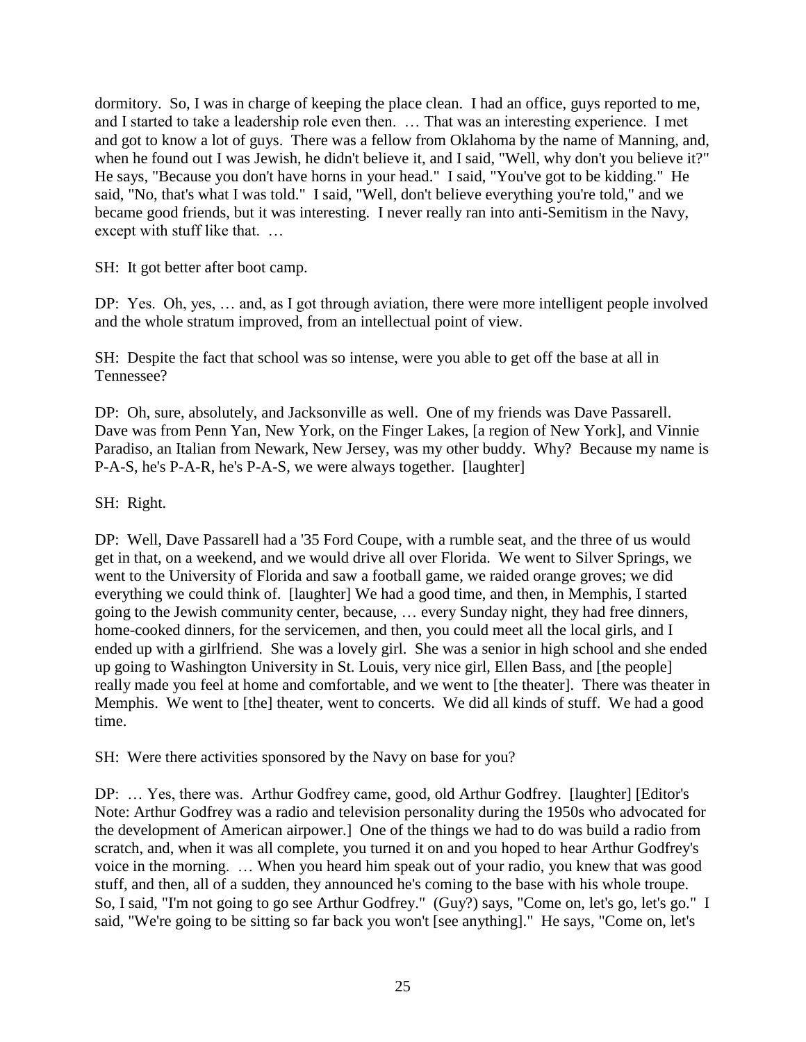dormitory. So, I was in charge of keeping the place clean. I had an office, guys reported to me, and I started to take a leadership role even then. … That was an interesting experience. I met and got to know a lot of guys. There was a fellow from Oklahoma by the name of Manning, and, when he found out I was Jewish, he didn't believe it, and I said, "Well, why don't you believe it?" He says, "Because you don't have horns in your head." I said, "You've got to be kidding." He said, "No, that's what I was told." I said, "Well, don't believe everything you're told," and we became good friends, but it was interesting. I never really ran into anti-Semitism in the Navy, except with stuff like that. …

SH: It got better after boot camp.

DP: Yes. Oh, yes, … and, as I got through aviation, there were more intelligent people involved and the whole stratum improved, from an intellectual point of view.

SH: Despite the fact that school was so intense, were you able to get off the base at all in Tennessee?

DP: Oh, sure, absolutely, and Jacksonville as well. One of my friends was Dave Passarell. Dave was from Penn Yan, New York, on the Finger Lakes, [a region of New York], and Vinnie Paradiso, an Italian from Newark, New Jersey, was my other buddy. Why? Because my name is P-A-S, he's P-A-R, he's P-A-S, we were always together. [laughter]

SH: Right.

DP: Well, Dave Passarell had a '35 Ford Coupe, with a rumble seat, and the three of us would get in that, on a weekend, and we would drive all over Florida. We went to Silver Springs, we went to the University of Florida and saw a football game, we raided orange groves; we did everything we could think of. [laughter] We had a good time, and then, in Memphis, I started going to the Jewish community center, because, … every Sunday night, they had free dinners, home-cooked dinners, for the servicemen, and then, you could meet all the local girls, and I ended up with a girlfriend. She was a lovely girl. She was a senior in high school and she ended up going to Washington University in St. Louis, very nice girl, Ellen Bass, and [the people] really made you feel at home and comfortable, and we went to [the theater]. There was theater in Memphis. We went to [the] theater, went to concerts. We did all kinds of stuff. We had a good time.

SH: Were there activities sponsored by the Navy on base for you?

DP: … Yes, there was. Arthur Godfrey came, good, old Arthur Godfrey. [laughter] [Editor's Note: Arthur Godfrey was a radio and television personality during the 1950s who advocated for the development of American airpower.] One of the things we had to do was build a radio from scratch, and, when it was all complete, you turned it on and you hoped to hear Arthur Godfrey's voice in the morning. … When you heard him speak out of your radio, you knew that was good stuff, and then, all of a sudden, they announced he's coming to the base with his whole troupe. So, I said, "I'm not going to go see Arthur Godfrey." (Guy?) says, "Come on, let's go, let's go." I said, "We're going to be sitting so far back you won't [see anything]." He says, "Come on, let's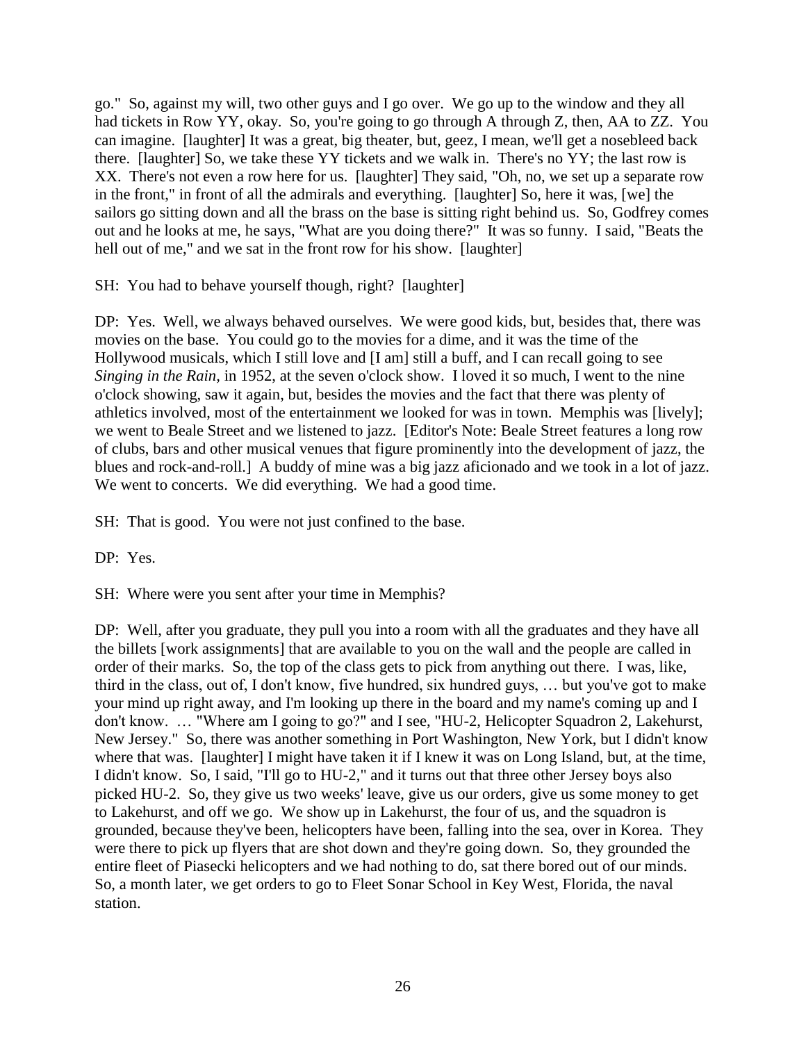go." So, against my will, two other guys and I go over. We go up to the window and they all had tickets in Row YY, okay. So, you're going to go through A through Z, then, AA to ZZ. You can imagine. [laughter] It was a great, big theater, but, geez, I mean, we'll get a nosebleed back there. [laughter] So, we take these YY tickets and we walk in. There's no YY; the last row is XX. There's not even a row here for us. [laughter] They said, "Oh, no, we set up a separate row in the front," in front of all the admirals and everything. [laughter] So, here it was, [we] the sailors go sitting down and all the brass on the base is sitting right behind us. So, Godfrey comes out and he looks at me, he says, "What are you doing there?" It was so funny. I said, "Beats the hell out of me," and we sat in the front row for his show. [laughter]

SH: You had to behave yourself though, right? [laughter]

DP: Yes. Well, we always behaved ourselves. We were good kids, but, besides that, there was movies on the base. You could go to the movies for a dime, and it was the time of the Hollywood musicals, which I still love and [I am] still a buff, and I can recall going to see *Singing in the Rain,* in 1952, at the seven o'clock show. I loved it so much, I went to the nine o'clock showing, saw it again, but, besides the movies and the fact that there was plenty of athletics involved, most of the entertainment we looked for was in town. Memphis was [lively]; we went to Beale Street and we listened to jazz. [Editor's Note: Beale Street features a long row of clubs, bars and other musical venues that figure prominently into the development of jazz, the blues and rock-and-roll.] A buddy of mine was a big jazz aficionado and we took in a lot of jazz. We went to concerts. We did everything. We had a good time.

SH: That is good. You were not just confined to the base.

DP: Yes.

SH: Where were you sent after your time in Memphis?

DP: Well, after you graduate, they pull you into a room with all the graduates and they have all the billets [work assignments] that are available to you on the wall and the people are called in order of their marks. So, the top of the class gets to pick from anything out there. I was, like, third in the class, out of, I don't know, five hundred, six hundred guys, … but you've got to make your mind up right away, and I'm looking up there in the board and my name's coming up and I don't know. … "Where am I going to go?" and I see, "HU-2, Helicopter Squadron 2, Lakehurst, New Jersey." So, there was another something in Port Washington, New York, but I didn't know where that was. [laughter] I might have taken it if I knew it was on Long Island, but, at the time, I didn't know. So, I said, "I'll go to HU-2," and it turns out that three other Jersey boys also picked HU-2. So, they give us two weeks' leave, give us our orders, give us some money to get to Lakehurst, and off we go. We show up in Lakehurst, the four of us, and the squadron is grounded, because they've been, helicopters have been, falling into the sea, over in Korea. They were there to pick up flyers that are shot down and they're going down. So, they grounded the entire fleet of Piasecki helicopters and we had nothing to do, sat there bored out of our minds. So, a month later, we get orders to go to Fleet Sonar School in Key West, Florida, the naval station.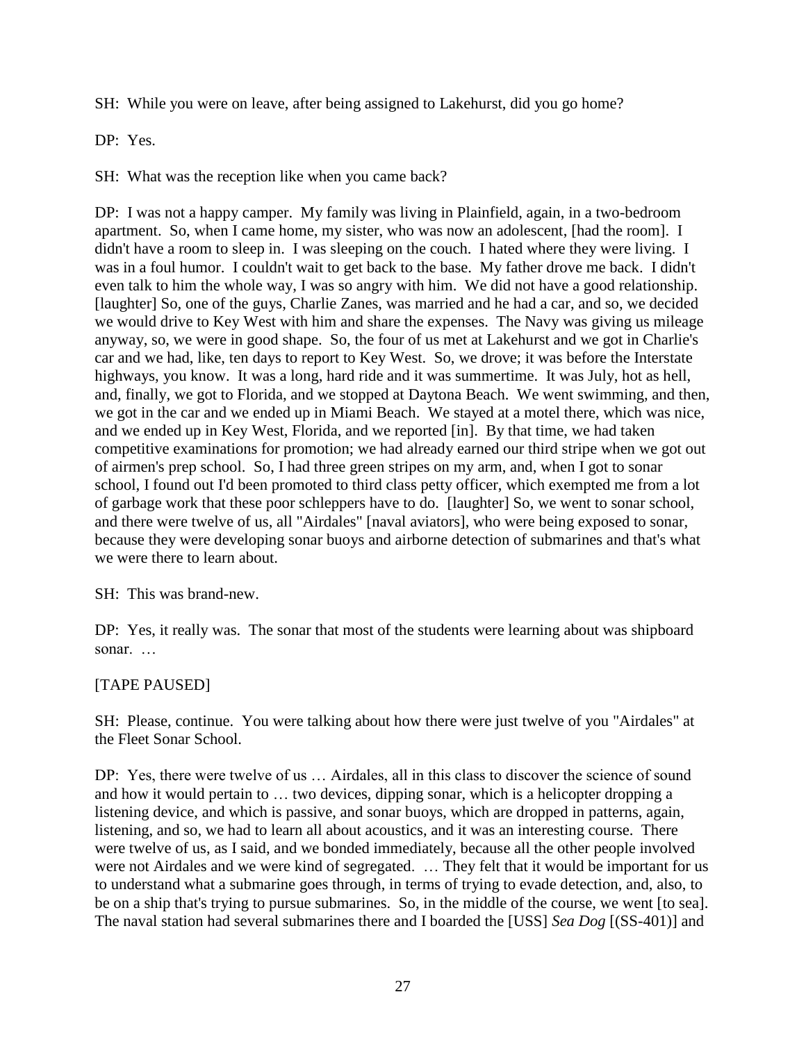SH: While you were on leave, after being assigned to Lakehurst, did you go home?

DP: Yes.

SH: What was the reception like when you came back?

DP: I was not a happy camper. My family was living in Plainfield, again, in a two-bedroom apartment. So, when I came home, my sister, who was now an adolescent, [had the room]. I didn't have a room to sleep in. I was sleeping on the couch. I hated where they were living. I was in a foul humor. I couldn't wait to get back to the base. My father drove me back. I didn't even talk to him the whole way, I was so angry with him. We did not have a good relationship. [laughter] So, one of the guys, Charlie Zanes, was married and he had a car, and so, we decided we would drive to Key West with him and share the expenses. The Navy was giving us mileage anyway, so, we were in good shape. So, the four of us met at Lakehurst and we got in Charlie's car and we had, like, ten days to report to Key West. So, we drove; it was before the Interstate highways, you know. It was a long, hard ride and it was summertime. It was July, hot as hell, and, finally, we got to Florida, and we stopped at Daytona Beach. We went swimming, and then, we got in the car and we ended up in Miami Beach. We stayed at a motel there, which was nice, and we ended up in Key West, Florida, and we reported [in]. By that time, we had taken competitive examinations for promotion; we had already earned our third stripe when we got out of airmen's prep school. So, I had three green stripes on my arm, and, when I got to sonar school, I found out I'd been promoted to third class petty officer, which exempted me from a lot of garbage work that these poor schleppers have to do. [laughter] So, we went to sonar school, and there were twelve of us, all "Airdales" [naval aviators], who were being exposed to sonar, because they were developing sonar buoys and airborne detection of submarines and that's what we were there to learn about.

SH: This was brand-new.

DP: Yes, it really was. The sonar that most of the students were learning about was shipboard sonar. …

## [TAPE PAUSED]

SH: Please, continue. You were talking about how there were just twelve of you "Airdales" at the Fleet Sonar School.

DP: Yes, there were twelve of us … Airdales, all in this class to discover the science of sound and how it would pertain to … two devices, dipping sonar, which is a helicopter dropping a listening device, and which is passive, and sonar buoys, which are dropped in patterns, again, listening, and so, we had to learn all about acoustics, and it was an interesting course. There were twelve of us, as I said, and we bonded immediately, because all the other people involved were not Airdales and we were kind of segregated. … They felt that it would be important for us to understand what a submarine goes through, in terms of trying to evade detection, and, also, to be on a ship that's trying to pursue submarines. So, in the middle of the course, we went [to sea]. The naval station had several submarines there and I boarded the [USS] *Sea Dog* [(SS-401)] and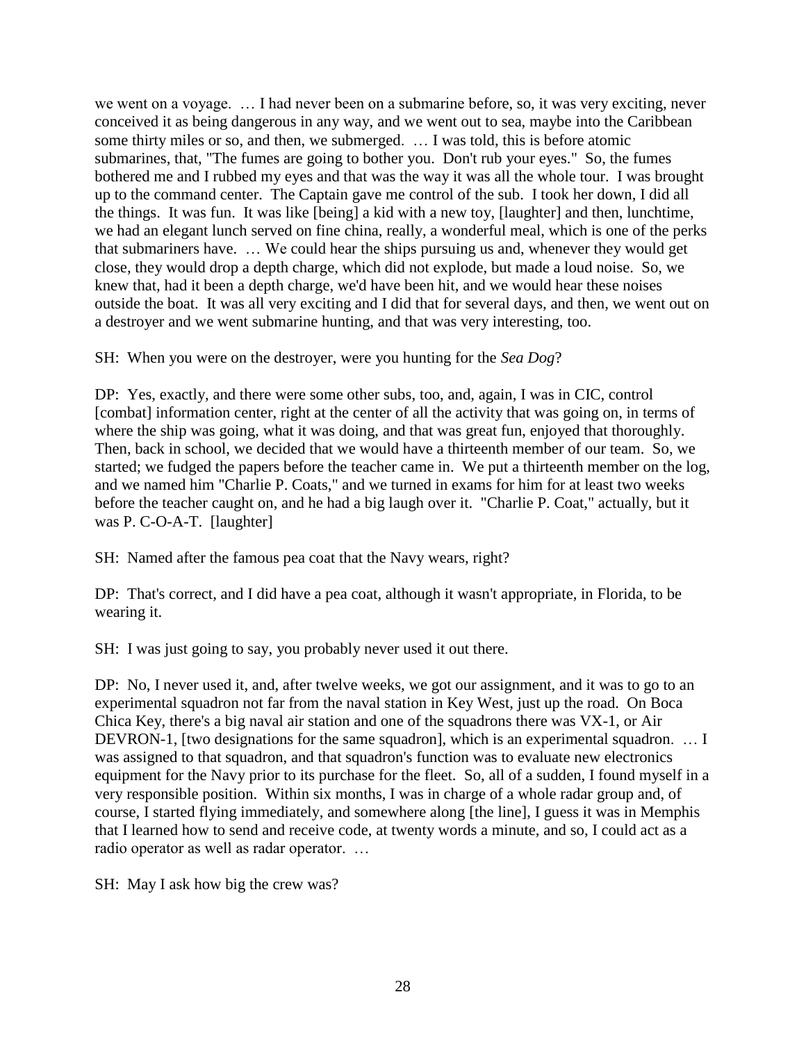we went on a voyage. … I had never been on a submarine before, so, it was very exciting, never conceived it as being dangerous in any way, and we went out to sea, maybe into the Caribbean some thirty miles or so, and then, we submerged. … I was told, this is before atomic submarines, that, "The fumes are going to bother you. Don't rub your eyes." So, the fumes bothered me and I rubbed my eyes and that was the way it was all the whole tour. I was brought up to the command center. The Captain gave me control of the sub. I took her down, I did all the things. It was fun. It was like [being] a kid with a new toy, [laughter] and then, lunchtime, we had an elegant lunch served on fine china, really, a wonderful meal, which is one of the perks that submariners have. … We could hear the ships pursuing us and, whenever they would get close, they would drop a depth charge, which did not explode, but made a loud noise. So, we knew that, had it been a depth charge, we'd have been hit, and we would hear these noises outside the boat. It was all very exciting and I did that for several days, and then, we went out on a destroyer and we went submarine hunting, and that was very interesting, too.

SH: When you were on the destroyer, were you hunting for the *Sea Dog*?

DP: Yes, exactly, and there were some other subs, too, and, again, I was in CIC, control [combat] information center, right at the center of all the activity that was going on, in terms of where the ship was going, what it was doing, and that was great fun, enjoyed that thoroughly. Then, back in school, we decided that we would have a thirteenth member of our team. So, we started; we fudged the papers before the teacher came in. We put a thirteenth member on the log, and we named him "Charlie P. Coats," and we turned in exams for him for at least two weeks before the teacher caught on, and he had a big laugh over it. "Charlie P. Coat," actually, but it was P. C-O-A-T. [laughter]

SH: Named after the famous pea coat that the Navy wears, right?

DP: That's correct, and I did have a pea coat, although it wasn't appropriate, in Florida, to be wearing it.

SH: I was just going to say, you probably never used it out there.

DP: No, I never used it, and, after twelve weeks, we got our assignment, and it was to go to an experimental squadron not far from the naval station in Key West, just up the road. On Boca Chica Key, there's a big naval air station and one of the squadrons there was VX-1, or Air DEVRON-1, [two designations for the same squadron], which is an experimental squadron. … I was assigned to that squadron, and that squadron's function was to evaluate new electronics equipment for the Navy prior to its purchase for the fleet. So, all of a sudden, I found myself in a very responsible position. Within six months, I was in charge of a whole radar group and, of course, I started flying immediately, and somewhere along [the line], I guess it was in Memphis that I learned how to send and receive code, at twenty words a minute, and so, I could act as a radio operator as well as radar operator. …

SH: May I ask how big the crew was?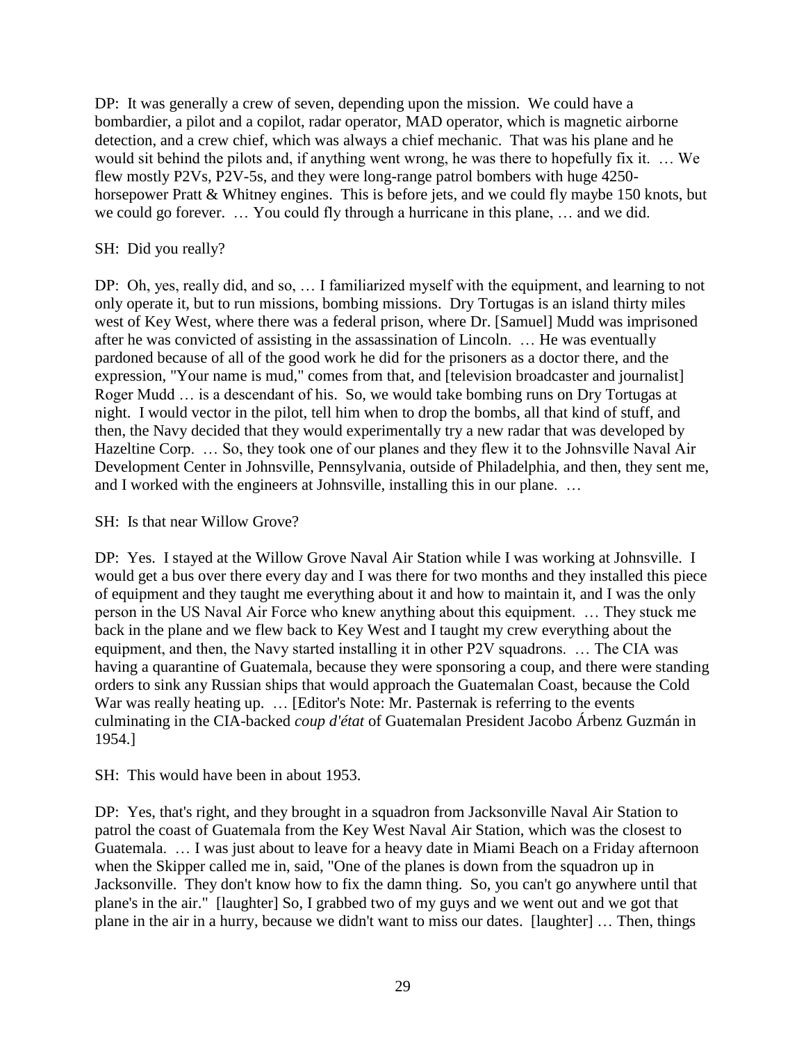DP: It was generally a crew of seven, depending upon the mission. We could have a bombardier, a pilot and a copilot, radar operator, MAD operator, which is magnetic airborne detection, and a crew chief, which was always a chief mechanic. That was his plane and he would sit behind the pilots and, if anything went wrong, he was there to hopefully fix it. … We flew mostly P2Vs, P2V-5s, and they were long-range patrol bombers with huge 4250 horsepower Pratt & Whitney engines. This is before jets, and we could fly maybe 150 knots, but we could go forever. … You could fly through a hurricane in this plane, … and we did.

## SH: Did you really?

DP: Oh, yes, really did, and so, … I familiarized myself with the equipment, and learning to not only operate it, but to run missions, bombing missions. Dry Tortugas is an island thirty miles west of Key West, where there was a federal prison, where Dr. [Samuel] Mudd was imprisoned after he was convicted of assisting in the assassination of Lincoln. … He was eventually pardoned because of all of the good work he did for the prisoners as a doctor there, and the expression, "Your name is mud," comes from that, and [television broadcaster and journalist] Roger Mudd … is a descendant of his. So, we would take bombing runs on Dry Tortugas at night. I would vector in the pilot, tell him when to drop the bombs, all that kind of stuff, and then, the Navy decided that they would experimentally try a new radar that was developed by Hazeltine Corp. … So, they took one of our planes and they flew it to the Johnsville Naval Air Development Center in Johnsville, Pennsylvania, outside of Philadelphia, and then, they sent me, and I worked with the engineers at Johnsville, installing this in our plane. …

### SH: Is that near Willow Grove?

DP: Yes. I stayed at the Willow Grove Naval Air Station while I was working at Johnsville. I would get a bus over there every day and I was there for two months and they installed this piece of equipment and they taught me everything about it and how to maintain it, and I was the only person in the US Naval Air Force who knew anything about this equipment. … They stuck me back in the plane and we flew back to Key West and I taught my crew everything about the equipment, and then, the Navy started installing it in other P2V squadrons. … The CIA was having a quarantine of Guatemala, because they were sponsoring a coup, and there were standing orders to sink any Russian ships that would approach the Guatemalan Coast, because the Cold War was really heating up. ... [Editor's Note: Mr. Pasternak is referring to the events culminating in the CIA-backed *coup d'état* of Guatemalan President Jacobo Árbenz Guzmán in 1954.]

#### SH: This would have been in about 1953.

DP: Yes, that's right, and they brought in a squadron from Jacksonville Naval Air Station to patrol the coast of Guatemala from the Key West Naval Air Station, which was the closest to Guatemala. … I was just about to leave for a heavy date in Miami Beach on a Friday afternoon when the Skipper called me in, said, "One of the planes is down from the squadron up in Jacksonville. They don't know how to fix the damn thing. So, you can't go anywhere until that plane's in the air." [laughter] So, I grabbed two of my guys and we went out and we got that plane in the air in a hurry, because we didn't want to miss our dates. [laughter] … Then, things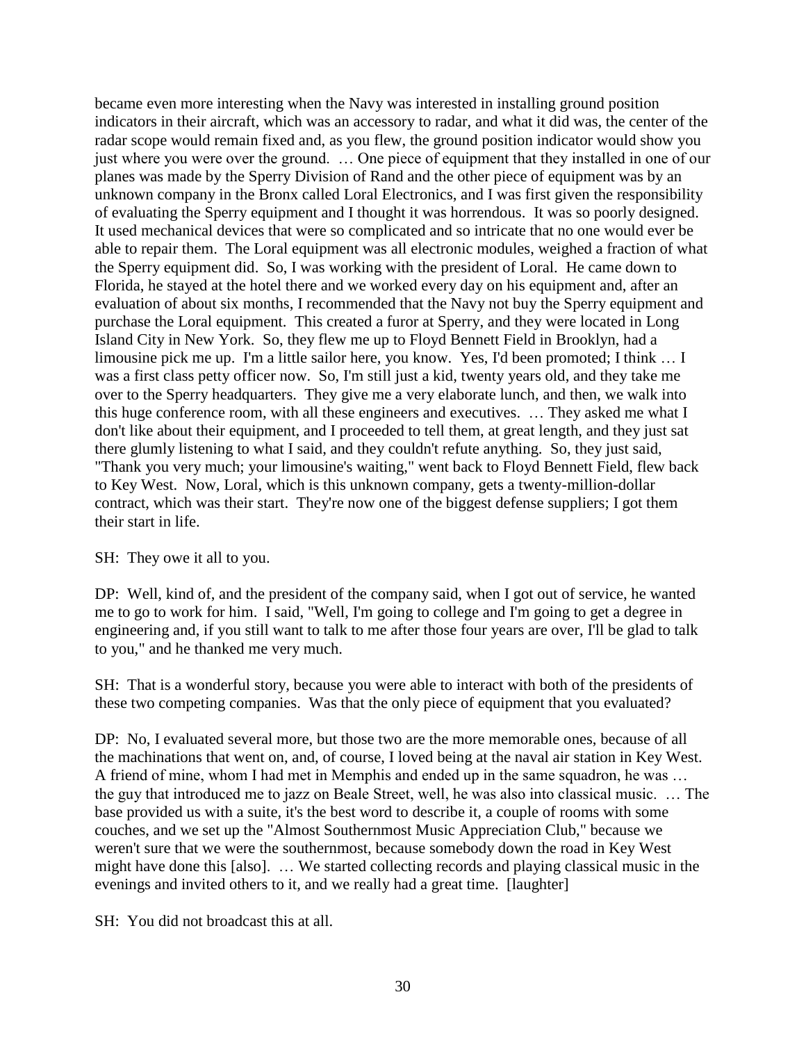became even more interesting when the Navy was interested in installing ground position indicators in their aircraft, which was an accessory to radar, and what it did was, the center of the radar scope would remain fixed and, as you flew, the ground position indicator would show you just where you were over the ground. … One piece of equipment that they installed in one of our planes was made by the Sperry Division of Rand and the other piece of equipment was by an unknown company in the Bronx called Loral Electronics, and I was first given the responsibility of evaluating the Sperry equipment and I thought it was horrendous. It was so poorly designed. It used mechanical devices that were so complicated and so intricate that no one would ever be able to repair them. The Loral equipment was all electronic modules, weighed a fraction of what the Sperry equipment did. So, I was working with the president of Loral. He came down to Florida, he stayed at the hotel there and we worked every day on his equipment and, after an evaluation of about six months, I recommended that the Navy not buy the Sperry equipment and purchase the Loral equipment. This created a furor at Sperry, and they were located in Long Island City in New York. So, they flew me up to Floyd Bennett Field in Brooklyn, had a limousine pick me up. I'm a little sailor here, you know. Yes, I'd been promoted; I think … I was a first class petty officer now. So, I'm still just a kid, twenty years old, and they take me over to the Sperry headquarters. They give me a very elaborate lunch, and then, we walk into this huge conference room, with all these engineers and executives. … They asked me what I don't like about their equipment, and I proceeded to tell them, at great length, and they just sat there glumly listening to what I said, and they couldn't refute anything. So, they just said, "Thank you very much; your limousine's waiting," went back to Floyd Bennett Field, flew back to Key West. Now, Loral, which is this unknown company, gets a twenty-million-dollar contract, which was their start. They're now one of the biggest defense suppliers; I got them their start in life.

#### SH: They owe it all to you.

DP: Well, kind of, and the president of the company said, when I got out of service, he wanted me to go to work for him. I said, "Well, I'm going to college and I'm going to get a degree in engineering and, if you still want to talk to me after those four years are over, I'll be glad to talk to you," and he thanked me very much.

SH: That is a wonderful story, because you were able to interact with both of the presidents of these two competing companies. Was that the only piece of equipment that you evaluated?

DP: No, I evaluated several more, but those two are the more memorable ones, because of all the machinations that went on, and, of course, I loved being at the naval air station in Key West. A friend of mine, whom I had met in Memphis and ended up in the same squadron, he was … the guy that introduced me to jazz on Beale Street, well, he was also into classical music. … The base provided us with a suite, it's the best word to describe it, a couple of rooms with some couches, and we set up the "Almost Southernmost Music Appreciation Club," because we weren't sure that we were the southernmost, because somebody down the road in Key West might have done this [also]. … We started collecting records and playing classical music in the evenings and invited others to it, and we really had a great time. [laughter]

SH: You did not broadcast this at all.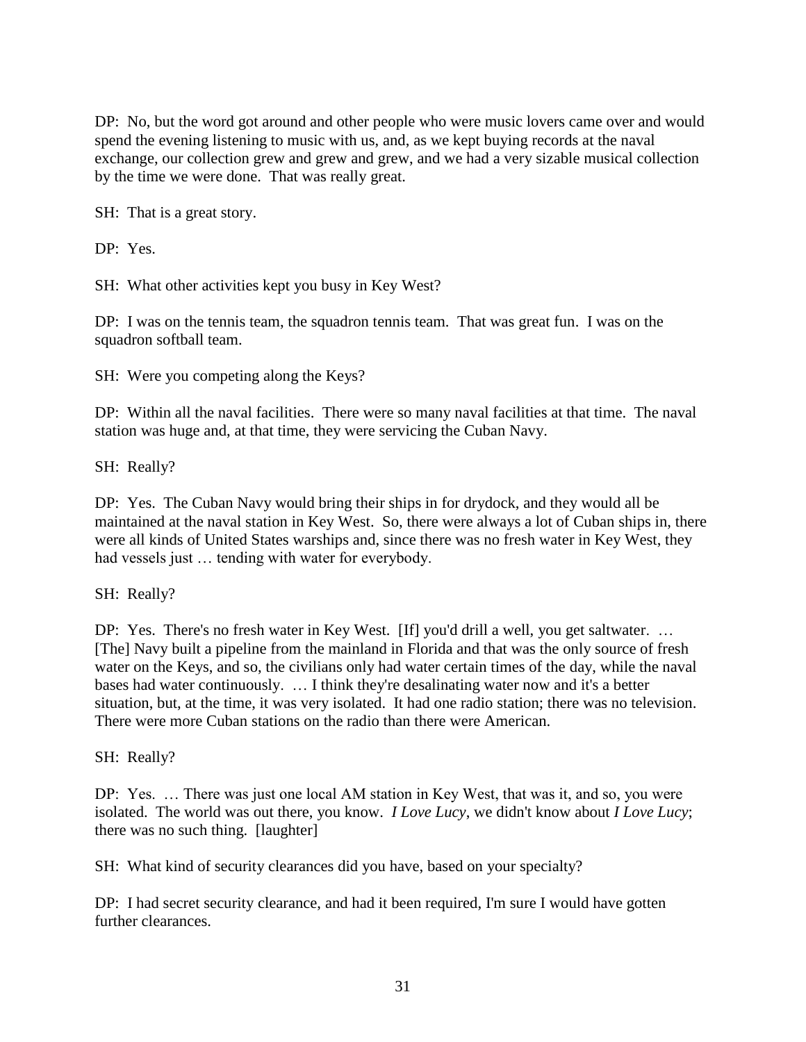DP: No, but the word got around and other people who were music lovers came over and would spend the evening listening to music with us, and, as we kept buying records at the naval exchange, our collection grew and grew and grew, and we had a very sizable musical collection by the time we were done. That was really great.

SH: That is a great story.

DP: Yes.

SH: What other activities kept you busy in Key West?

DP: I was on the tennis team, the squadron tennis team. That was great fun. I was on the squadron softball team.

SH: Were you competing along the Keys?

DP: Within all the naval facilities. There were so many naval facilities at that time. The naval station was huge and, at that time, they were servicing the Cuban Navy.

SH: Really?

DP: Yes. The Cuban Navy would bring their ships in for drydock, and they would all be maintained at the naval station in Key West. So, there were always a lot of Cuban ships in, there were all kinds of United States warships and, since there was no fresh water in Key West, they had vessels just ... tending with water for everybody.

SH: Really?

DP: Yes. There's no fresh water in Key West. [If] you'd drill a well, you get saltwater. ... [The] Navy built a pipeline from the mainland in Florida and that was the only source of fresh water on the Keys, and so, the civilians only had water certain times of the day, while the naval bases had water continuously. … I think they're desalinating water now and it's a better situation, but, at the time, it was very isolated. It had one radio station; there was no television. There were more Cuban stations on the radio than there were American.

SH: Really?

DP: Yes. … There was just one local AM station in Key West, that was it, and so, you were isolated. The world was out there, you know. *I Love Lucy*, we didn't know about *I Love Lucy*; there was no such thing. [laughter]

SH: What kind of security clearances did you have, based on your specialty?

DP: I had secret security clearance, and had it been required, I'm sure I would have gotten further clearances.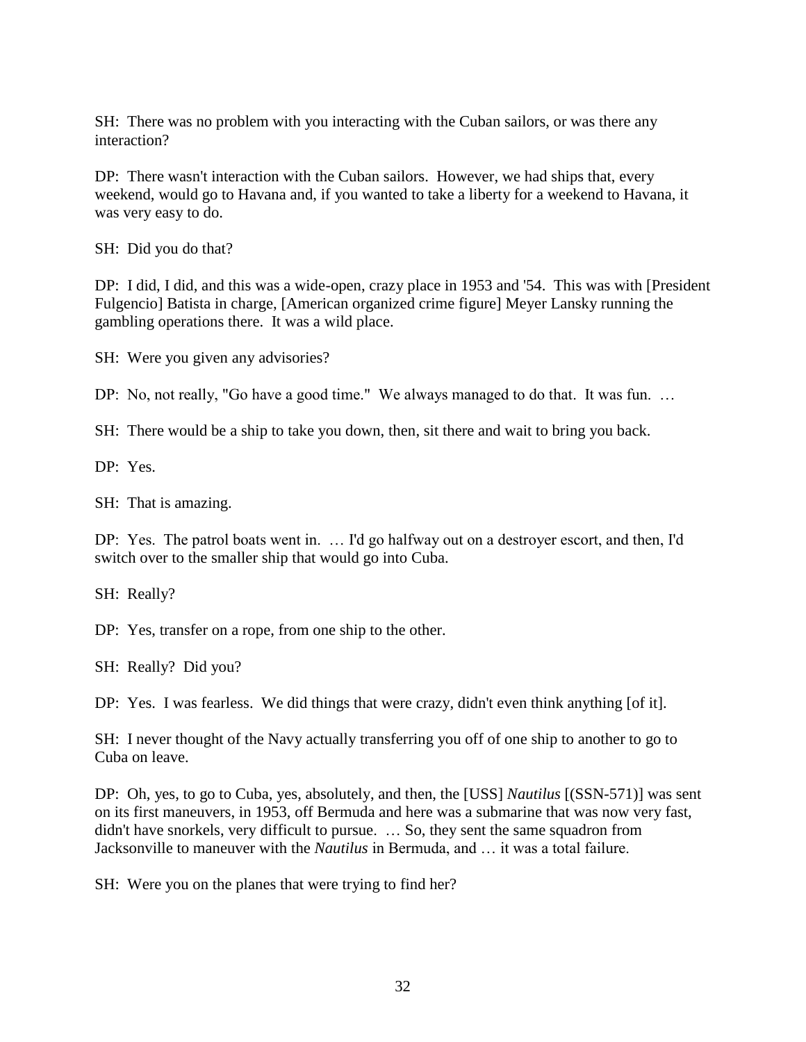SH: There was no problem with you interacting with the Cuban sailors, or was there any interaction?

DP: There wasn't interaction with the Cuban sailors. However, we had ships that, every weekend, would go to Havana and, if you wanted to take a liberty for a weekend to Havana, it was very easy to do.

SH: Did you do that?

DP: I did, I did, and this was a wide-open, crazy place in 1953 and '54. This was with [President Fulgencio] Batista in charge, [American organized crime figure] Meyer Lansky running the gambling operations there. It was a wild place.

SH: Were you given any advisories?

DP: No, not really, "Go have a good time." We always managed to do that. It was fun. …

SH: There would be a ship to take you down, then, sit there and wait to bring you back.

DP: Yes.

SH: That is amazing.

DP: Yes. The patrol boats went in. … I'd go halfway out on a destroyer escort, and then, I'd switch over to the smaller ship that would go into Cuba.

SH: Really?

DP: Yes, transfer on a rope, from one ship to the other.

SH: Really? Did you?

DP: Yes. I was fearless. We did things that were crazy, didn't even think anything [of it].

SH: I never thought of the Navy actually transferring you off of one ship to another to go to Cuba on leave.

DP: Oh, yes, to go to Cuba, yes, absolutely, and then, the [USS] *Nautilus* [(SSN-571)] was sent on its first maneuvers, in 1953, off Bermuda and here was a submarine that was now very fast, didn't have snorkels, very difficult to pursue. … So, they sent the same squadron from Jacksonville to maneuver with the *Nautilus* in Bermuda, and … it was a total failure.

SH: Were you on the planes that were trying to find her?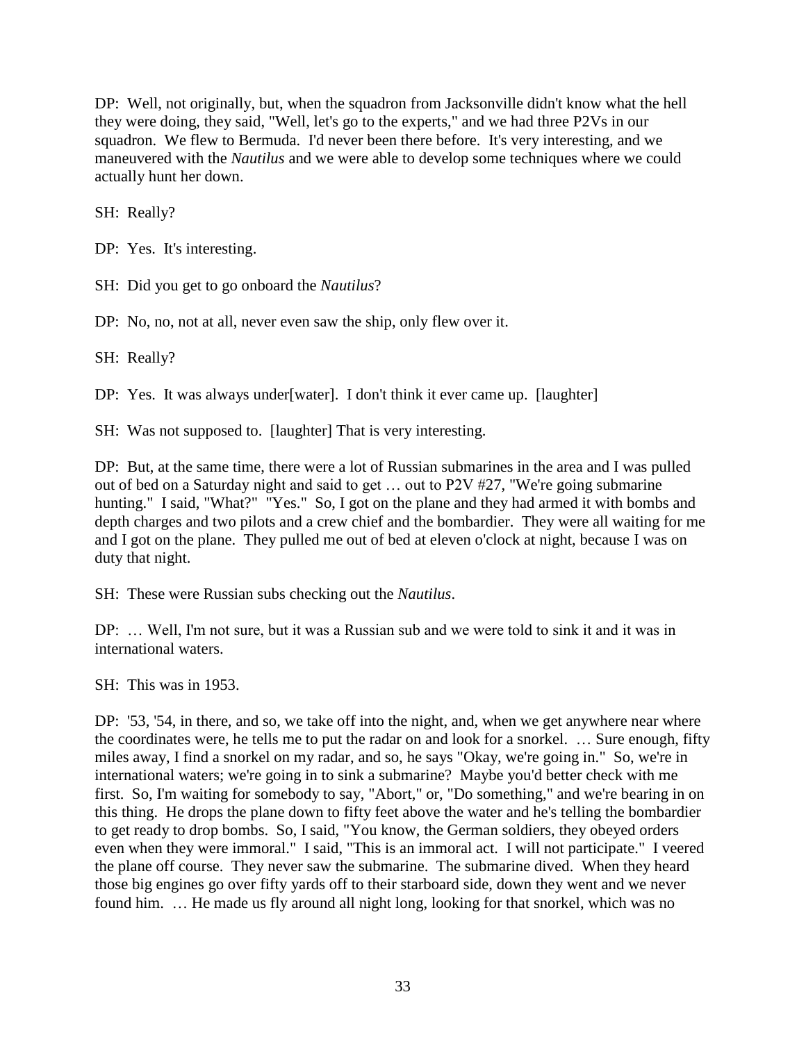DP: Well, not originally, but, when the squadron from Jacksonville didn't know what the hell they were doing, they said, "Well, let's go to the experts," and we had three P2Vs in our squadron. We flew to Bermuda. I'd never been there before. It's very interesting, and we maneuvered with the *Nautilus* and we were able to develop some techniques where we could actually hunt her down.

SH: Really?

DP: Yes. It's interesting.

SH: Did you get to go onboard the *Nautilus*?

DP: No, no, not at all, never even saw the ship, only flew over it.

SH: Really?

DP: Yes. It was always under[water]. I don't think it ever came up. [laughter]

SH: Was not supposed to. [laughter] That is very interesting.

DP: But, at the same time, there were a lot of Russian submarines in the area and I was pulled out of bed on a Saturday night and said to get … out to P2V #27, "We're going submarine hunting." I said, "What?" "Yes." So, I got on the plane and they had armed it with bombs and depth charges and two pilots and a crew chief and the bombardier. They were all waiting for me and I got on the plane. They pulled me out of bed at eleven o'clock at night, because I was on duty that night.

SH: These were Russian subs checking out the *Nautilus*.

DP: … Well, I'm not sure, but it was a Russian sub and we were told to sink it and it was in international waters.

SH: This was in 1953.

DP: '53, '54, in there, and so, we take off into the night, and, when we get anywhere near where the coordinates were, he tells me to put the radar on and look for a snorkel. … Sure enough, fifty miles away, I find a snorkel on my radar, and so, he says "Okay, we're going in." So, we're in international waters; we're going in to sink a submarine? Maybe you'd better check with me first. So, I'm waiting for somebody to say, "Abort," or, "Do something," and we're bearing in on this thing. He drops the plane down to fifty feet above the water and he's telling the bombardier to get ready to drop bombs. So, I said, "You know, the German soldiers, they obeyed orders even when they were immoral." I said, "This is an immoral act. I will not participate." I veered the plane off course. They never saw the submarine. The submarine dived. When they heard those big engines go over fifty yards off to their starboard side, down they went and we never found him. … He made us fly around all night long, looking for that snorkel, which was no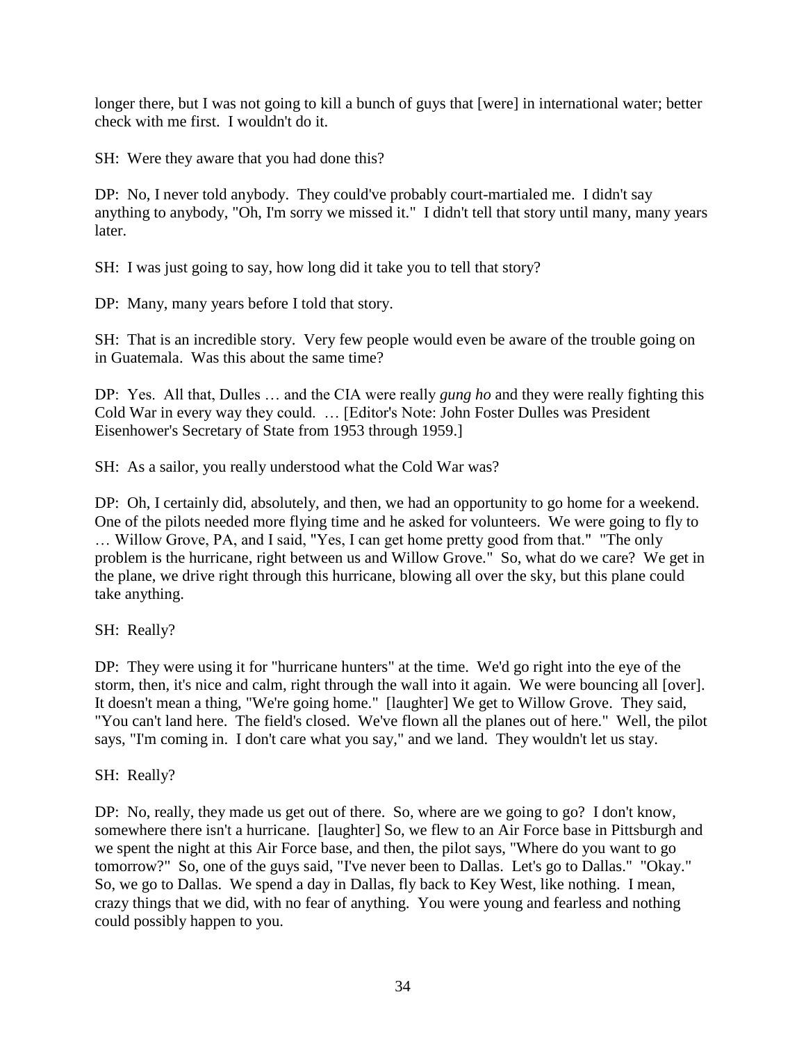longer there, but I was not going to kill a bunch of guys that [were] in international water; better check with me first. I wouldn't do it.

SH: Were they aware that you had done this?

DP: No, I never told anybody. They could've probably court-martialed me. I didn't say anything to anybody, "Oh, I'm sorry we missed it." I didn't tell that story until many, many years later.

SH: I was just going to say, how long did it take you to tell that story?

DP: Many, many years before I told that story.

SH: That is an incredible story. Very few people would even be aware of the trouble going on in Guatemala. Was this about the same time?

DP: Yes. All that, Dulles … and the CIA were really *gung ho* and they were really fighting this Cold War in every way they could. … [Editor's Note: John Foster Dulles was President Eisenhower's Secretary of State from 1953 through 1959.]

SH: As a sailor, you really understood what the Cold War was?

DP: Oh, I certainly did, absolutely, and then, we had an opportunity to go home for a weekend. One of the pilots needed more flying time and he asked for volunteers. We were going to fly to … Willow Grove, PA, and I said, "Yes, I can get home pretty good from that." "The only problem is the hurricane, right between us and Willow Grove." So, what do we care? We get in the plane, we drive right through this hurricane, blowing all over the sky, but this plane could take anything.

SH: Really?

DP: They were using it for "hurricane hunters" at the time. We'd go right into the eye of the storm, then, it's nice and calm, right through the wall into it again. We were bouncing all [over]. It doesn't mean a thing, "We're going home." [laughter] We get to Willow Grove. They said, "You can't land here. The field's closed. We've flown all the planes out of here." Well, the pilot says, "I'm coming in. I don't care what you say," and we land. They wouldn't let us stay.

SH: Really?

DP: No, really, they made us get out of there. So, where are we going to go? I don't know, somewhere there isn't a hurricane. [laughter] So, we flew to an Air Force base in Pittsburgh and we spent the night at this Air Force base, and then, the pilot says, "Where do you want to go tomorrow?" So, one of the guys said, "I've never been to Dallas. Let's go to Dallas." "Okay." So, we go to Dallas. We spend a day in Dallas, fly back to Key West, like nothing. I mean, crazy things that we did, with no fear of anything. You were young and fearless and nothing could possibly happen to you.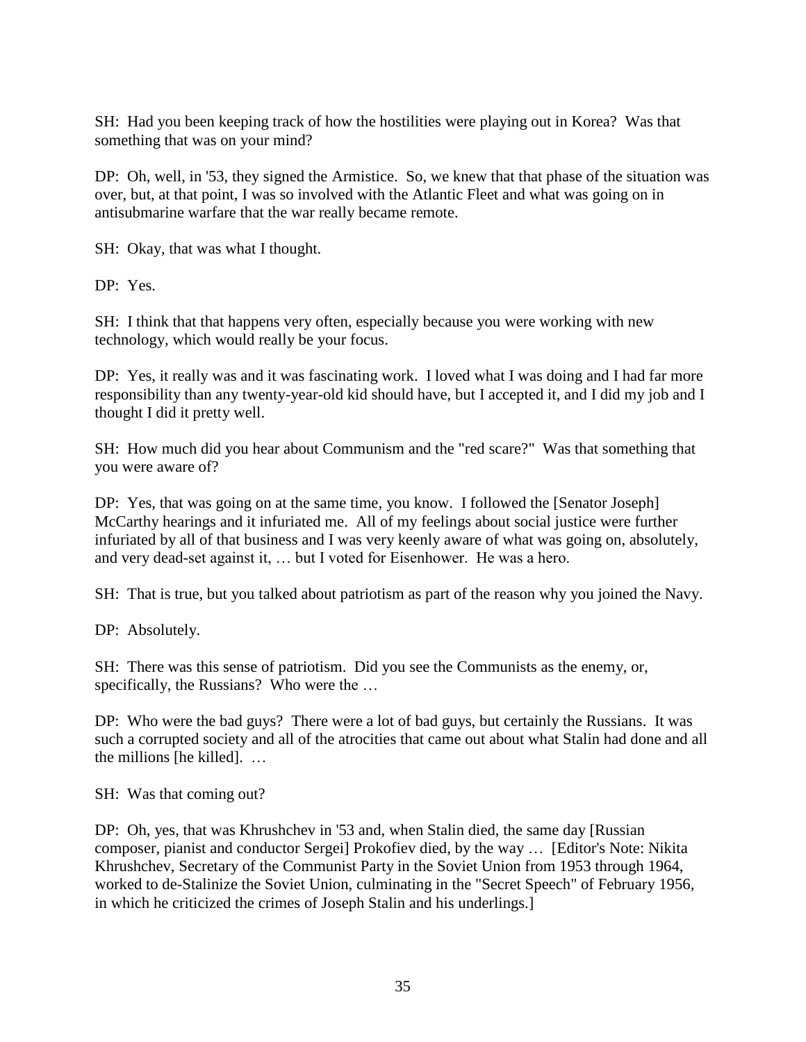SH: Had you been keeping track of how the hostilities were playing out in Korea? Was that something that was on your mind?

DP: Oh, well, in '53, they signed the Armistice. So, we knew that that phase of the situation was over, but, at that point, I was so involved with the Atlantic Fleet and what was going on in antisubmarine warfare that the war really became remote.

SH: Okay, that was what I thought.

DP: Yes.

SH: I think that that happens very often, especially because you were working with new technology, which would really be your focus.

DP: Yes, it really was and it was fascinating work. I loved what I was doing and I had far more responsibility than any twenty-year-old kid should have, but I accepted it, and I did my job and I thought I did it pretty well.

SH: How much did you hear about Communism and the "red scare?" Was that something that you were aware of?

DP: Yes, that was going on at the same time, you know. I followed the [Senator Joseph] McCarthy hearings and it infuriated me. All of my feelings about social justice were further infuriated by all of that business and I was very keenly aware of what was going on, absolutely, and very dead-set against it, … but I voted for Eisenhower. He was a hero.

SH: That is true, but you talked about patriotism as part of the reason why you joined the Navy.

DP: Absolutely.

SH: There was this sense of patriotism. Did you see the Communists as the enemy, or, specifically, the Russians? Who were the ...

DP: Who were the bad guys? There were a lot of bad guys, but certainly the Russians. It was such a corrupted society and all of the atrocities that came out about what Stalin had done and all the millions [he killed]. …

SH: Was that coming out?

DP: Oh, yes, that was Khrushchev in '53 and, when Stalin died, the same day [Russian composer, pianist and conductor Sergei] Prokofiev died, by the way … [Editor's Note: Nikita Khrushchev, Secretary of the Communist Party in the Soviet Union from 1953 through 1964, worked to de-Stalinize the Soviet Union, culminating in the "Secret Speech" of February 1956, in which he criticized the crimes of Joseph Stalin and his underlings.]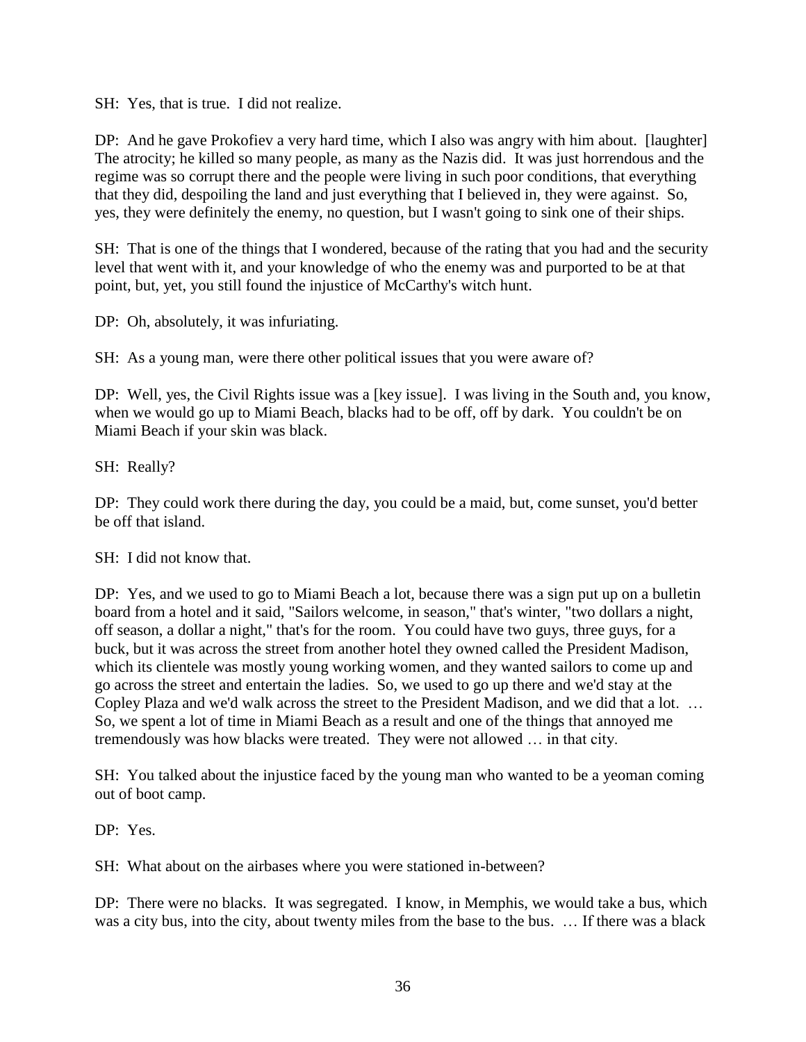SH: Yes, that is true. I did not realize.

DP: And he gave Prokofiev a very hard time, which I also was angry with him about. [laughter] The atrocity; he killed so many people, as many as the Nazis did. It was just horrendous and the regime was so corrupt there and the people were living in such poor conditions, that everything that they did, despoiling the land and just everything that I believed in, they were against. So, yes, they were definitely the enemy, no question, but I wasn't going to sink one of their ships.

SH: That is one of the things that I wondered, because of the rating that you had and the security level that went with it, and your knowledge of who the enemy was and purported to be at that point, but, yet, you still found the injustice of McCarthy's witch hunt.

DP: Oh, absolutely, it was infuriating.

SH: As a young man, were there other political issues that you were aware of?

DP: Well, yes, the Civil Rights issue was a [key issue]. I was living in the South and, you know, when we would go up to Miami Beach, blacks had to be off, off by dark. You couldn't be on Miami Beach if your skin was black.

SH: Really?

DP: They could work there during the day, you could be a maid, but, come sunset, you'd better be off that island.

SH: I did not know that.

DP: Yes, and we used to go to Miami Beach a lot, because there was a sign put up on a bulletin board from a hotel and it said, "Sailors welcome, in season," that's winter, "two dollars a night, off season, a dollar a night," that's for the room. You could have two guys, three guys, for a buck, but it was across the street from another hotel they owned called the President Madison, which its clientele was mostly young working women, and they wanted sailors to come up and go across the street and entertain the ladies. So, we used to go up there and we'd stay at the Copley Plaza and we'd walk across the street to the President Madison, and we did that a lot. … So, we spent a lot of time in Miami Beach as a result and one of the things that annoyed me tremendously was how blacks were treated. They were not allowed … in that city.

SH: You talked about the injustice faced by the young man who wanted to be a yeoman coming out of boot camp.

DP: Yes.

SH: What about on the airbases where you were stationed in-between?

DP: There were no blacks. It was segregated. I know, in Memphis, we would take a bus, which was a city bus, into the city, about twenty miles from the base to the bus. … If there was a black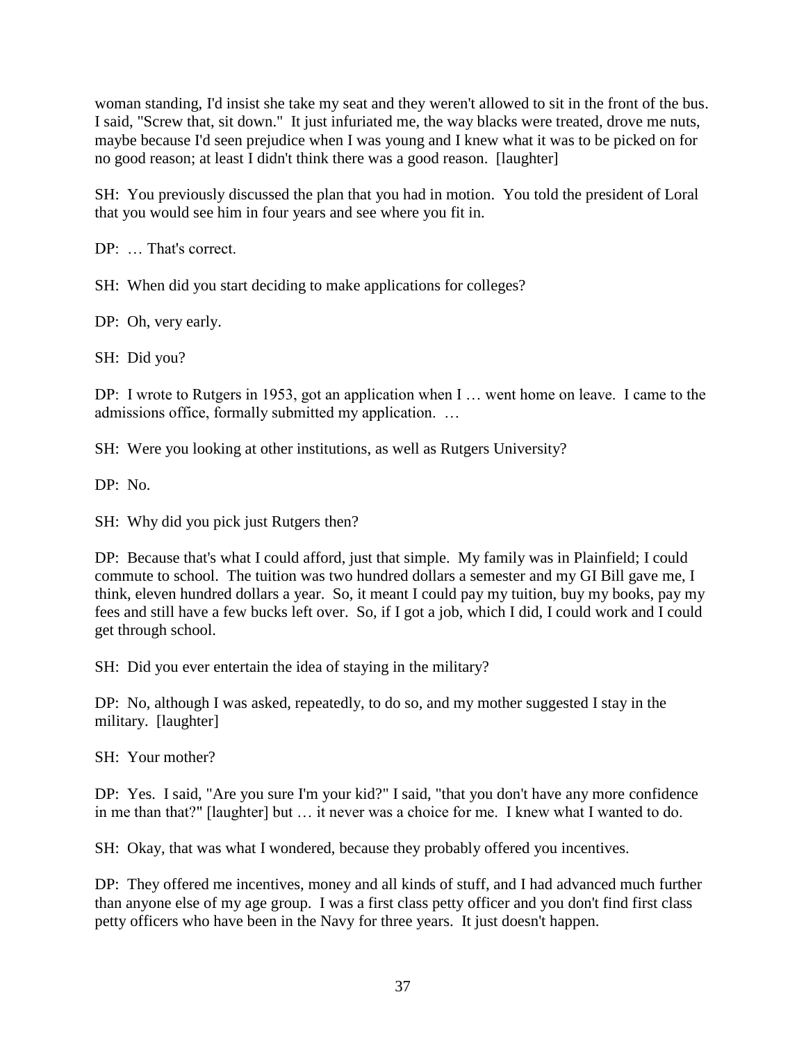woman standing, I'd insist she take my seat and they weren't allowed to sit in the front of the bus. I said, "Screw that, sit down." It just infuriated me, the way blacks were treated, drove me nuts, maybe because I'd seen prejudice when I was young and I knew what it was to be picked on for no good reason; at least I didn't think there was a good reason. [laughter]

SH: You previously discussed the plan that you had in motion. You told the president of Loral that you would see him in four years and see where you fit in.

DP: … That's correct.

SH: When did you start deciding to make applications for colleges?

DP: Oh, very early.

SH: Did you?

DP: I wrote to Rutgers in 1953, got an application when I … went home on leave. I came to the admissions office, formally submitted my application. …

SH: Were you looking at other institutions, as well as Rutgers University?

DP: No.

SH: Why did you pick just Rutgers then?

DP: Because that's what I could afford, just that simple. My family was in Plainfield; I could commute to school. The tuition was two hundred dollars a semester and my GI Bill gave me, I think, eleven hundred dollars a year. So, it meant I could pay my tuition, buy my books, pay my fees and still have a few bucks left over. So, if I got a job, which I did, I could work and I could get through school.

SH: Did you ever entertain the idea of staying in the military?

DP: No, although I was asked, repeatedly, to do so, and my mother suggested I stay in the military. [laughter]

SH: Your mother?

DP: Yes. I said, "Are you sure I'm your kid?" I said, "that you don't have any more confidence in me than that?" [laughter] but … it never was a choice for me. I knew what I wanted to do.

SH: Okay, that was what I wondered, because they probably offered you incentives.

DP: They offered me incentives, money and all kinds of stuff, and I had advanced much further than anyone else of my age group. I was a first class petty officer and you don't find first class petty officers who have been in the Navy for three years. It just doesn't happen.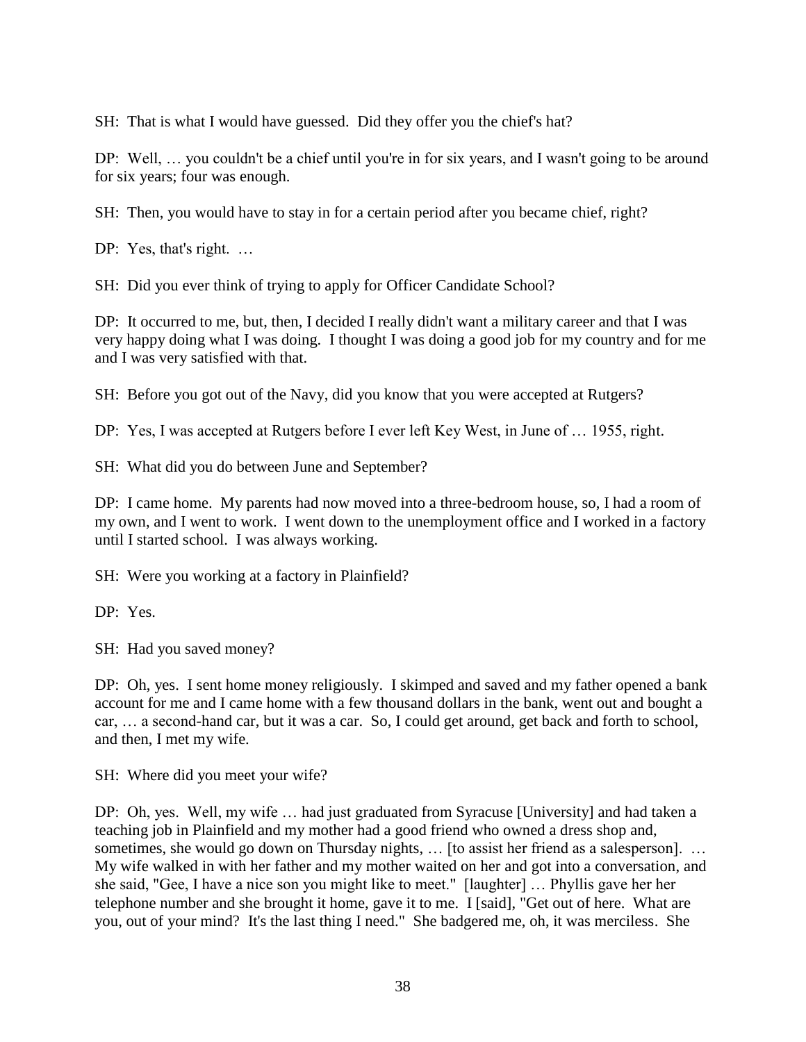SH: That is what I would have guessed. Did they offer you the chief's hat?

DP: Well, … you couldn't be a chief until you're in for six years, and I wasn't going to be around for six years; four was enough.

SH: Then, you would have to stay in for a certain period after you became chief, right?

DP: Yes, that's right. ...

SH: Did you ever think of trying to apply for Officer Candidate School?

DP: It occurred to me, but, then, I decided I really didn't want a military career and that I was very happy doing what I was doing. I thought I was doing a good job for my country and for me and I was very satisfied with that.

SH: Before you got out of the Navy, did you know that you were accepted at Rutgers?

DP: Yes, I was accepted at Rutgers before I ever left Key West, in June of … 1955, right.

SH: What did you do between June and September?

DP: I came home. My parents had now moved into a three-bedroom house, so, I had a room of my own, and I went to work. I went down to the unemployment office and I worked in a factory until I started school. I was always working.

SH: Were you working at a factory in Plainfield?

DP: Yes.

SH: Had you saved money?

DP: Oh, yes. I sent home money religiously. I skimped and saved and my father opened a bank account for me and I came home with a few thousand dollars in the bank, went out and bought a car, … a second-hand car, but it was a car. So, I could get around, get back and forth to school, and then, I met my wife.

SH: Where did you meet your wife?

DP: Oh, yes. Well, my wife … had just graduated from Syracuse [University] and had taken a teaching job in Plainfield and my mother had a good friend who owned a dress shop and, sometimes, she would go down on Thursday nights, ... [to assist her friend as a salesperson]. ... My wife walked in with her father and my mother waited on her and got into a conversation, and she said, "Gee, I have a nice son you might like to meet." [laughter] … Phyllis gave her her telephone number and she brought it home, gave it to me. I [said], "Get out of here. What are you, out of your mind? It's the last thing I need." She badgered me, oh, it was merciless. She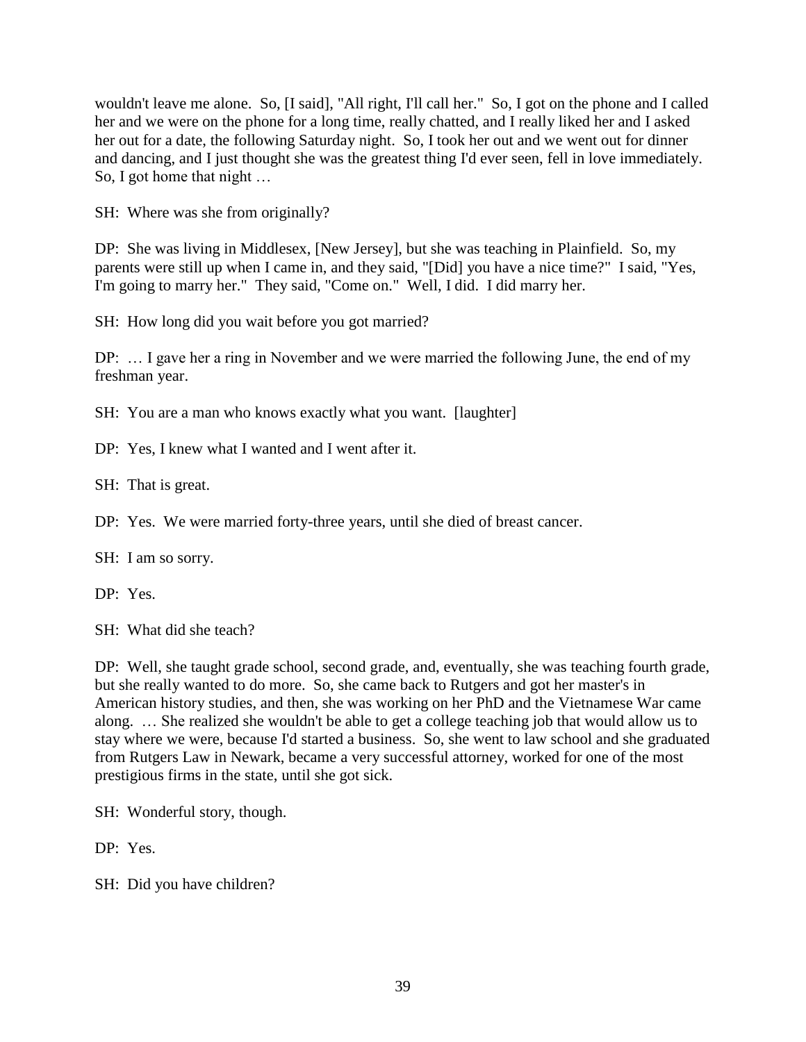wouldn't leave me alone. So, [I said], "All right, I'll call her." So, I got on the phone and I called her and we were on the phone for a long time, really chatted, and I really liked her and I asked her out for a date, the following Saturday night. So, I took her out and we went out for dinner and dancing, and I just thought she was the greatest thing I'd ever seen, fell in love immediately. So, I got home that night …

SH: Where was she from originally?

DP: She was living in Middlesex, [New Jersey], but she was teaching in Plainfield. So, my parents were still up when I came in, and they said, "[Did] you have a nice time?" I said, "Yes, I'm going to marry her." They said, "Come on." Well, I did. I did marry her.

SH: How long did you wait before you got married?

DP: … I gave her a ring in November and we were married the following June, the end of my freshman year.

SH: You are a man who knows exactly what you want. [laughter]

DP: Yes, I knew what I wanted and I went after it.

SH: That is great.

DP: Yes. We were married forty-three years, until she died of breast cancer.

SH: I am so sorry.

DP: Yes.

SH: What did she teach?

DP: Well, she taught grade school, second grade, and, eventually, she was teaching fourth grade, but she really wanted to do more. So, she came back to Rutgers and got her master's in American history studies, and then, she was working on her PhD and the Vietnamese War came along. … She realized she wouldn't be able to get a college teaching job that would allow us to stay where we were, because I'd started a business. So, she went to law school and she graduated from Rutgers Law in Newark, became a very successful attorney, worked for one of the most prestigious firms in the state, until she got sick.

SH: Wonderful story, though.

DP: Yes.

SH: Did you have children?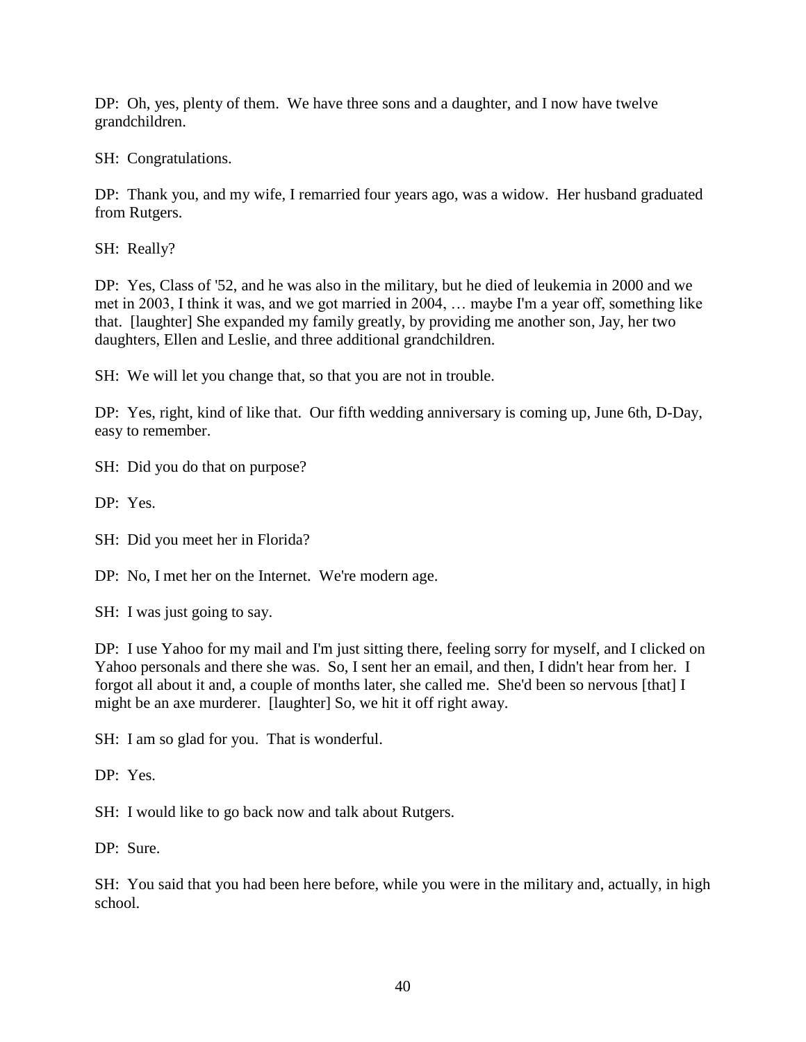DP: Oh, yes, plenty of them. We have three sons and a daughter, and I now have twelve grandchildren.

SH: Congratulations.

DP: Thank you, and my wife, I remarried four years ago, was a widow. Her husband graduated from Rutgers.

SH: Really?

DP: Yes, Class of '52, and he was also in the military, but he died of leukemia in 2000 and we met in 2003, I think it was, and we got married in 2004, … maybe I'm a year off, something like that. [laughter] She expanded my family greatly, by providing me another son, Jay, her two daughters, Ellen and Leslie, and three additional grandchildren.

SH: We will let you change that, so that you are not in trouble.

DP: Yes, right, kind of like that. Our fifth wedding anniversary is coming up, June 6th, D-Day, easy to remember.

SH: Did you do that on purpose?

DP: Yes.

SH: Did you meet her in Florida?

DP: No, I met her on the Internet. We're modern age.

SH: I was just going to say.

DP: I use Yahoo for my mail and I'm just sitting there, feeling sorry for myself, and I clicked on Yahoo personals and there she was. So, I sent her an email, and then, I didn't hear from her. I forgot all about it and, a couple of months later, she called me. She'd been so nervous [that] I might be an axe murderer. [laughter] So, we hit it off right away.

SH: I am so glad for you. That is wonderful.

DP: Yes.

SH: I would like to go back now and talk about Rutgers.

DP: Sure.

SH: You said that you had been here before, while you were in the military and, actually, in high school.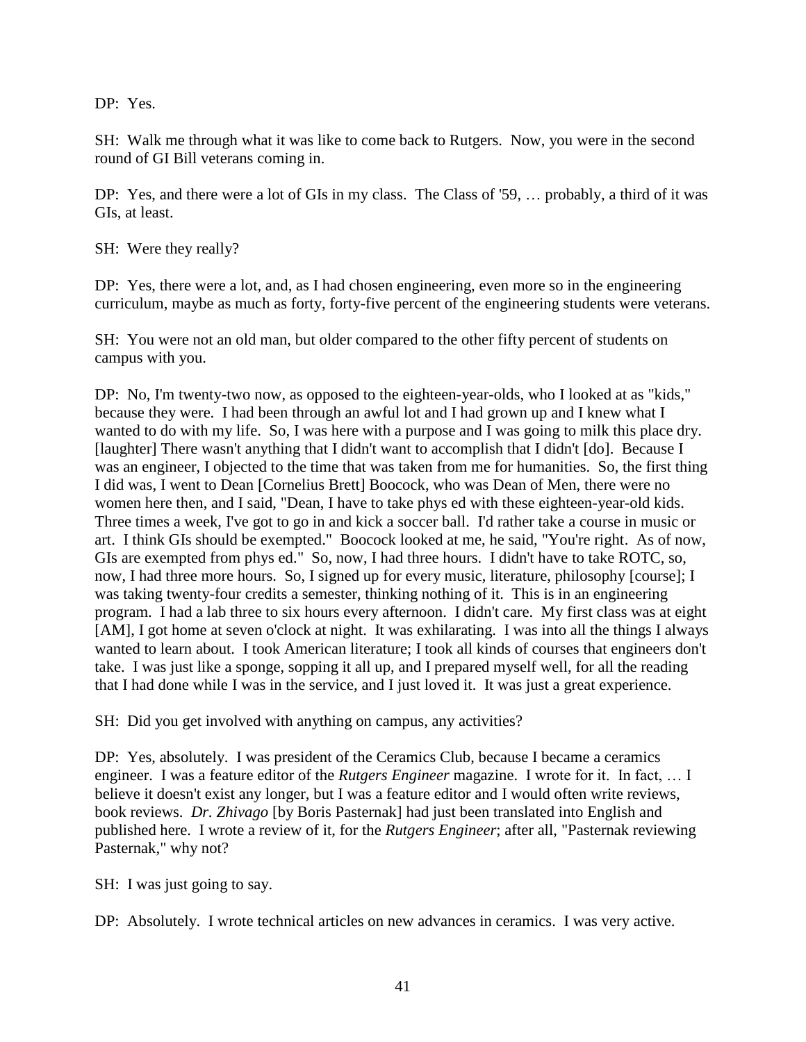DP: Yes.

SH: Walk me through what it was like to come back to Rutgers. Now, you were in the second round of GI Bill veterans coming in.

DP: Yes, and there were a lot of GIs in my class. The Class of '59, … probably, a third of it was GIs, at least.

SH: Were they really?

DP: Yes, there were a lot, and, as I had chosen engineering, even more so in the engineering curriculum, maybe as much as forty, forty-five percent of the engineering students were veterans.

SH: You were not an old man, but older compared to the other fifty percent of students on campus with you.

DP: No, I'm twenty-two now, as opposed to the eighteen-year-olds, who I looked at as "kids," because they were. I had been through an awful lot and I had grown up and I knew what I wanted to do with my life. So, I was here with a purpose and I was going to milk this place dry. [laughter] There wasn't anything that I didn't want to accomplish that I didn't [do]. Because I was an engineer, I objected to the time that was taken from me for humanities. So, the first thing I did was, I went to Dean [Cornelius Brett] Boocock, who was Dean of Men, there were no women here then, and I said, "Dean, I have to take phys ed with these eighteen-year-old kids. Three times a week, I've got to go in and kick a soccer ball. I'd rather take a course in music or art. I think GIs should be exempted." Boocock looked at me, he said, "You're right. As of now, GIs are exempted from phys ed." So, now, I had three hours. I didn't have to take ROTC, so, now, I had three more hours. So, I signed up for every music, literature, philosophy [course]; I was taking twenty-four credits a semester, thinking nothing of it. This is in an engineering program. I had a lab three to six hours every afternoon. I didn't care. My first class was at eight [AM], I got home at seven o'clock at night. It was exhilarating. I was into all the things I always wanted to learn about. I took American literature; I took all kinds of courses that engineers don't take. I was just like a sponge, sopping it all up, and I prepared myself well, for all the reading that I had done while I was in the service, and I just loved it. It was just a great experience.

SH: Did you get involved with anything on campus, any activities?

DP: Yes, absolutely. I was president of the Ceramics Club, because I became a ceramics engineer. I was a feature editor of the *Rutgers Engineer* magazine. I wrote for it. In fact, … I believe it doesn't exist any longer, but I was a feature editor and I would often write reviews, book reviews. *Dr. Zhivago* [by Boris Pasternak] had just been translated into English and published here. I wrote a review of it, for the *Rutgers Engineer*; after all, "Pasternak reviewing Pasternak," why not?

SH: I was just going to say.

DP: Absolutely. I wrote technical articles on new advances in ceramics. I was very active.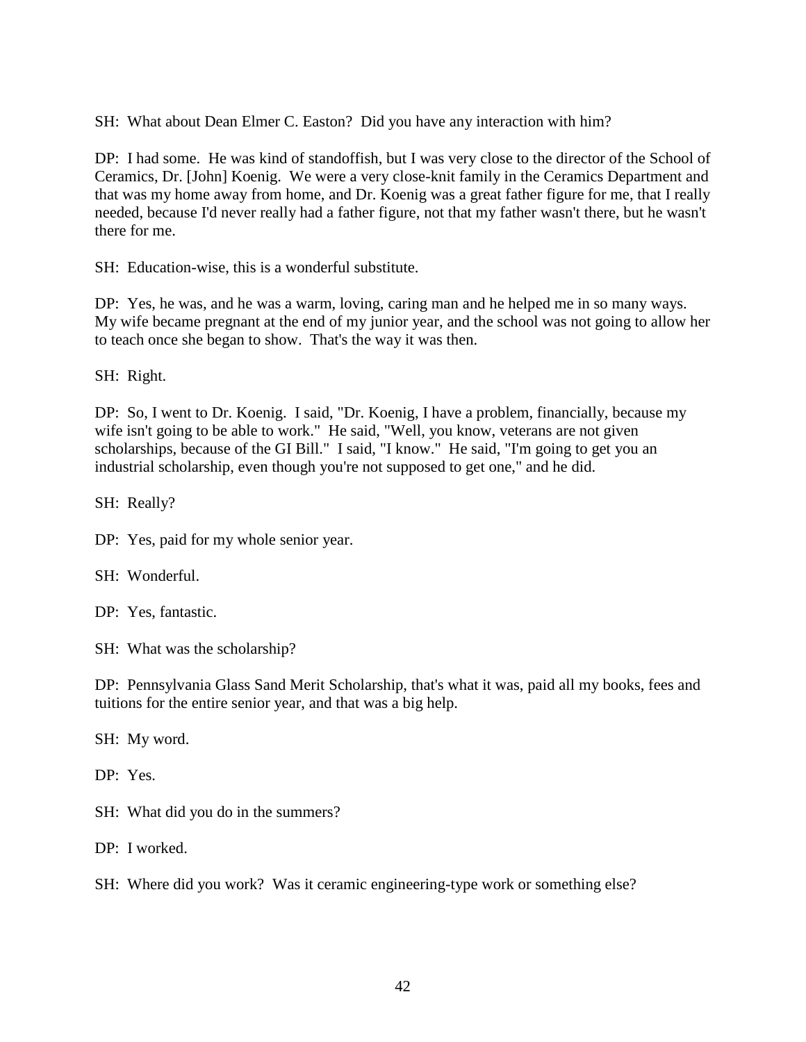SH: What about Dean Elmer C. Easton? Did you have any interaction with him?

DP: I had some. He was kind of standoffish, but I was very close to the director of the School of Ceramics, Dr. [John] Koenig. We were a very close-knit family in the Ceramics Department and that was my home away from home, and Dr. Koenig was a great father figure for me, that I really needed, because I'd never really had a father figure, not that my father wasn't there, but he wasn't there for me.

SH: Education-wise, this is a wonderful substitute.

DP: Yes, he was, and he was a warm, loving, caring man and he helped me in so many ways. My wife became pregnant at the end of my junior year, and the school was not going to allow her to teach once she began to show. That's the way it was then.

SH: Right.

DP: So, I went to Dr. Koenig. I said, "Dr. Koenig, I have a problem, financially, because my wife isn't going to be able to work." He said, "Well, you know, veterans are not given scholarships, because of the GI Bill." I said, "I know." He said, "I'm going to get you an industrial scholarship, even though you're not supposed to get one," and he did.

SH: Really?

DP: Yes, paid for my whole senior year.

SH: Wonderful.

DP: Yes, fantastic.

SH: What was the scholarship?

DP: Pennsylvania Glass Sand Merit Scholarship, that's what it was, paid all my books, fees and tuitions for the entire senior year, and that was a big help.

SH: My word.

DP: Yes.

SH: What did you do in the summers?

DP: I worked.

SH: Where did you work? Was it ceramic engineering-type work or something else?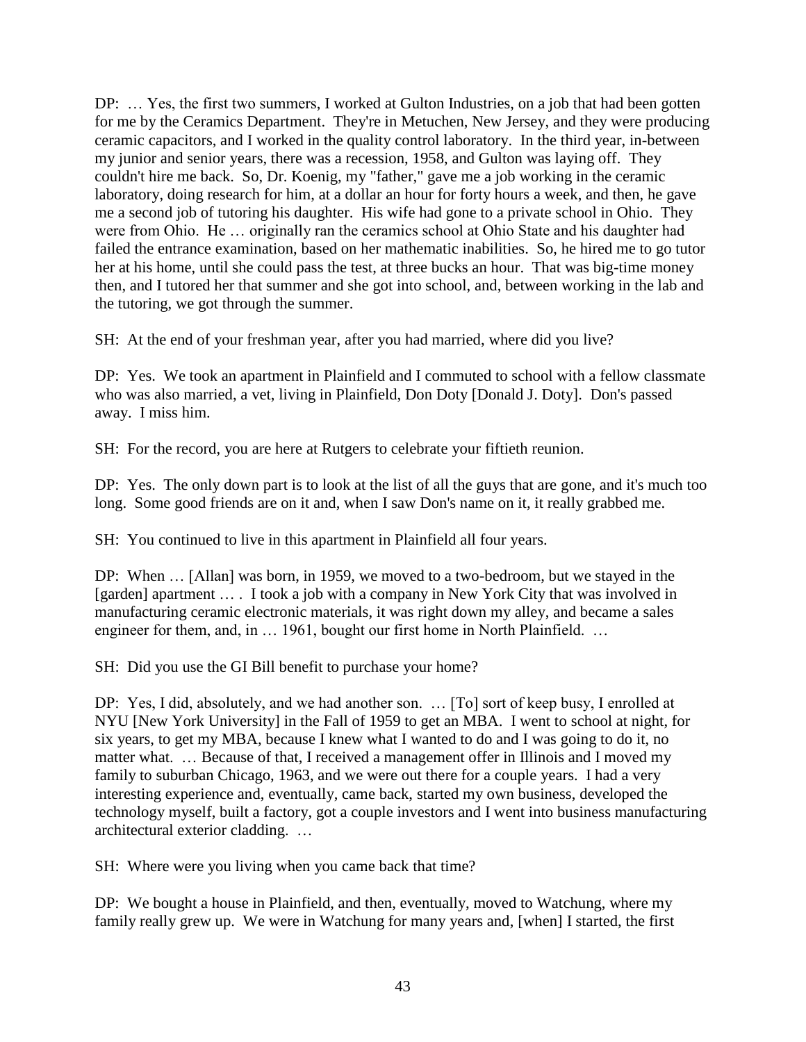DP: … Yes, the first two summers, I worked at Gulton Industries, on a job that had been gotten for me by the Ceramics Department. They're in Metuchen, New Jersey, and they were producing ceramic capacitors, and I worked in the quality control laboratory. In the third year, in-between my junior and senior years, there was a recession, 1958, and Gulton was laying off. They couldn't hire me back. So, Dr. Koenig, my "father," gave me a job working in the ceramic laboratory, doing research for him, at a dollar an hour for forty hours a week, and then, he gave me a second job of tutoring his daughter. His wife had gone to a private school in Ohio. They were from Ohio. He … originally ran the ceramics school at Ohio State and his daughter had failed the entrance examination, based on her mathematic inabilities. So, he hired me to go tutor her at his home, until she could pass the test, at three bucks an hour. That was big-time money then, and I tutored her that summer and she got into school, and, between working in the lab and the tutoring, we got through the summer.

SH: At the end of your freshman year, after you had married, where did you live?

DP: Yes. We took an apartment in Plainfield and I commuted to school with a fellow classmate who was also married, a vet, living in Plainfield, Don Doty [Donald J. Doty]. Don's passed away. I miss him.

SH: For the record, you are here at Rutgers to celebrate your fiftieth reunion.

DP: Yes. The only down part is to look at the list of all the guys that are gone, and it's much too long. Some good friends are on it and, when I saw Don's name on it, it really grabbed me.

SH: You continued to live in this apartment in Plainfield all four years.

DP: When … [Allan] was born, in 1959, we moved to a two-bedroom, but we stayed in the [garden] apartment … . I took a job with a company in New York City that was involved in manufacturing ceramic electronic materials, it was right down my alley, and became a sales engineer for them, and, in ... 1961, bought our first home in North Plainfield. ...

SH: Did you use the GI Bill benefit to purchase your home?

DP: Yes, I did, absolutely, and we had another son. … [To] sort of keep busy, I enrolled at NYU [New York University] in the Fall of 1959 to get an MBA. I went to school at night, for six years, to get my MBA, because I knew what I wanted to do and I was going to do it, no matter what. ... Because of that, I received a management offer in Illinois and I moved my family to suburban Chicago, 1963, and we were out there for a couple years. I had a very interesting experience and, eventually, came back, started my own business, developed the technology myself, built a factory, got a couple investors and I went into business manufacturing architectural exterior cladding. …

SH: Where were you living when you came back that time?

DP: We bought a house in Plainfield, and then, eventually, moved to Watchung, where my family really grew up. We were in Watchung for many years and, [when] I started, the first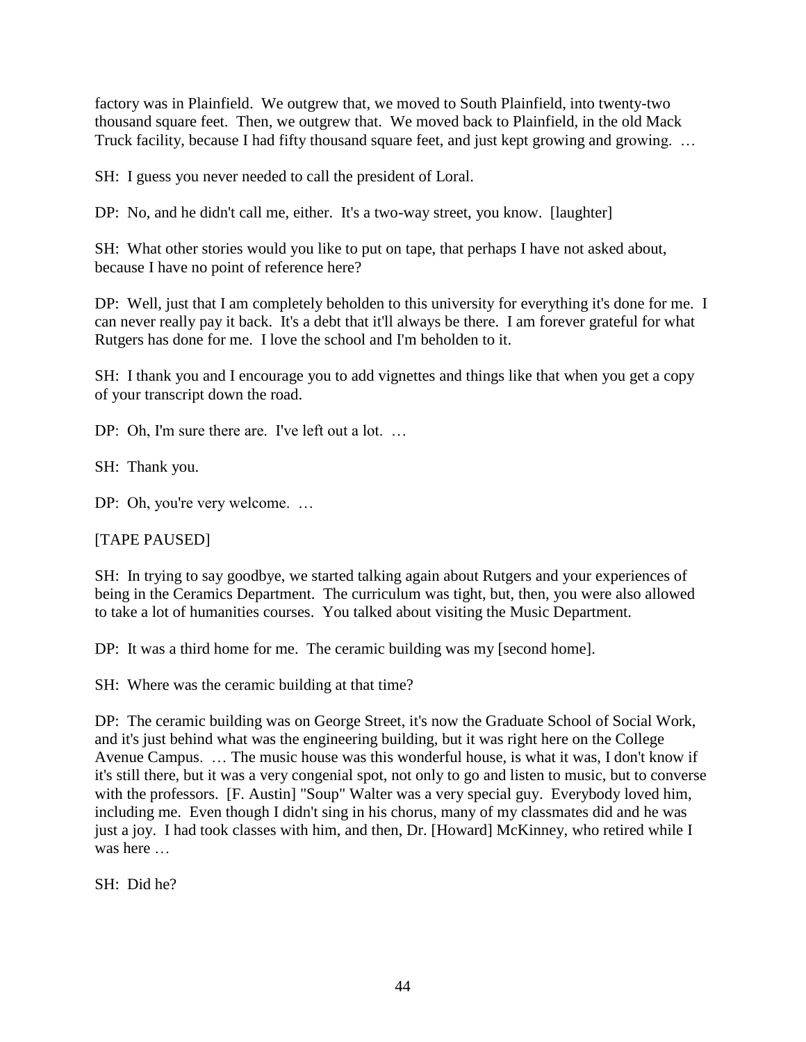factory was in Plainfield. We outgrew that, we moved to South Plainfield, into twenty-two thousand square feet. Then, we outgrew that. We moved back to Plainfield, in the old Mack Truck facility, because I had fifty thousand square feet, and just kept growing and growing. ...

SH: I guess you never needed to call the president of Loral.

DP: No, and he didn't call me, either. It's a two-way street, you know. [laughter]

SH: What other stories would you like to put on tape, that perhaps I have not asked about, because I have no point of reference here?

DP: Well, just that I am completely beholden to this university for everything it's done for me. I can never really pay it back. It's a debt that it'll always be there. I am forever grateful for what Rutgers has done for me. I love the school and I'm beholden to it.

SH: I thank you and I encourage you to add vignettes and things like that when you get a copy of your transcript down the road.

DP: Oh, I'm sure there are. I've left out a lot. ...

SH: Thank you.

DP: Oh, you're very welcome...

[TAPE PAUSED]

SH: In trying to say goodbye, we started talking again about Rutgers and your experiences of being in the Ceramics Department. The curriculum was tight, but, then, you were also allowed to take a lot of humanities courses. You talked about visiting the Music Department.

DP: It was a third home for me. The ceramic building was my [second home].

SH: Where was the ceramic building at that time?

DP: The ceramic building was on George Street, it's now the Graduate School of Social Work, and it's just behind what was the engineering building, but it was right here on the College Avenue Campus. … The music house was this wonderful house, is what it was, I don't know if it's still there, but it was a very congenial spot, not only to go and listen to music, but to converse with the professors. [F. Austin] "Soup" Walter was a very special guy. Everybody loved him, including me. Even though I didn't sing in his chorus, many of my classmates did and he was just a joy. I had took classes with him, and then, Dr. [Howard] McKinney, who retired while I was here

SH: Did he?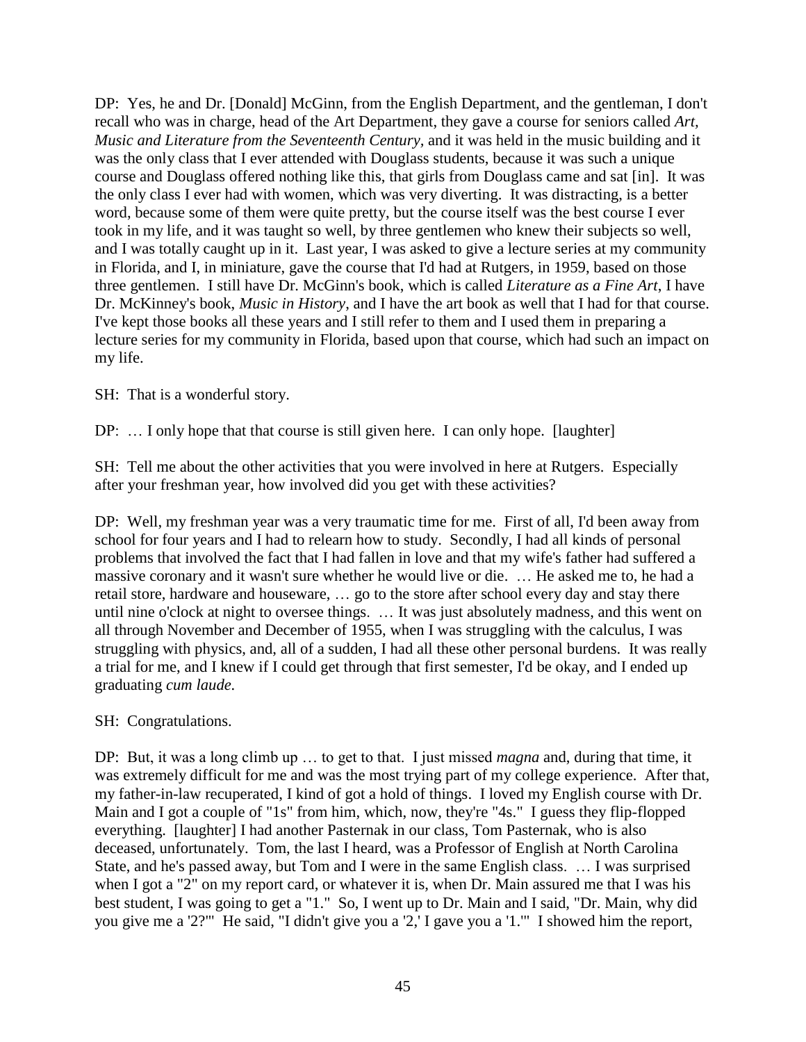DP: Yes, he and Dr. [Donald] McGinn, from the English Department, and the gentleman, I don't recall who was in charge, head of the Art Department, they gave a course for seniors called *Art, Music and Literature from the Seventeenth Century,* and it was held in the music building and it was the only class that I ever attended with Douglass students, because it was such a unique course and Douglass offered nothing like this, that girls from Douglass came and sat [in]. It was the only class I ever had with women, which was very diverting. It was distracting, is a better word, because some of them were quite pretty, but the course itself was the best course I ever took in my life, and it was taught so well, by three gentlemen who knew their subjects so well, and I was totally caught up in it. Last year, I was asked to give a lecture series at my community in Florida, and I, in miniature, gave the course that I'd had at Rutgers, in 1959, based on those three gentlemen. I still have Dr. McGinn's book, which is called *Literature as a Fine Art*, I have Dr. McKinney's book, *Music in History*, and I have the art book as well that I had for that course. I've kept those books all these years and I still refer to them and I used them in preparing a lecture series for my community in Florida, based upon that course, which had such an impact on my life.

SH: That is a wonderful story.

DP: ... I only hope that that course is still given here. I can only hope. [laughter]

SH: Tell me about the other activities that you were involved in here at Rutgers. Especially after your freshman year, how involved did you get with these activities?

DP: Well, my freshman year was a very traumatic time for me. First of all, I'd been away from school for four years and I had to relearn how to study. Secondly, I had all kinds of personal problems that involved the fact that I had fallen in love and that my wife's father had suffered a massive coronary and it wasn't sure whether he would live or die. … He asked me to, he had a retail store, hardware and houseware, … go to the store after school every day and stay there until nine o'clock at night to oversee things. … It was just absolutely madness, and this went on all through November and December of 1955, when I was struggling with the calculus, I was struggling with physics, and, all of a sudden, I had all these other personal burdens. It was really a trial for me, and I knew if I could get through that first semester, I'd be okay, and I ended up graduating *cum laude.*

SH: Congratulations.

DP: But, it was a long climb up … to get to that. I just missed *magna* and, during that time, it was extremely difficult for me and was the most trying part of my college experience. After that, my father-in-law recuperated, I kind of got a hold of things. I loved my English course with Dr. Main and I got a couple of "1s" from him, which, now, they're "4s." I guess they flip-flopped everything. [laughter] I had another Pasternak in our class, Tom Pasternak, who is also deceased, unfortunately. Tom, the last I heard, was a Professor of English at North Carolina State, and he's passed away, but Tom and I were in the same English class. … I was surprised when I got a "2" on my report card, or whatever it is, when Dr. Main assured me that I was his best student, I was going to get a "1." So, I went up to Dr. Main and I said, "Dr. Main, why did you give me a '2?'" He said, "I didn't give you a '2,' I gave you a '1.'" I showed him the report,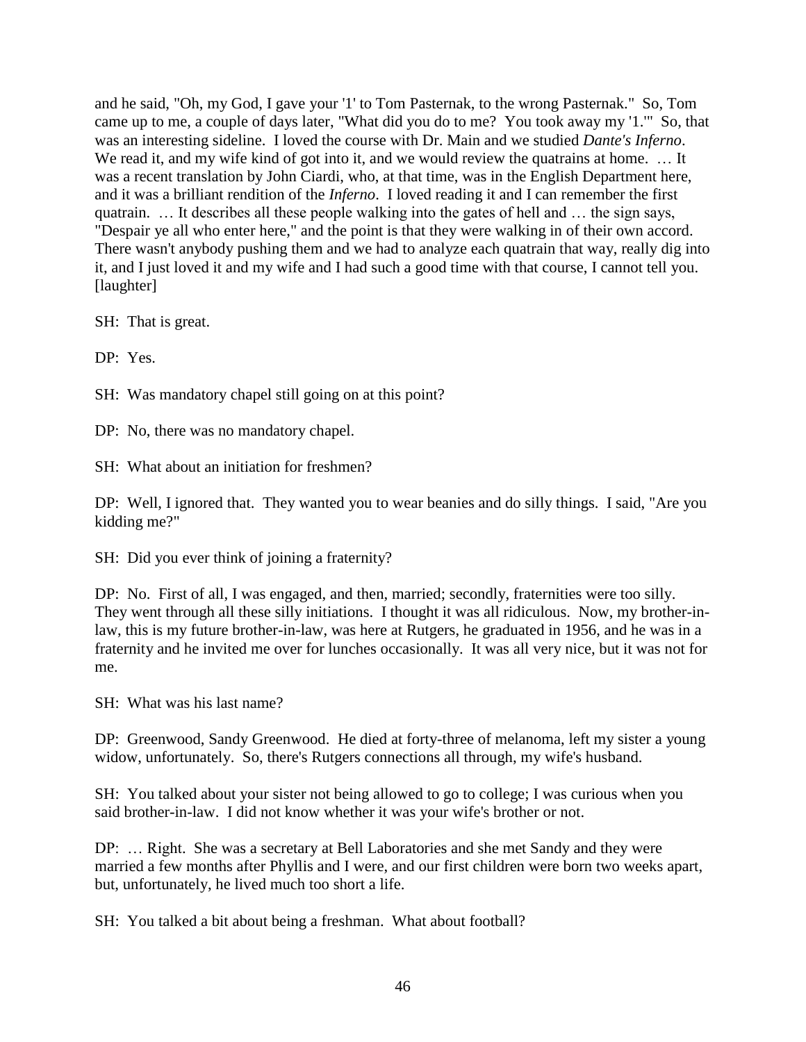and he said, "Oh, my God, I gave your '1' to Tom Pasternak, to the wrong Pasternak." So, Tom came up to me, a couple of days later, "What did you do to me? You took away my '1.'" So, that was an interesting sideline. I loved the course with Dr. Main and we studied *Dante's Inferno*. We read it, and my wife kind of got into it, and we would review the quatrains at home. ... It was a recent translation by John Ciardi, who, at that time, was in the English Department here, and it was a brilliant rendition of the *Inferno*. I loved reading it and I can remember the first quatrain. … It describes all these people walking into the gates of hell and … the sign says, "Despair ye all who enter here," and the point is that they were walking in of their own accord. There wasn't anybody pushing them and we had to analyze each quatrain that way, really dig into it, and I just loved it and my wife and I had such a good time with that course, I cannot tell you. [laughter]

SH: That is great.

DP: Yes.

SH: Was mandatory chapel still going on at this point?

DP: No, there was no mandatory chapel.

SH: What about an initiation for freshmen?

DP: Well, I ignored that. They wanted you to wear beanies and do silly things. I said, "Are you kidding me?"

SH: Did you ever think of joining a fraternity?

DP: No. First of all, I was engaged, and then, married; secondly, fraternities were too silly. They went through all these silly initiations. I thought it was all ridiculous. Now, my brother-inlaw, this is my future brother-in-law, was here at Rutgers, he graduated in 1956, and he was in a fraternity and he invited me over for lunches occasionally. It was all very nice, but it was not for me.

SH: What was his last name?

DP: Greenwood, Sandy Greenwood. He died at forty-three of melanoma, left my sister a young widow, unfortunately. So, there's Rutgers connections all through, my wife's husband.

SH: You talked about your sister not being allowed to go to college; I was curious when you said brother-in-law. I did not know whether it was your wife's brother or not.

DP: … Right. She was a secretary at Bell Laboratories and she met Sandy and they were married a few months after Phyllis and I were, and our first children were born two weeks apart, but, unfortunately, he lived much too short a life.

SH: You talked a bit about being a freshman. What about football?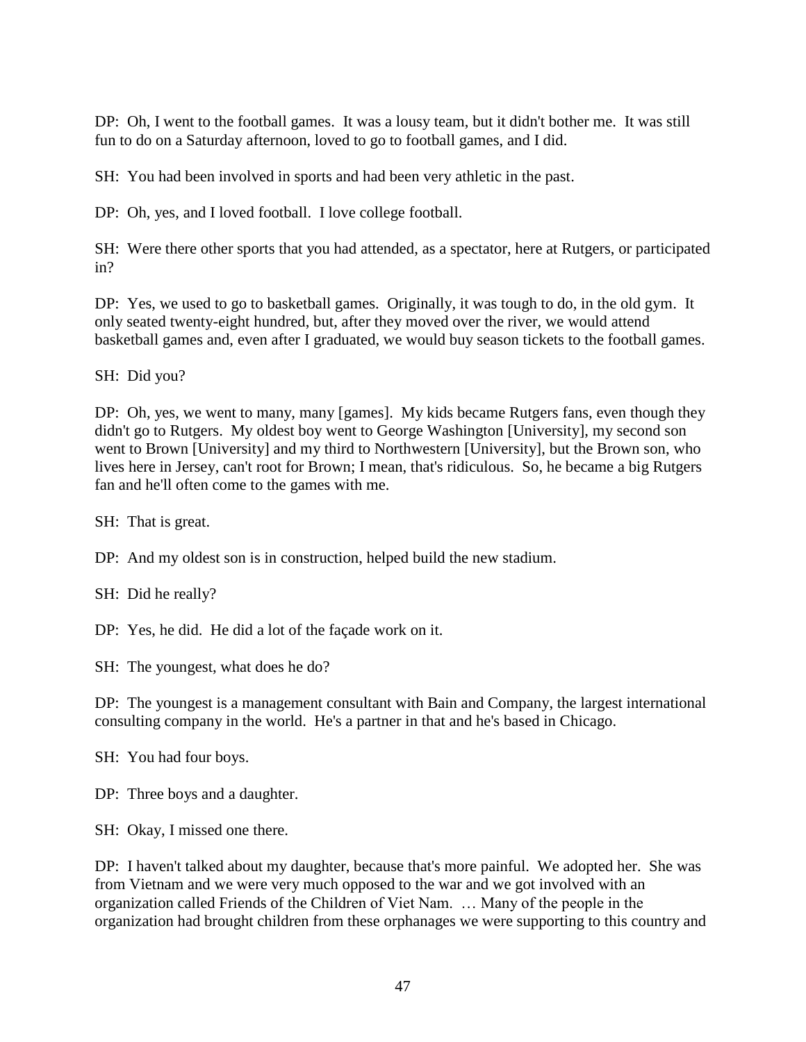DP: Oh, I went to the football games. It was a lousy team, but it didn't bother me. It was still fun to do on a Saturday afternoon, loved to go to football games, and I did.

SH: You had been involved in sports and had been very athletic in the past.

DP: Oh, yes, and I loved football. I love college football.

SH: Were there other sports that you had attended, as a spectator, here at Rutgers, or participated in?

DP: Yes, we used to go to basketball games. Originally, it was tough to do, in the old gym. It only seated twenty-eight hundred, but, after they moved over the river, we would attend basketball games and, even after I graduated, we would buy season tickets to the football games.

SH: Did you?

DP: Oh, yes, we went to many, many [games]. My kids became Rutgers fans, even though they didn't go to Rutgers. My oldest boy went to George Washington [University], my second son went to Brown [University] and my third to Northwestern [University], but the Brown son, who lives here in Jersey, can't root for Brown; I mean, that's ridiculous. So, he became a big Rutgers fan and he'll often come to the games with me.

SH: That is great.

DP: And my oldest son is in construction, helped build the new stadium.

SH: Did he really?

DP: Yes, he did. He did a lot of the façade work on it.

SH: The youngest, what does he do?

DP: The youngest is a management consultant with Bain and Company, the largest international consulting company in the world. He's a partner in that and he's based in Chicago.

SH: You had four boys.

DP: Three boys and a daughter.

SH: Okay, I missed one there.

DP: I haven't talked about my daughter, because that's more painful. We adopted her. She was from Vietnam and we were very much opposed to the war and we got involved with an organization called Friends of the Children of Viet Nam. … Many of the people in the organization had brought children from these orphanages we were supporting to this country and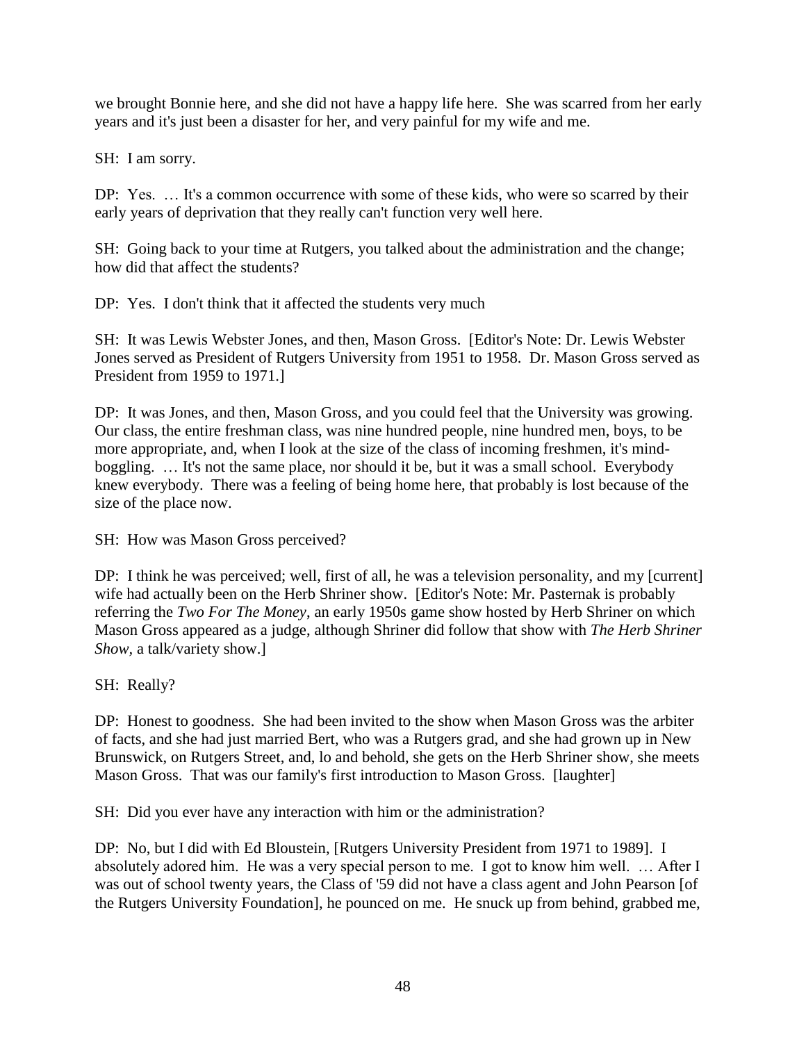we brought Bonnie here, and she did not have a happy life here. She was scarred from her early years and it's just been a disaster for her, and very painful for my wife and me.

SH: I am sorry.

DP: Yes. … It's a common occurrence with some of these kids, who were so scarred by their early years of deprivation that they really can't function very well here.

SH: Going back to your time at Rutgers, you talked about the administration and the change; how did that affect the students?

DP: Yes. I don't think that it affected the students very much

SH: It was Lewis Webster Jones, and then, Mason Gross. [Editor's Note: Dr. Lewis Webster Jones served as President of Rutgers University from 1951 to 1958. Dr. Mason Gross served as President from 1959 to 1971.]

DP: It was Jones, and then, Mason Gross, and you could feel that the University was growing. Our class, the entire freshman class, was nine hundred people, nine hundred men, boys, to be more appropriate, and, when I look at the size of the class of incoming freshmen, it's mindboggling. … It's not the same place, nor should it be, but it was a small school. Everybody knew everybody. There was a feeling of being home here, that probably is lost because of the size of the place now.

SH: How was Mason Gross perceived?

DP: I think he was perceived; well, first of all, he was a television personality, and my [current] wife had actually been on the Herb Shriner show. [Editor's Note: Mr. Pasternak is probably referring the *Two For The Money*, an early 1950s game show hosted by Herb Shriner on which Mason Gross appeared as a judge, although Shriner did follow that show with *The Herb Shriner Show,* a talk/variety show.]

SH: Really?

DP: Honest to goodness. She had been invited to the show when Mason Gross was the arbiter of facts, and she had just married Bert, who was a Rutgers grad, and she had grown up in New Brunswick, on Rutgers Street, and, lo and behold, she gets on the Herb Shriner show, she meets Mason Gross. That was our family's first introduction to Mason Gross. [laughter]

SH: Did you ever have any interaction with him or the administration?

DP: No, but I did with Ed Bloustein, [Rutgers University President from 1971 to 1989]. I absolutely adored him. He was a very special person to me. I got to know him well. … After I was out of school twenty years, the Class of '59 did not have a class agent and John Pearson [of the Rutgers University Foundation], he pounced on me. He snuck up from behind, grabbed me,